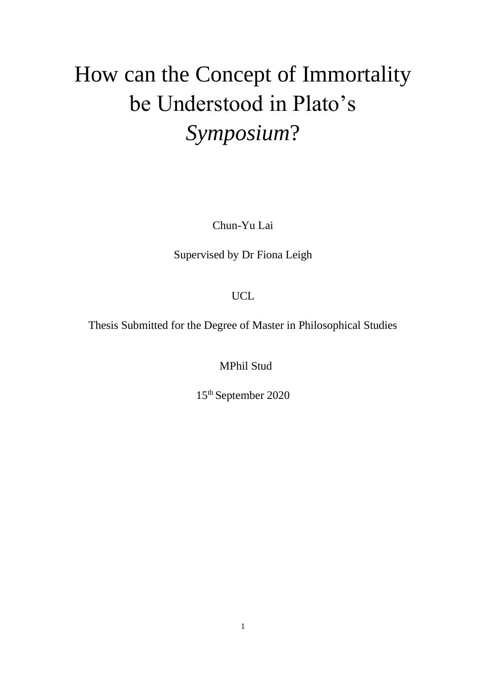# How can the Concept of Immortality be Understood in Plato's *Symposium*?

Chun-Yu Lai

Supervised by Dr Fiona Leigh

UCL

Thesis Submitted for the Degree of Master in Philosophical Studies

MPhil Stud

15th September 2020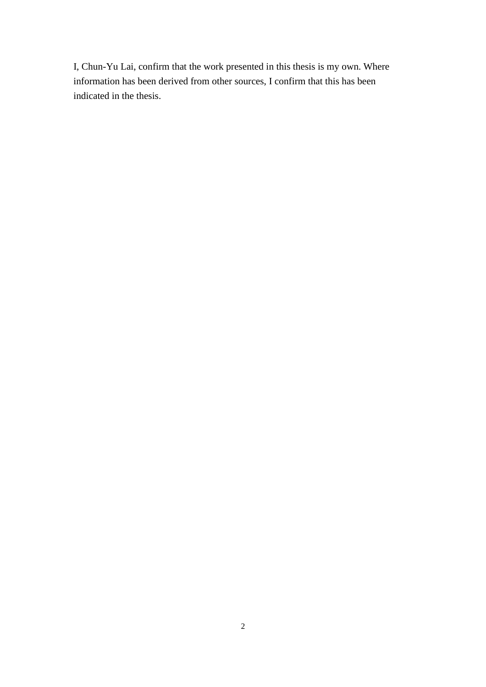I, Chun-Yu Lai, confirm that the work presented in this thesis is my own. Where information has been derived from other sources, I confirm that this has been indicated in the thesis.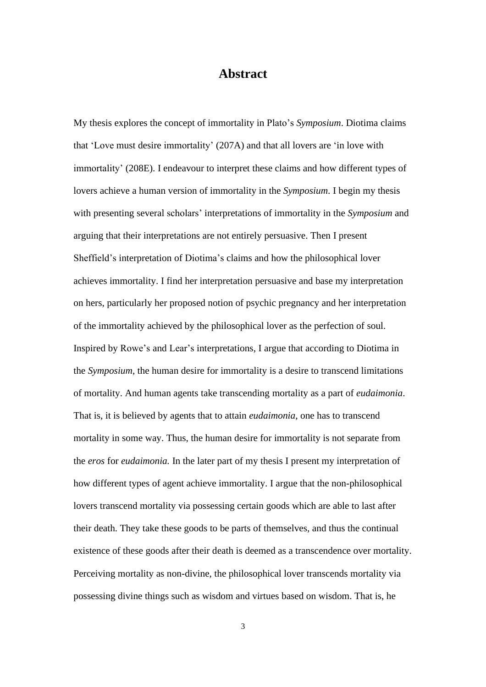# **Abstract**

<span id="page-2-0"></span>My thesis explores the concept of immortality in Plato's *Symposium*. Diotima claims that 'Love must desire immortality' (207A) and that all lovers are 'in love with immortality' (208E). I endeavour to interpret these claims and how different types of lovers achieve a human version of immortality in the *Symposium*. I begin my thesis with presenting several scholars' interpretations of immortality in the *Symposium* and arguing that their interpretations are not entirely persuasive. Then I present Sheffield's interpretation of Diotima's claims and how the philosophical lover achieves immortality. I find her interpretation persuasive and base my interpretation on hers, particularly her proposed notion of psychic pregnancy and her interpretation of the immortality achieved by the philosophical lover as the perfection of soul. Inspired by Rowe's and Lear's interpretations, I argue that according to Diotima in the *Symposium*, the human desire for immortality is a desire to transcend limitations of mortality. And human agents take transcending mortality as a part of *eudaimonia*. That is, it is believed by agents that to attain *eudaimonia*, one has to transcend mortality in some way. Thus, the human desire for immortality is not separate from the *eros* for *eudaimonia.* In the later part of my thesis I present my interpretation of how different types of agent achieve immortality. I argue that the non-philosophical lovers transcend mortality via possessing certain goods which are able to last after their death. They take these goods to be parts of themselves, and thus the continual existence of these goods after their death is deemed as a transcendence over mortality. Perceiving mortality as non-divine, the philosophical lover transcends mortality via possessing divine things such as wisdom and virtues based on wisdom. That is, he

3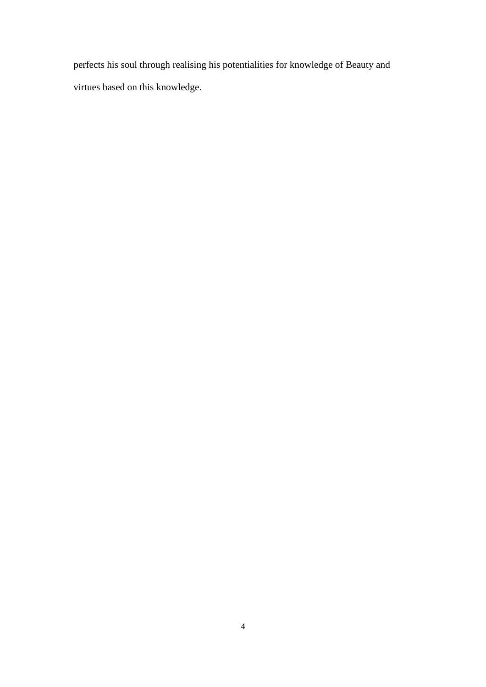perfects his soul through realising his potentialities for knowledge of Beauty and virtues based on this knowledge.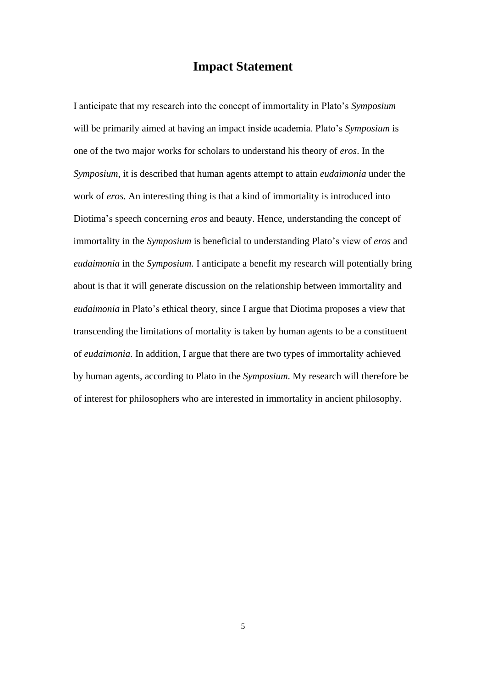# **Impact Statement**

<span id="page-4-0"></span>I anticipate that my research into the concept of immortality in Plato's *Symposium* will be primarily aimed at having an impact inside academia. Plato's *Symposium* is one of the two major works for scholars to understand his theory of *eros*. In the *Symposium*, it is described that human agents attempt to attain *eudaimonia* under the work of *eros.* An interesting thing is that a kind of immortality is introduced into Diotima's speech concerning *eros* and beauty. Hence, understanding the concept of immortality in the *Symposium* is beneficial to understanding Plato's view of *eros* and *eudaimonia* in the *Symposium.* I anticipate a benefit my research will potentially bring about is that it will generate discussion on the relationship between immortality and *eudaimonia* in Plato's ethical theory, since I argue that Diotima proposes a view that transcending the limitations of mortality is taken by human agents to be a constituent of *eudaimonia*. In addition, I argue that there are two types of immortality achieved by human agents, according to Plato in the *Symposium*. My research will therefore be of interest for philosophers who are interested in immortality in ancient philosophy.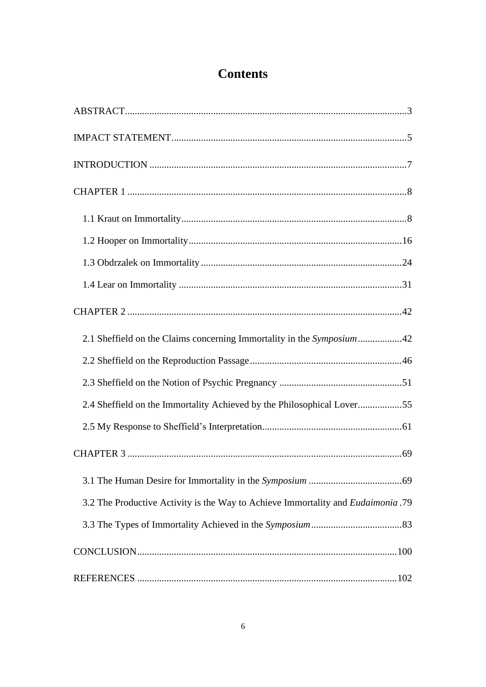# **Contents**

| 2.1 Sheffield on the Claims concerning Immortality in the Symposium42                   |
|-----------------------------------------------------------------------------------------|
|                                                                                         |
|                                                                                         |
| 2.4 Sheffield on the Immortality Achieved by the Philosophical Lover55                  |
|                                                                                         |
|                                                                                         |
|                                                                                         |
| 3.2 The Productive Activity is the Way to Achieve Immortality and <i>Eudaimonia</i> .79 |
|                                                                                         |
|                                                                                         |
|                                                                                         |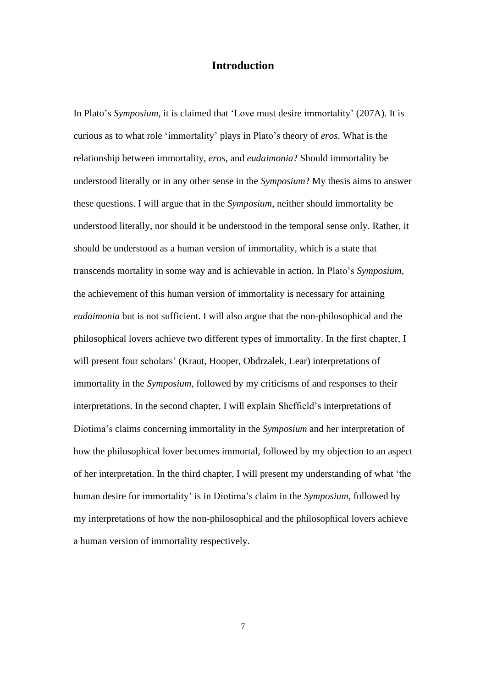## **Introduction**

<span id="page-6-0"></span>In Plato's *Symposium*, it is claimed that 'Love must desire immortality' (207A). It is curious as to what role 'immortality' plays in Plato's theory of *eros*. What is the relationship between immortality, *eros*, and *eudaimonia*? Should immortality be understood literally or in any other sense in the *Symposium*? My thesis aims to answer these questions. I will argue that in the *Symposium*, neither should immortality be understood literally, nor should it be understood in the temporal sense only. Rather, it should be understood as a human version of immortality, which is a state that transcends mortality in some way and is achievable in action. In Plato's *Symposium*, the achievement of this human version of immortality is necessary for attaining *eudaimonia* but is not sufficient. I will also argue that the non-philosophical and the philosophical lovers achieve two different types of immortality. In the first chapter, I will present four scholars' (Kraut, Hooper, Obdrzalek, Lear) interpretations of immortality in the *Symposium*, followed by my criticisms of and responses to their interpretations. In the second chapter, I will explain Sheffield's interpretations of Diotima's claims concerning immortality in the *Symposium* and her interpretation of how the philosophical lover becomes immortal, followed by my objection to an aspect of her interpretation. In the third chapter, I will present my understanding of what 'the human desire for immortality' is in Diotima's claim in the *Symposium*, followed by my interpretations of how the non-philosophical and the philosophical lovers achieve a human version of immortality respectively.

7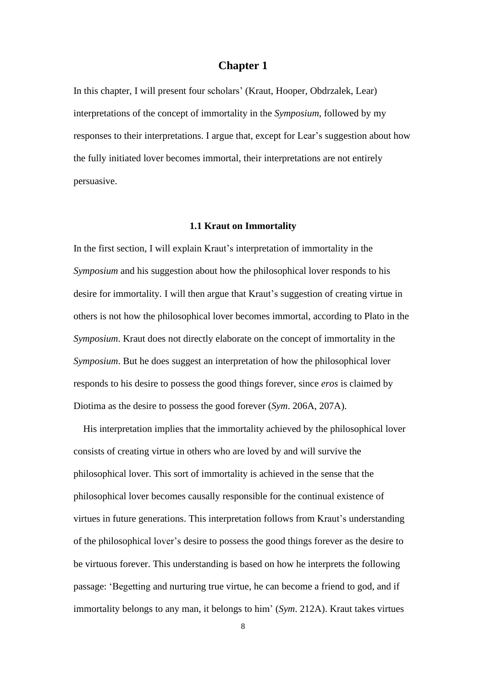### **Chapter 1**

<span id="page-7-0"></span>In this chapter, I will present four scholars' (Kraut, Hooper, Obdrzalek, Lear) interpretations of the concept of immortality in the *Symposium*, followed by my responses to their interpretations. I argue that, except for Lear's suggestion about how the fully initiated lover becomes immortal, their interpretations are not entirely persuasive.

#### **1.1 Kraut on Immortality**

<span id="page-7-1"></span>In the first section, I will explain Kraut's interpretation of immortality in the *Symposium* and his suggestion about how the philosophical lover responds to his desire for immortality. I will then argue that Kraut's suggestion of creating virtue in others is not how the philosophical lover becomes immortal, according to Plato in the *Symposium*. Kraut does not directly elaborate on the concept of immortality in the *Symposium*. But he does suggest an interpretation of how the philosophical lover responds to his desire to possess the good things forever, since *eros* is claimed by Diotima as the desire to possess the good forever (*Sym*. 206A, 207A).

His interpretation implies that the immortality achieved by the philosophical lover consists of creating virtue in others who are loved by and will survive the philosophical lover. This sort of immortality is achieved in the sense that the philosophical lover becomes causally responsible for the continual existence of virtues in future generations. This interpretation follows from Kraut's understanding of the philosophical lover's desire to possess the good things forever as the desire to be virtuous forever. This understanding is based on how he interprets the following passage: 'Begetting and nurturing true virtue, he can become a friend to god, and if immortality belongs to any man, it belongs to him' (*Sym*. 212A). Kraut takes virtues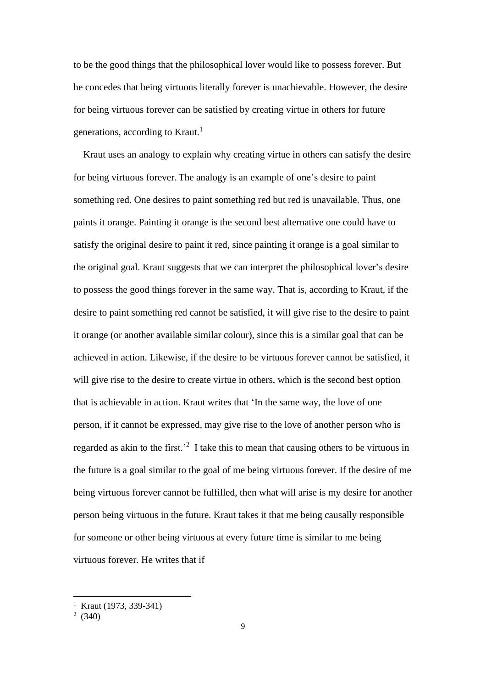to be the good things that the philosophical lover would like to possess forever. But he concedes that being virtuous literally forever is unachievable. However, the desire for being virtuous forever can be satisfied by creating virtue in others for future generations, according to Kraut.<sup>1</sup>

 Kraut uses an analogy to explain why creating virtue in others can satisfy the desire for being virtuous forever. The analogy is an example of one's desire to paint something red. One desires to paint something red but red is unavailable. Thus, one paints it orange. Painting it orange is the second best alternative one could have to satisfy the original desire to paint it red, since painting it orange is a goal similar to the original goal. Kraut suggests that we can interpret the philosophical lover's desire to possess the good things forever in the same way. That is, according to Kraut, if the desire to paint something red cannot be satisfied, it will give rise to the desire to paint it orange (or another available similar colour), since this is a similar goal that can be achieved in action. Likewise, if the desire to be virtuous forever cannot be satisfied, it will give rise to the desire to create virtue in others, which is the second best option that is achievable in action. Kraut writes that 'In the same way, the love of one person, if it cannot be expressed, may give rise to the love of another person who is regarded as akin to the first.<sup>2</sup> I take this to mean that causing others to be virtuous in the future is a goal similar to the goal of me being virtuous forever. If the desire of me being virtuous forever cannot be fulfilled, then what will arise is my desire for another person being virtuous in the future. Kraut takes it that me being causally responsible for someone or other being virtuous at every future time is similar to me being virtuous forever. He writes that if

<sup>&</sup>lt;sup>1</sup> Kraut (1973, 339-341)

<sup>&</sup>lt;sup>2</sup> (340)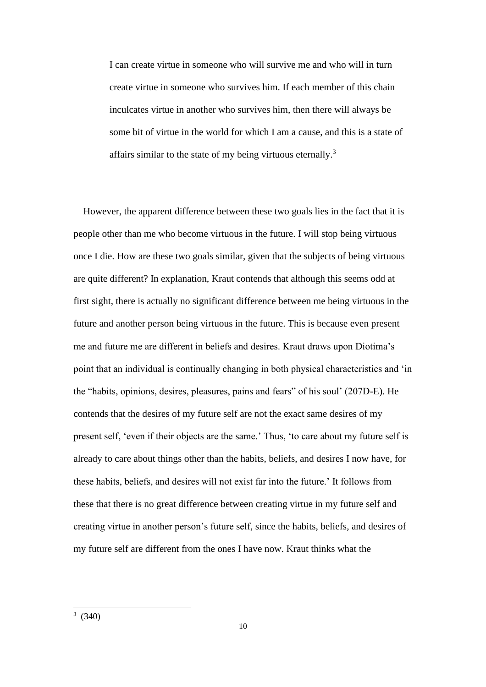I can create virtue in someone who will survive me and who will in turn create virtue in someone who survives him. If each member of this chain inculcates virtue in another who survives him, then there will always be some bit of virtue in the world for which I am a cause, and this is a state of affairs similar to the state of my being virtuous eternally.<sup>3</sup>

 However, the apparent difference between these two goals lies in the fact that it is people other than me who become virtuous in the future. I will stop being virtuous once I die. How are these two goals similar, given that the subjects of being virtuous are quite different? In explanation, Kraut contends that although this seems odd at first sight, there is actually no significant difference between me being virtuous in the future and another person being virtuous in the future. This is because even present me and future me are different in beliefs and desires. Kraut draws upon Diotima's point that an individual is continually changing in both physical characteristics and 'in the "habits, opinions, desires, pleasures, pains and fears" of his soul' (207D-E). He contends that the desires of my future self are not the exact same desires of my present self, 'even if their objects are the same.' Thus, 'to care about my future self is already to care about things other than the habits, beliefs, and desires I now have, for these habits, beliefs, and desires will not exist far into the future.' It follows from these that there is no great difference between creating virtue in my future self and creating virtue in another person's future self, since the habits, beliefs, and desires of my future self are different from the ones I have now. Kraut thinks what the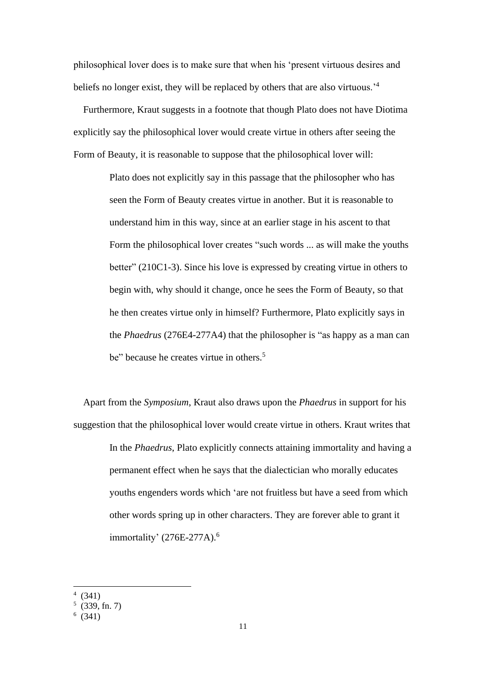philosophical lover does is to make sure that when his 'present virtuous desires and beliefs no longer exist, they will be replaced by others that are also virtuous.'<sup>4</sup>

Furthermore, Kraut suggests in a footnote that though Plato does not have Diotima explicitly say the philosophical lover would create virtue in others after seeing the Form of Beauty, it is reasonable to suppose that the philosophical lover will:

> Plato does not explicitly say in this passage that the philosopher who has seen the Form of Beauty creates virtue in another. But it is reasonable to understand him in this way, since at an earlier stage in his ascent to that Form the philosophical lover creates "such words ... as will make the youths better" (210C1-3). Since his love is expressed by creating virtue in others to begin with, why should it change, once he sees the Form of Beauty, so that he then creates virtue only in himself? Furthermore, Plato explicitly says in the *Phaedrus* (276E4-277A4) that the philosopher is "as happy as a man can be" because he creates virtue in others.<sup>5</sup>

 Apart from the *Symposium*, Kraut also draws upon the *Phaedrus* in support for his suggestion that the philosophical lover would create virtue in others. Kraut writes that In the *Phaedrus*, Plato explicitly connects attaining immortality and having a permanent effect when he says that the dialectician who morally educates youths engenders words which 'are not fruitless but have a seed from which other words spring up in other characters. They are forever able to grant it immortality'  $(276E-277A).$ <sup>6</sup>

<sup>4</sup> (341)

 $(339, \text{fn. 7})$ 

 $(341)$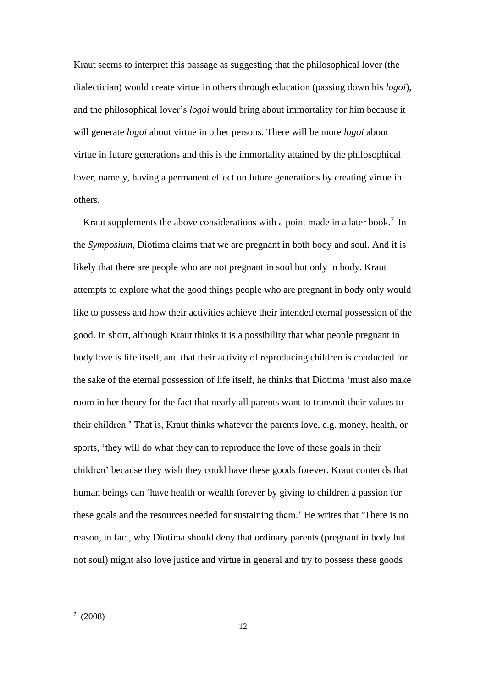Kraut seems to interpret this passage as suggesting that the philosophical lover (the dialectician) would create virtue in others through education (passing down his *logoi*), and the philosophical lover's *logoi* would bring about immortality for him because it will generate *logoi* about virtue in other persons. There will be more *logoi* about virtue in future generations and this is the immortality attained by the philosophical lover, namely, having a permanent effect on future generations by creating virtue in others.

Kraut supplements the above considerations with a point made in a later book.<sup>7</sup> In the *Symposium*, Diotima claims that we are pregnant in both body and soul. And it is likely that there are people who are not pregnant in soul but only in body. Kraut attempts to explore what the good things people who are pregnant in body only would like to possess and how their activities achieve their intended eternal possession of the good. In short, although Kraut thinks it is a possibility that what people pregnant in body love is life itself, and that their activity of reproducing children is conducted for the sake of the eternal possession of life itself, he thinks that Diotima 'must also make room in her theory for the fact that nearly all parents want to transmit their values to their children.' That is, Kraut thinks whatever the parents love, e.g. money, health, or sports, 'they will do what they can to reproduce the love of these goals in their children' because they wish they could have these goods forever. Kraut contends that human beings can 'have health or wealth forever by giving to children a passion for these goals and the resources needed for sustaining them.' He writes that 'There is no reason, in fact, why Diotima should deny that ordinary parents (pregnant in body but not soul) might also love justice and virtue in general and try to possess these goods

 $^7$  (2008)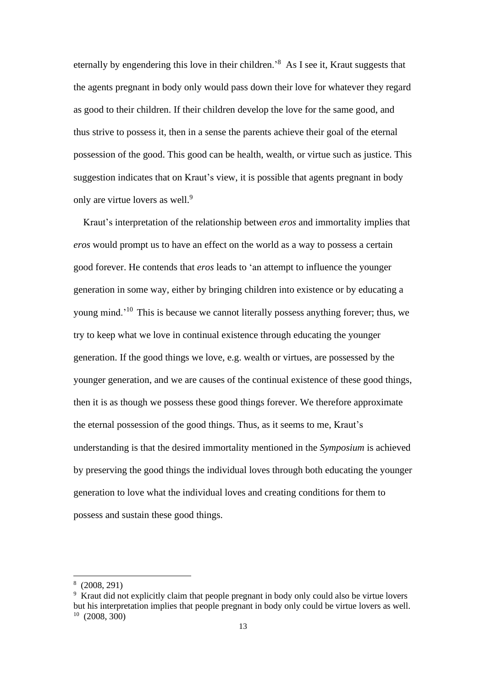eternally by engendering this love in their children.'<sup>8</sup> As I see it, Kraut suggests that the agents pregnant in body only would pass down their love for whatever they regard as good to their children. If their children develop the love for the same good, and thus strive to possess it, then in a sense the parents achieve their goal of the eternal possession of the good. This good can be health, wealth, or virtue such as justice. This suggestion indicates that on Kraut's view, it is possible that agents pregnant in body only are virtue lovers as well.<sup>9</sup>

Kraut's interpretation of the relationship between *eros* and immortality implies that *eros* would prompt us to have an effect on the world as a way to possess a certain good forever. He contends that *eros* leads to 'an attempt to influence the younger generation in some way, either by bringing children into existence or by educating a young mind.'<sup>10</sup> This is because we cannot literally possess anything forever; thus, we try to keep what we love in continual existence through educating the younger generation. If the good things we love, e.g. wealth or virtues, are possessed by the younger generation, and we are causes of the continual existence of these good things, then it is as though we possess these good things forever. We therefore approximate the eternal possession of the good things. Thus, as it seems to me, Kraut's understanding is that the desired immortality mentioned in the *Symposium* is achieved by preserving the good things the individual loves through both educating the younger generation to love what the individual loves and creating conditions for them to possess and sustain these good things.

<sup>8</sup> (2008, 291)

<sup>9</sup> Kraut did not explicitly claim that people pregnant in body only could also be virtue lovers but his interpretation implies that people pregnant in body only could be virtue lovers as well.  $10$  (2008, 300)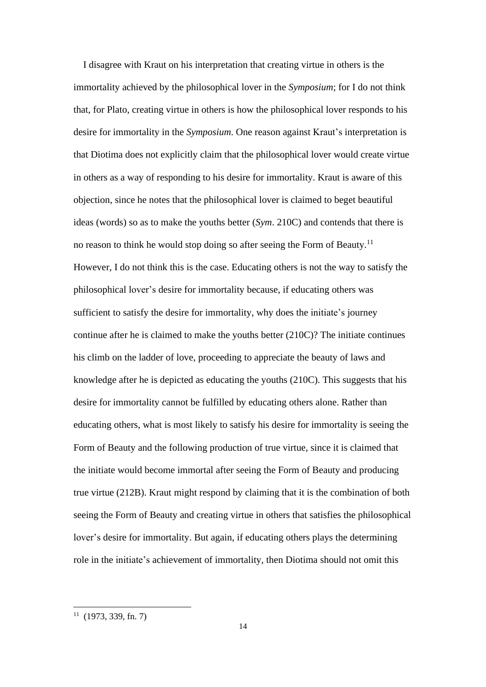I disagree with Kraut on his interpretation that creating virtue in others is the immortality achieved by the philosophical lover in the *Symposium*; for I do not think that, for Plato, creating virtue in others is how the philosophical lover responds to his desire for immortality in the *Symposium*. One reason against Kraut's interpretation is that Diotima does not explicitly claim that the philosophical lover would create virtue in others as a way of responding to his desire for immortality. Kraut is aware of this objection, since he notes that the philosophical lover is claimed to beget beautiful ideas (words) so as to make the youths better (*Sym*. 210C) and contends that there is no reason to think he would stop doing so after seeing the Form of Beauty.<sup>11</sup> However, I do not think this is the case. Educating others is not the way to satisfy the philosophical lover's desire for immortality because, if educating others was sufficient to satisfy the desire for immortality, why does the initiate's journey continue after he is claimed to make the youths better (210C)? The initiate continues his climb on the ladder of love, proceeding to appreciate the beauty of laws and knowledge after he is depicted as educating the youths (210C). This suggests that his desire for immortality cannot be fulfilled by educating others alone. Rather than educating others, what is most likely to satisfy his desire for immortality is seeing the Form of Beauty and the following production of true virtue, since it is claimed that the initiate would become immortal after seeing the Form of Beauty and producing true virtue (212B). Kraut might respond by claiming that it is the combination of both seeing the Form of Beauty and creating virtue in others that satisfies the philosophical lover's desire for immortality. But again, if educating others plays the determining role in the initiate's achievement of immortality, then Diotima should not omit this

 $11$  (1973, 339, fn. 7)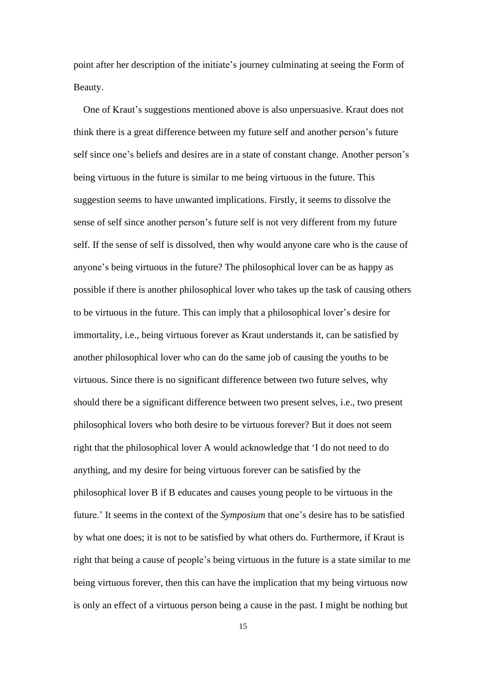point after her description of the initiate's journey culminating at seeing the Form of Beauty.

One of Kraut's suggestions mentioned above is also unpersuasive. Kraut does not think there is a great difference between my future self and another person's future self since one's beliefs and desires are in a state of constant change. Another person's being virtuous in the future is similar to me being virtuous in the future. This suggestion seems to have unwanted implications. Firstly, it seems to dissolve the sense of self since another person's future self is not very different from my future self. If the sense of self is dissolved, then why would anyone care who is the cause of anyone's being virtuous in the future? The philosophical lover can be as happy as possible if there is another philosophical lover who takes up the task of causing others to be virtuous in the future. This can imply that a philosophical lover's desire for immortality, i.e., being virtuous forever as Kraut understands it, can be satisfied by another philosophical lover who can do the same job of causing the youths to be virtuous. Since there is no significant difference between two future selves, why should there be a significant difference between two present selves, i.e., two present philosophical lovers who both desire to be virtuous forever? But it does not seem right that the philosophical lover A would acknowledge that 'I do not need to do anything, and my desire for being virtuous forever can be satisfied by the philosophical lover B if B educates and causes young people to be virtuous in the future.' It seems in the context of the *Symposium* that one's desire has to be satisfied by what one does; it is not to be satisfied by what others do. Furthermore, if Kraut is right that being a cause of people's being virtuous in the future is a state similar to me being virtuous forever, then this can have the implication that my being virtuous now is only an effect of a virtuous person being a cause in the past. I might be nothing but

15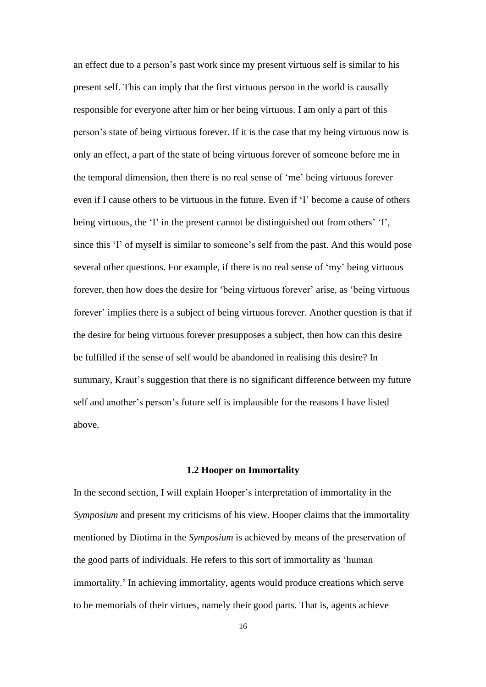an effect due to a person's past work since my present virtuous self is similar to his present self. This can imply that the first virtuous person in the world is causally responsible for everyone after him or her being virtuous. I am only a part of this person's state of being virtuous forever. If it is the case that my being virtuous now is only an effect, a part of the state of being virtuous forever of someone before me in the temporal dimension, then there is no real sense of 'me' being virtuous forever even if I cause others to be virtuous in the future. Even if 'I' become a cause of others being virtuous, the 'I' in the present cannot be distinguished out from others' 'I', since this 'I' of myself is similar to someone's self from the past. And this would pose several other questions. For example, if there is no real sense of 'my' being virtuous forever, then how does the desire for 'being virtuous forever' arise, as 'being virtuous forever' implies there is a subject of being virtuous forever. Another question is that if the desire for being virtuous forever presupposes a subject, then how can this desire be fulfilled if the sense of self would be abandoned in realising this desire? In summary, Kraut's suggestion that there is no significant difference between my future self and another's person's future self is implausible for the reasons I have listed above.

#### **1.2 Hooper on Immortality**

<span id="page-15-0"></span>In the second section, I will explain Hooper's interpretation of immortality in the *Symposium* and present my criticisms of his view. Hooper claims that the immortality mentioned by Diotima in the *Symposium* is achieved by means of the preservation of the good parts of individuals. He refers to this sort of immortality as 'human immortality.' In achieving immortality, agents would produce creations which serve to be memorials of their virtues, namely their good parts. That is, agents achieve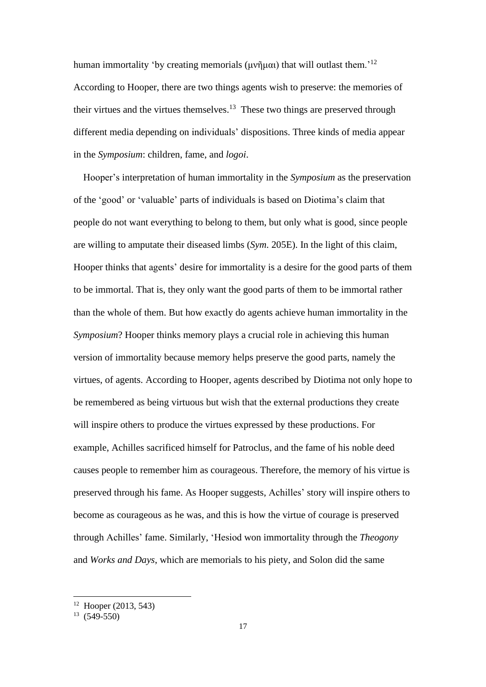human immortality 'by creating memorials (μνῆμαι) that will outlast them.<sup>'12</sup> According to Hooper, there are two things agents wish to preserve: the memories of their virtues and the virtues themselves. $13$  These two things are preserved through different media depending on individuals' dispositions. Three kinds of media appear in the *Symposium*: children, fame, and *logoi*.

 Hooper's interpretation of human immortality in the *Symposium* as the preservation of the 'good' or 'valuable' parts of individuals is based on Diotima's claim that people do not want everything to belong to them, but only what is good, since people are willing to amputate their diseased limbs (*Sym*. 205E). In the light of this claim, Hooper thinks that agents' desire for immortality is a desire for the good parts of them to be immortal. That is, they only want the good parts of them to be immortal rather than the whole of them. But how exactly do agents achieve human immortality in the *Symposium*? Hooper thinks memory plays a crucial role in achieving this human version of immortality because memory helps preserve the good parts, namely the virtues, of agents. According to Hooper, agents described by Diotima not only hope to be remembered as being virtuous but wish that the external productions they create will inspire others to produce the virtues expressed by these productions. For example, Achilles sacrificed himself for Patroclus, and the fame of his noble deed causes people to remember him as courageous. Therefore, the memory of his virtue is preserved through his fame. As Hooper suggests, Achilles' story will inspire others to become as courageous as he was, and this is how the virtue of courage is preserved through Achilles' fame. Similarly, 'Hesiod won immortality through the *Theogony* and *Works and Days*, which are memorials to his piety, and Solon did the same

 $12$  Hooper (2013, 543)

 $13(549-550)$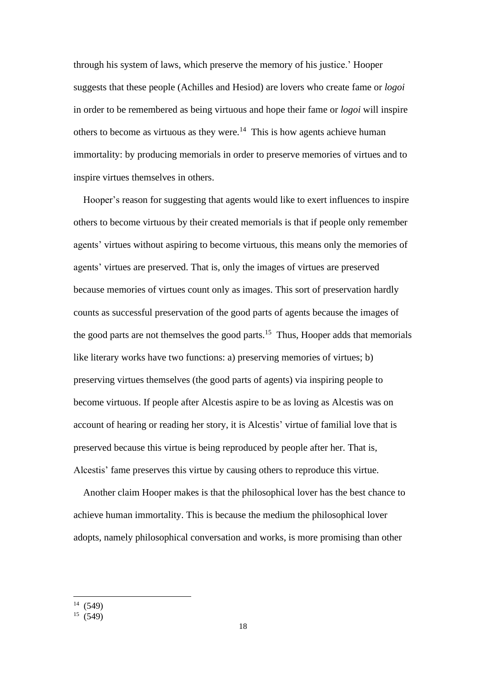through his system of laws, which preserve the memory of his justice.' Hooper suggests that these people (Achilles and Hesiod) are lovers who create fame or *logoi* in order to be remembered as being virtuous and hope their fame or *logoi* will inspire others to become as virtuous as they were.<sup>14</sup> This is how agents achieve human immortality: by producing memorials in order to preserve memories of virtues and to inspire virtues themselves in others.

 Hooper's reason for suggesting that agents would like to exert influences to inspire others to become virtuous by their created memorials is that if people only remember agents' virtues without aspiring to become virtuous, this means only the memories of agents' virtues are preserved. That is, only the images of virtues are preserved because memories of virtues count only as images. This sort of preservation hardly counts as successful preservation of the good parts of agents because the images of the good parts are not themselves the good parts.<sup>15</sup> Thus, Hooper adds that memorials like literary works have two functions: a) preserving memories of virtues; b) preserving virtues themselves (the good parts of agents) via inspiring people to become virtuous. If people after Alcestis aspire to be as loving as Alcestis was on account of hearing or reading her story, it is Alcestis' virtue of familial love that is preserved because this virtue is being reproduced by people after her. That is, Alcestis' fame preserves this virtue by causing others to reproduce this virtue.

 Another claim Hooper makes is that the philosophical lover has the best chance to achieve human immortality. This is because the medium the philosophical lover adopts, namely philosophical conversation and works, is more promising than other

 $14(549)$ 

 $15 \ (549)$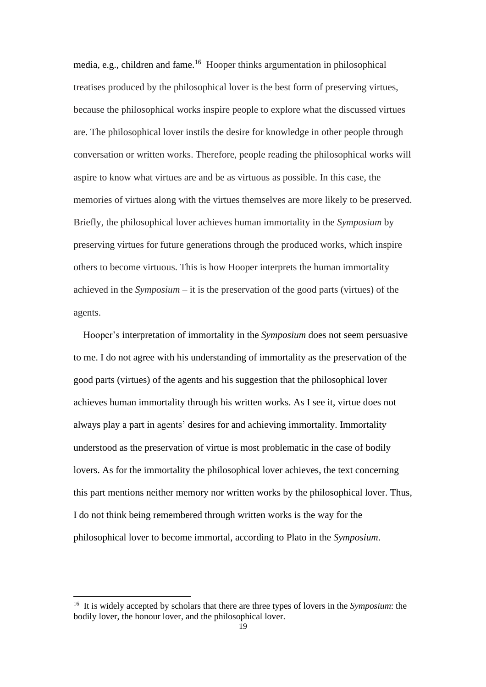media, e.g., children and fame.<sup>16</sup> Hooper thinks argumentation in philosophical treatises produced by the philosophical lover is the best form of preserving virtues, because the philosophical works inspire people to explore what the discussed virtues are. The philosophical lover instils the desire for knowledge in other people through conversation or written works. Therefore, people reading the philosophical works will aspire to know what virtues are and be as virtuous as possible. In this case, the memories of virtues along with the virtues themselves are more likely to be preserved. Briefly, the philosophical lover achieves human immortality in the *Symposium* by preserving virtues for future generations through the produced works, which inspire others to become virtuous. This is how Hooper interprets the human immortality achieved in the *Symposium* – it is the preservation of the good parts (virtues) of the agents.

 Hooper's interpretation of immortality in the *Symposium* does not seem persuasive to me. I do not agree with his understanding of immortality as the preservation of the good parts (virtues) of the agents and his suggestion that the philosophical lover achieves human immortality through his written works. As I see it, virtue does not always play a part in agents' desires for and achieving immortality. Immortality understood as the preservation of virtue is most problematic in the case of bodily lovers. As for the immortality the philosophical lover achieves, the text concerning this part mentions neither memory nor written works by the philosophical lover. Thus, I do not think being remembered through written works is the way for the philosophical lover to become immortal, according to Plato in the *Symposium*.

<sup>16</sup> It is widely accepted by scholars that there are three types of lovers in the *Symposium*: the bodily lover, the honour lover, and the philosophical lover.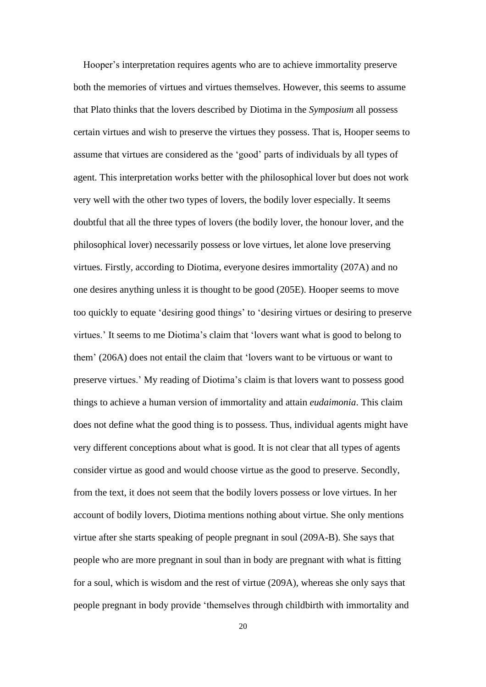Hooper's interpretation requires agents who are to achieve immortality preserve both the memories of virtues and virtues themselves. However, this seems to assume that Plato thinks that the lovers described by Diotima in the *Symposium* all possess certain virtues and wish to preserve the virtues they possess. That is, Hooper seems to assume that virtues are considered as the 'good' parts of individuals by all types of agent. This interpretation works better with the philosophical lover but does not work very well with the other two types of lovers, the bodily lover especially. It seems doubtful that all the three types of lovers (the bodily lover, the honour lover, and the philosophical lover) necessarily possess or love virtues, let alone love preserving virtues. Firstly, according to Diotima, everyone desires immortality (207A) and no one desires anything unless it is thought to be good (205E). Hooper seems to move too quickly to equate 'desiring good things' to 'desiring virtues or desiring to preserve virtues.' It seems to me Diotima's claim that 'lovers want what is good to belong to them' (206A) does not entail the claim that 'lovers want to be virtuous or want to preserve virtues.' My reading of Diotima's claim is that lovers want to possess good things to achieve a human version of immortality and attain *eudaimonia*. This claim does not define what the good thing is to possess. Thus, individual agents might have very different conceptions about what is good. It is not clear that all types of agents consider virtue as good and would choose virtue as the good to preserve. Secondly, from the text, it does not seem that the bodily lovers possess or love virtues. In her account of bodily lovers, Diotima mentions nothing about virtue. She only mentions virtue after she starts speaking of people pregnant in soul (209A-B). She says that people who are more pregnant in soul than in body are pregnant with what is fitting for a soul, which is wisdom and the rest of virtue (209A), whereas she only says that people pregnant in body provide 'themselves through childbirth with immortality and

20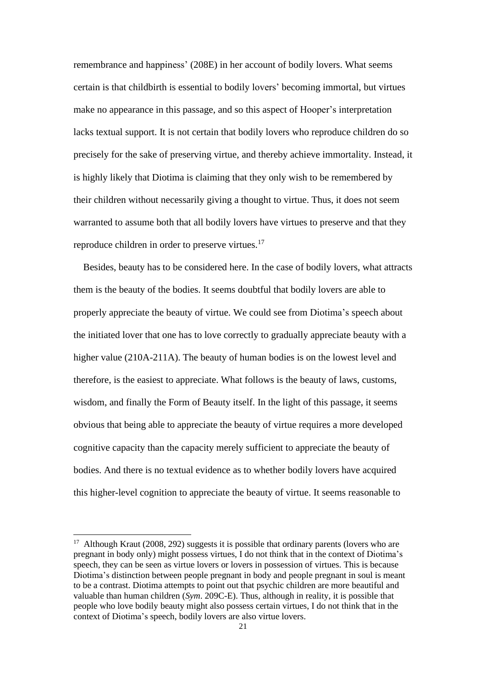remembrance and happiness' (208E) in her account of bodily lovers. What seems certain is that childbirth is essential to bodily lovers' becoming immortal, but virtues make no appearance in this passage, and so this aspect of Hooper's interpretation lacks textual support. It is not certain that bodily lovers who reproduce children do so precisely for the sake of preserving virtue, and thereby achieve immortality. Instead, it is highly likely that Diotima is claiming that they only wish to be remembered by their children without necessarily giving a thought to virtue. Thus, it does not seem warranted to assume both that all bodily lovers have virtues to preserve and that they reproduce children in order to preserve virtues.<sup>17</sup>

 Besides, beauty has to be considered here. In the case of bodily lovers, what attracts them is the beauty of the bodies. It seems doubtful that bodily lovers are able to properly appreciate the beauty of virtue. We could see from Diotima's speech about the initiated lover that one has to love correctly to gradually appreciate beauty with a higher value (210A-211A). The beauty of human bodies is on the lowest level and therefore, is the easiest to appreciate. What follows is the beauty of laws, customs, wisdom, and finally the Form of Beauty itself. In the light of this passage, it seems obvious that being able to appreciate the beauty of virtue requires a more developed cognitive capacity than the capacity merely sufficient to appreciate the beauty of bodies. And there is no textual evidence as to whether bodily lovers have acquired this higher-level cognition to appreciate the beauty of virtue. It seems reasonable to

 $17$  Although Kraut (2008, 292) suggests it is possible that ordinary parents (lovers who are pregnant in body only) might possess virtues, I do not think that in the context of Diotima's speech, they can be seen as virtue lovers or lovers in possession of virtues. This is because Diotima's distinction between people pregnant in body and people pregnant in soul is meant to be a contrast. Diotima attempts to point out that psychic children are more beautiful and valuable than human children (*Sym*. 209C-E). Thus, although in reality, it is possible that people who love bodily beauty might also possess certain virtues, I do not think that in the context of Diotima's speech, bodily lovers are also virtue lovers.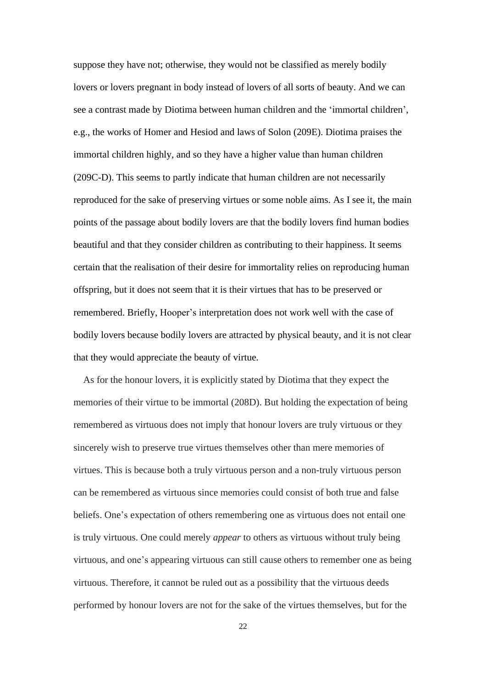suppose they have not; otherwise, they would not be classified as merely bodily lovers or lovers pregnant in body instead of lovers of all sorts of beauty. And we can see a contrast made by Diotima between human children and the 'immortal children', e.g., the works of Homer and Hesiod and laws of Solon (209E). Diotima praises the immortal children highly, and so they have a higher value than human children (209C-D). This seems to partly indicate that human children are not necessarily reproduced for the sake of preserving virtues or some noble aims. As I see it, the main points of the passage about bodily lovers are that the bodily lovers find human bodies beautiful and that they consider children as contributing to their happiness. It seems certain that the realisation of their desire for immortality relies on reproducing human offspring, but it does not seem that it is their virtues that has to be preserved or remembered. Briefly, Hooper's interpretation does not work well with the case of bodily lovers because bodily lovers are attracted by physical beauty, and it is not clear that they would appreciate the beauty of virtue.

 As for the honour lovers, it is explicitly stated by Diotima that they expect the memories of their virtue to be immortal (208D). But holding the expectation of being remembered as virtuous does not imply that honour lovers are truly virtuous or they sincerely wish to preserve true virtues themselves other than mere memories of virtues. This is because both a truly virtuous person and a non-truly virtuous person can be remembered as virtuous since memories could consist of both true and false beliefs. One's expectation of others remembering one as virtuous does not entail one is truly virtuous. One could merely *appear* to others as virtuous without truly being virtuous, and one's appearing virtuous can still cause others to remember one as being virtuous. Therefore, it cannot be ruled out as a possibility that the virtuous deeds performed by honour lovers are not for the sake of the virtues themselves, but for the

22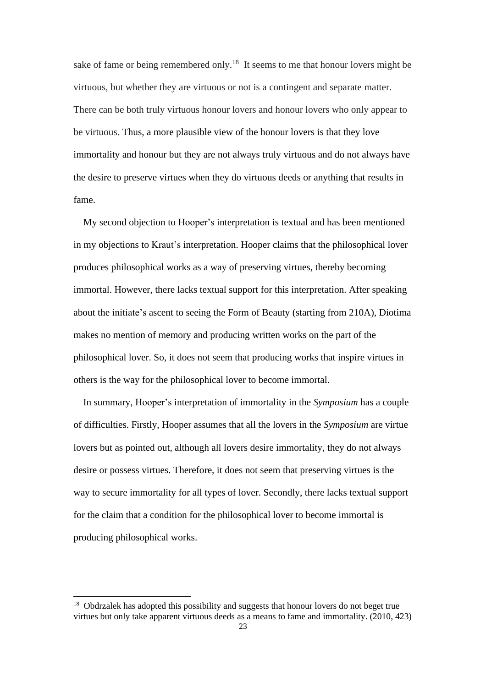sake of fame or being remembered only.<sup>18</sup> It seems to me that honour lovers might be virtuous, but whether they are virtuous or not is a contingent and separate matter. There can be both truly virtuous honour lovers and honour lovers who only appear to be virtuous. Thus, a more plausible view of the honour lovers is that they love immortality and honour but they are not always truly virtuous and do not always have the desire to preserve virtues when they do virtuous deeds or anything that results in fame.

 My second objection to Hooper's interpretation is textual and has been mentioned in my objections to Kraut's interpretation. Hooper claims that the philosophical lover produces philosophical works as a way of preserving virtues, thereby becoming immortal. However, there lacks textual support for this interpretation. After speaking about the initiate's ascent to seeing the Form of Beauty (starting from 210A), Diotima makes no mention of memory and producing written works on the part of the philosophical lover. So, it does not seem that producing works that inspire virtues in others is the way for the philosophical lover to become immortal.

 In summary, Hooper's interpretation of immortality in the *Symposium* has a couple of difficulties. Firstly, Hooper assumes that all the lovers in the *Symposium* are virtue lovers but as pointed out, although all lovers desire immortality, they do not always desire or possess virtues. Therefore, it does not seem that preserving virtues is the way to secure immortality for all types of lover. Secondly, there lacks textual support for the claim that a condition for the philosophical lover to become immortal is producing philosophical works.

<sup>&</sup>lt;sup>18</sup> Obdrzalek has adopted this possibility and suggests that honour lovers do not beget true virtues but only take apparent virtuous deeds as a means to fame and immortality. (2010, 423)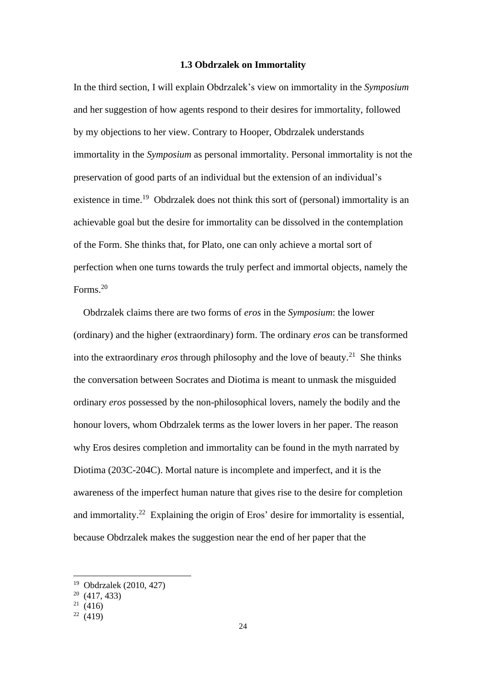#### **1.3 Obdrzalek on Immortality**

<span id="page-23-0"></span>In the third section, I will explain Obdrzalek's view on immortality in the *Symposium* and her suggestion of how agents respond to their desires for immortality, followed by my objections to her view. Contrary to Hooper, Obdrzalek understands immortality in the *Symposium* as personal immortality. Personal immortality is not the preservation of good parts of an individual but the extension of an individual's existence in time.<sup>19</sup> Obdrzalek does not think this sort of (personal) immortality is an achievable goal but the desire for immortality can be dissolved in the contemplation of the Form. She thinks that, for Plato, one can only achieve a mortal sort of perfection when one turns towards the truly perfect and immortal objects, namely the Forms.<sup>20</sup>

 Obdrzalek claims there are two forms of *eros* in the *Symposium*: the lower (ordinary) and the higher (extraordinary) form. The ordinary *eros* can be transformed into the extraordinary *eros* through philosophy and the love of beauty.<sup>21</sup> She thinks the conversation between Socrates and Diotima is meant to unmask the misguided ordinary *eros* possessed by the non-philosophical lovers, namely the bodily and the honour lovers, whom Obdrzalek terms as the lower lovers in her paper. The reason why Eros desires completion and immortality can be found in the myth narrated by Diotima (203C-204C). Mortal nature is incomplete and imperfect, and it is the awareness of the imperfect human nature that gives rise to the desire for completion and immortality.<sup>22</sup> Explaining the origin of Eros' desire for immortality is essential, because Obdrzalek makes the suggestion near the end of her paper that the

<sup>19</sup> Obdrzalek (2010, 427)

<sup>20</sup> (417, 433)

 $21(416)$ 

 $22(419)$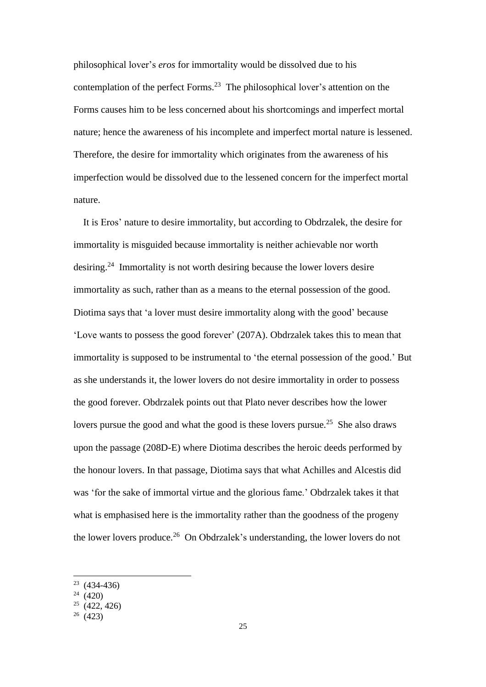philosophical lover's *eros* for immortality would be dissolved due to his contemplation of the perfect Forms.<sup>23</sup> The philosophical lover's attention on the Forms causes him to be less concerned about his shortcomings and imperfect mortal nature; hence the awareness of his incomplete and imperfect mortal nature is lessened. Therefore, the desire for immortality which originates from the awareness of his imperfection would be dissolved due to the lessened concern for the imperfect mortal nature.

 It is Eros' nature to desire immortality, but according to Obdrzalek, the desire for immortality is misguided because immortality is neither achievable nor worth desiring.<sup>24</sup> Immortality is not worth desiring because the lower lovers desire immortality as such, rather than as a means to the eternal possession of the good. Diotima says that 'a lover must desire immortality along with the good' because 'Love wants to possess the good forever' (207A). Obdrzalek takes this to mean that immortality is supposed to be instrumental to 'the eternal possession of the good.' But as she understands it, the lower lovers do not desire immortality in order to possess the good forever. Obdrzalek points out that Plato never describes how the lower lovers pursue the good and what the good is these lovers pursue.<sup>25</sup> She also draws upon the passage (208D-E) where Diotima describes the heroic deeds performed by the honour lovers. In that passage, Diotima says that what Achilles and Alcestis did was 'for the sake of immortal virtue and the glorious fame.' Obdrzalek takes it that what is emphasised here is the immortality rather than the goodness of the progeny the lower lovers produce.<sup>26</sup> On Obdrzalek's understanding, the lower lovers do not

 $23(434-436)$ 

 $24(420)$ 

 $25$  (422, 426)

 $26(423)$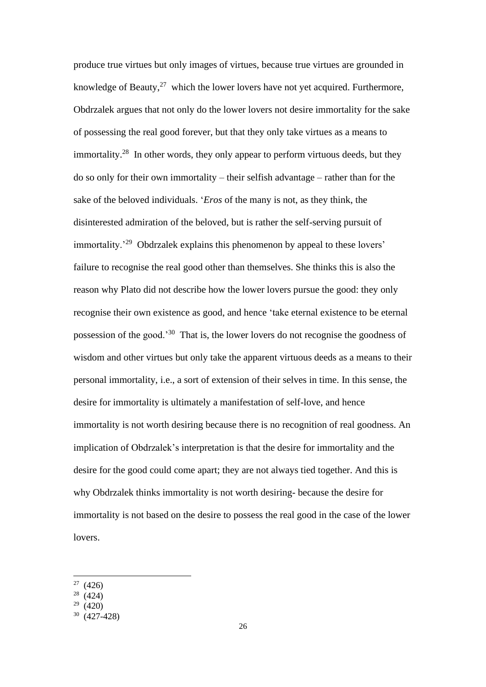produce true virtues but only images of virtues, because true virtues are grounded in knowledge of Beauty, $^{27}$  which the lower lovers have not yet acquired. Furthermore, Obdrzalek argues that not only do the lower lovers not desire immortality for the sake of possessing the real good forever, but that they only take virtues as a means to immortality.<sup>28</sup> In other words, they only appear to perform virtuous deeds, but they do so only for their own immortality – their selfish advantage – rather than for the sake of the beloved individuals. '*Eros* of the many is not, as they think, the disinterested admiration of the beloved, but is rather the self-serving pursuit of immortality.<sup>29</sup> Obdrzalek explains this phenomenon by appeal to these lovers' failure to recognise the real good other than themselves. She thinks this is also the reason why Plato did not describe how the lower lovers pursue the good: they only recognise their own existence as good, and hence 'take eternal existence to be eternal possession of the good.'<sup>30</sup> That is, the lower lovers do not recognise the goodness of wisdom and other virtues but only take the apparent virtuous deeds as a means to their personal immortality, i.e., a sort of extension of their selves in time. In this sense, the desire for immortality is ultimately a manifestation of self-love, and hence immortality is not worth desiring because there is no recognition of real goodness. An implication of Obdrzalek's interpretation is that the desire for immortality and the desire for the good could come apart; they are not always tied together. And this is why Obdrzalek thinks immortality is not worth desiring- because the desire for immortality is not based on the desire to possess the real good in the case of the lower lovers.

 $(426)$ 

<sup>&</sup>lt;sup>28</sup> (424)

 $29(420)$ 

<sup>30</sup> (427-428)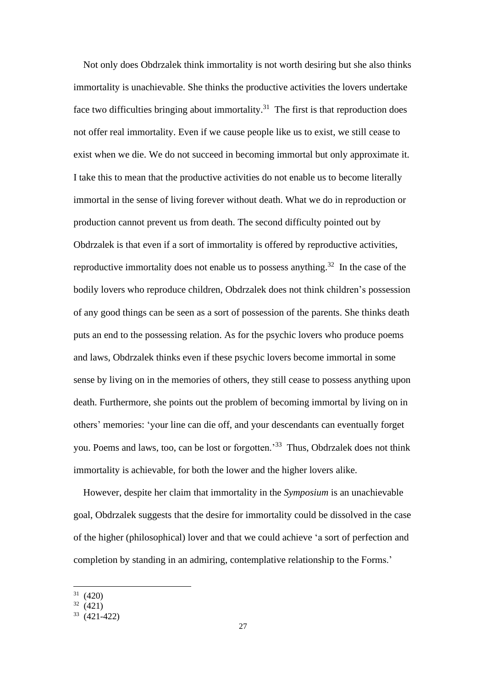Not only does Obdrzalek think immortality is not worth desiring but she also thinks immortality is unachievable. She thinks the productive activities the lovers undertake face two difficulties bringing about immortality.<sup>31</sup> The first is that reproduction does not offer real immortality. Even if we cause people like us to exist, we still cease to exist when we die. We do not succeed in becoming immortal but only approximate it. I take this to mean that the productive activities do not enable us to become literally immortal in the sense of living forever without death. What we do in reproduction or production cannot prevent us from death. The second difficulty pointed out by Obdrzalek is that even if a sort of immortality is offered by reproductive activities, reproductive immortality does not enable us to possess anything.<sup>32</sup> In the case of the bodily lovers who reproduce children, Obdrzalek does not think children's possession of any good things can be seen as a sort of possession of the parents. She thinks death puts an end to the possessing relation. As for the psychic lovers who produce poems and laws, Obdrzalek thinks even if these psychic lovers become immortal in some sense by living on in the memories of others, they still cease to possess anything upon death. Furthermore, she points out the problem of becoming immortal by living on in others' memories: 'your line can die off, and your descendants can eventually forget you. Poems and laws, too, can be lost or forgotten.'<sup>33</sup> Thus, Obdrzalek does not think immortality is achievable, for both the lower and the higher lovers alike.

 However, despite her claim that immortality in the *Symposium* is an unachievable goal, Obdrzalek suggests that the desire for immortality could be dissolved in the case of the higher (philosophical) lover and that we could achieve 'a sort of perfection and completion by standing in an admiring, contemplative relationship to the Forms.'

<sup>31</sup> (420)

 $32(421)$ 

 $33(421-422)$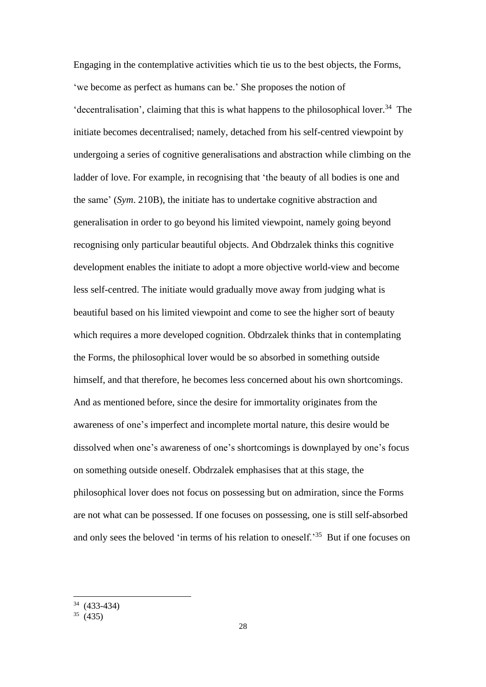Engaging in the contemplative activities which tie us to the best objects, the Forms, 'we become as perfect as humans can be.' She proposes the notion of 'decentralisation', claiming that this is what happens to the philosophical lover.<sup>34</sup> The initiate becomes decentralised; namely, detached from his self-centred viewpoint by undergoing a series of cognitive generalisations and abstraction while climbing on the ladder of love. For example, in recognising that 'the beauty of all bodies is one and the same' (*Sym*. 210B), the initiate has to undertake cognitive abstraction and generalisation in order to go beyond his limited viewpoint, namely going beyond recognising only particular beautiful objects. And Obdrzalek thinks this cognitive development enables the initiate to adopt a more objective world-view and become less self-centred. The initiate would gradually move away from judging what is beautiful based on his limited viewpoint and come to see the higher sort of beauty which requires a more developed cognition. Obdrzalek thinks that in contemplating the Forms, the philosophical lover would be so absorbed in something outside himself, and that therefore, he becomes less concerned about his own shortcomings. And as mentioned before, since the desire for immortality originates from the awareness of one's imperfect and incomplete mortal nature, this desire would be dissolved when one's awareness of one's shortcomings is downplayed by one's focus on something outside oneself. Obdrzalek emphasises that at this stage, the philosophical lover does not focus on possessing but on admiration, since the Forms are not what can be possessed. If one focuses on possessing, one is still self-absorbed and only sees the beloved 'in terms of his relation to oneself.<sup>35</sup> But if one focuses on

<sup>34</sup> (433-434)

 $35(435)$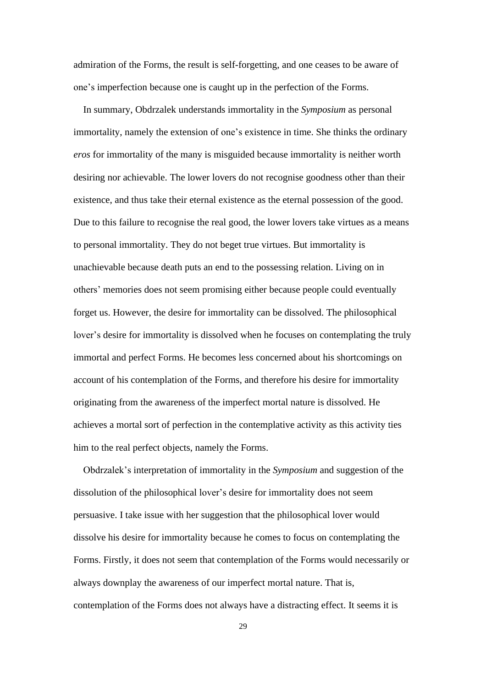admiration of the Forms, the result is self-forgetting, and one ceases to be aware of one's imperfection because one is caught up in the perfection of the Forms.

 In summary, Obdrzalek understands immortality in the *Symposium* as personal immortality, namely the extension of one's existence in time. She thinks the ordinary *eros* for immortality of the many is misguided because immortality is neither worth desiring nor achievable. The lower lovers do not recognise goodness other than their existence, and thus take their eternal existence as the eternal possession of the good. Due to this failure to recognise the real good, the lower lovers take virtues as a means to personal immortality. They do not beget true virtues. But immortality is unachievable because death puts an end to the possessing relation. Living on in others' memories does not seem promising either because people could eventually forget us. However, the desire for immortality can be dissolved. The philosophical lover's desire for immortality is dissolved when he focuses on contemplating the truly immortal and perfect Forms. He becomes less concerned about his shortcomings on account of his contemplation of the Forms, and therefore his desire for immortality originating from the awareness of the imperfect mortal nature is dissolved. He achieves a mortal sort of perfection in the contemplative activity as this activity ties him to the real perfect objects, namely the Forms.

 Obdrzalek's interpretation of immortality in the *Symposium* and suggestion of the dissolution of the philosophical lover's desire for immortality does not seem persuasive. I take issue with her suggestion that the philosophical lover would dissolve his desire for immortality because he comes to focus on contemplating the Forms. Firstly, it does not seem that contemplation of the Forms would necessarily or always downplay the awareness of our imperfect mortal nature. That is, contemplation of the Forms does not always have a distracting effect. It seems it is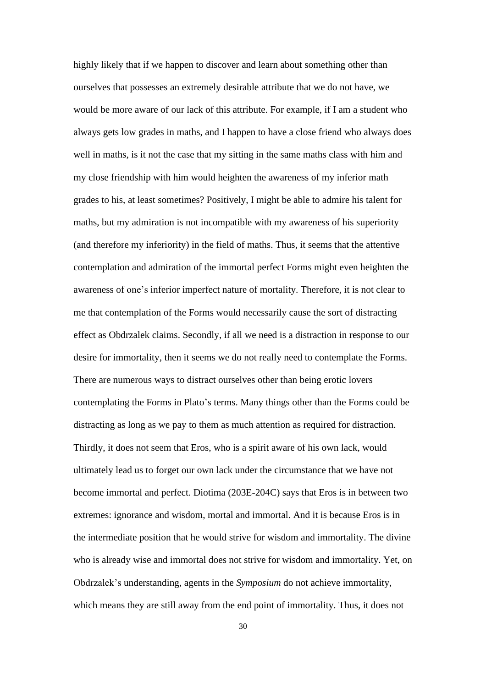highly likely that if we happen to discover and learn about something other than ourselves that possesses an extremely desirable attribute that we do not have, we would be more aware of our lack of this attribute. For example, if I am a student who always gets low grades in maths, and I happen to have a close friend who always does well in maths, is it not the case that my sitting in the same maths class with him and my close friendship with him would heighten the awareness of my inferior math grades to his, at least sometimes? Positively, I might be able to admire his talent for maths, but my admiration is not incompatible with my awareness of his superiority (and therefore my inferiority) in the field of maths. Thus, it seems that the attentive contemplation and admiration of the immortal perfect Forms might even heighten the awareness of one's inferior imperfect nature of mortality. Therefore, it is not clear to me that contemplation of the Forms would necessarily cause the sort of distracting effect as Obdrzalek claims. Secondly, if all we need is a distraction in response to our desire for immortality, then it seems we do not really need to contemplate the Forms. There are numerous ways to distract ourselves other than being erotic lovers contemplating the Forms in Plato's terms. Many things other than the Forms could be distracting as long as we pay to them as much attention as required for distraction. Thirdly, it does not seem that Eros, who is a spirit aware of his own lack, would ultimately lead us to forget our own lack under the circumstance that we have not become immortal and perfect. Diotima (203E-204C) says that Eros is in between two extremes: ignorance and wisdom, mortal and immortal. And it is because Eros is in the intermediate position that he would strive for wisdom and immortality. The divine who is already wise and immortal does not strive for wisdom and immortality. Yet, on Obdrzalek's understanding, agents in the *Symposium* do not achieve immortality, which means they are still away from the end point of immortality. Thus, it does not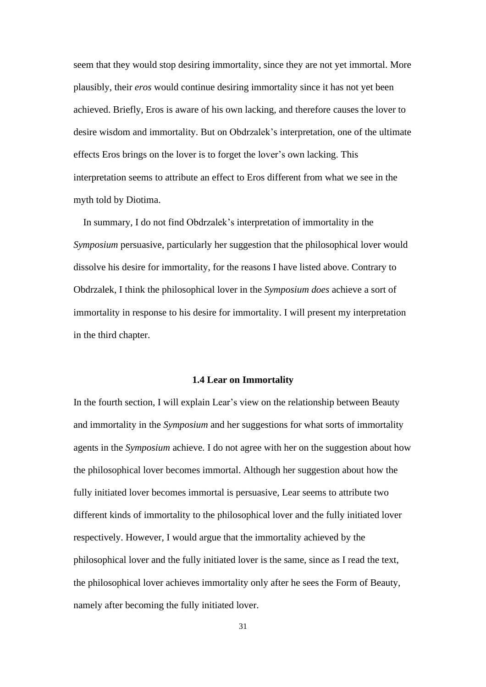seem that they would stop desiring immortality, since they are not yet immortal. More plausibly, their *eros* would continue desiring immortality since it has not yet been achieved. Briefly, Eros is aware of his own lacking, and therefore causes the lover to desire wisdom and immortality. But on Obdrzalek's interpretation, one of the ultimate effects Eros brings on the lover is to forget the lover's own lacking. This interpretation seems to attribute an effect to Eros different from what we see in the myth told by Diotima.

 In summary, I do not find Obdrzalek's interpretation of immortality in the *Symposium* persuasive, particularly her suggestion that the philosophical lover would dissolve his desire for immortality, for the reasons I have listed above. Contrary to Obdrzalek, I think the philosophical lover in the *Symposium does* achieve a sort of immortality in response to his desire for immortality. I will present my interpretation in the third chapter.

#### **1.4 Lear on Immortality**

<span id="page-30-0"></span>In the fourth section, I will explain Lear's view on the relationship between Beauty and immortality in the *Symposium* and her suggestions for what sorts of immortality agents in the *Symposium* achieve*.* I do not agree with her on the suggestion about how the philosophical lover becomes immortal. Although her suggestion about how the fully initiated lover becomes immortal is persuasive, Lear seems to attribute two different kinds of immortality to the philosophical lover and the fully initiated lover respectively. However, I would argue that the immortality achieved by the philosophical lover and the fully initiated lover is the same, since as I read the text, the philosophical lover achieves immortality only after he sees the Form of Beauty, namely after becoming the fully initiated lover.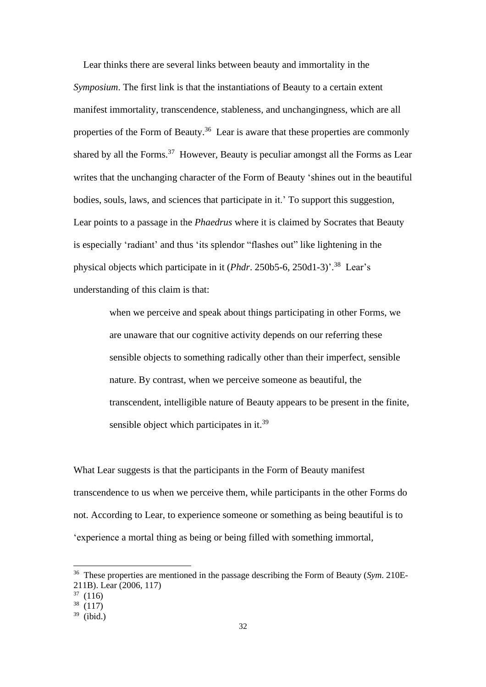Lear thinks there are several links between beauty and immortality in the *Symposium*. The first link is that the instantiations of Beauty to a certain extent manifest immortality, transcendence, stableness, and unchangingness, which are all properties of the Form of Beauty.<sup>36</sup> Lear is aware that these properties are commonly shared by all the Forms. $37$  However, Beauty is peculiar amongst all the Forms as Lear writes that the unchanging character of the Form of Beauty 'shines out in the beautiful bodies, souls, laws, and sciences that participate in it.' To support this suggestion, Lear points to a passage in the *Phaedrus* where it is claimed by Socrates that Beauty is especially 'radiant' and thus 'its splendor "flashes out" like lightening in the physical objects which participate in it (*Phdr*. 250b5-6, 250d1-3)'. <sup>38</sup> Lear's understanding of this claim is that:

> when we perceive and speak about things participating in other Forms, we are unaware that our cognitive activity depends on our referring these sensible objects to something radically other than their imperfect, sensible nature. By contrast, when we perceive someone as beautiful, the transcendent, intelligible nature of Beauty appears to be present in the finite, sensible object which participates in it.<sup>39</sup>

What Lear suggests is that the participants in the Form of Beauty manifest transcendence to us when we perceive them, while participants in the other Forms do not. According to Lear, to experience someone or something as being beautiful is to 'experience a mortal thing as being or being filled with something immortal,

<sup>36</sup> These properties are mentioned in the passage describing the Form of Beauty (*Sym*. 210E-211B). Lear (2006, 117)

 $37(116)$ 

 $38(117)$ 

 $39$  (ibid.)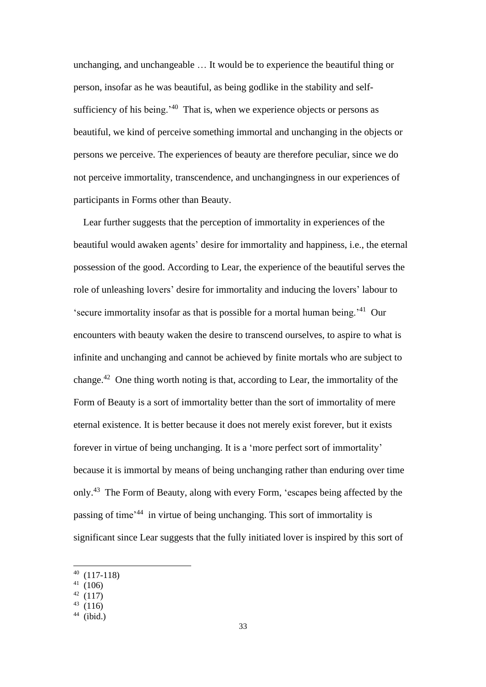unchanging, and unchangeable … It would be to experience the beautiful thing or person, insofar as he was beautiful, as being godlike in the stability and selfsufficiency of his being.<sup>40</sup> That is, when we experience objects or persons as beautiful, we kind of perceive something immortal and unchanging in the objects or persons we perceive. The experiences of beauty are therefore peculiar, since we do not perceive immortality, transcendence, and unchangingness in our experiences of participants in Forms other than Beauty.

Lear further suggests that the perception of immortality in experiences of the beautiful would awaken agents' desire for immortality and happiness, i.e., the eternal possession of the good. According to Lear, the experience of the beautiful serves the role of unleashing lovers' desire for immortality and inducing the lovers' labour to 'secure immortality insofar as that is possible for a mortal human being.'<sup>41</sup> Our encounters with beauty waken the desire to transcend ourselves, to aspire to what is infinite and unchanging and cannot be achieved by finite mortals who are subject to change.<sup>42</sup> One thing worth noting is that, according to Lear, the immortality of the Form of Beauty is a sort of immortality better than the sort of immortality of mere eternal existence. It is better because it does not merely exist forever, but it exists forever in virtue of being unchanging. It is a 'more perfect sort of immortality' because it is immortal by means of being unchanging rather than enduring over time only.<sup>43</sup> The Form of Beauty, along with every Form, 'escapes being affected by the passing of time'<sup>44</sup> in virtue of being unchanging. This sort of immortality is significant since Lear suggests that the fully initiated lover is inspired by this sort of

 $40(117-118)$ 

 $(106)$ 

<sup>42</sup> 

 $43(116)$ 

 $44$  (ibid.)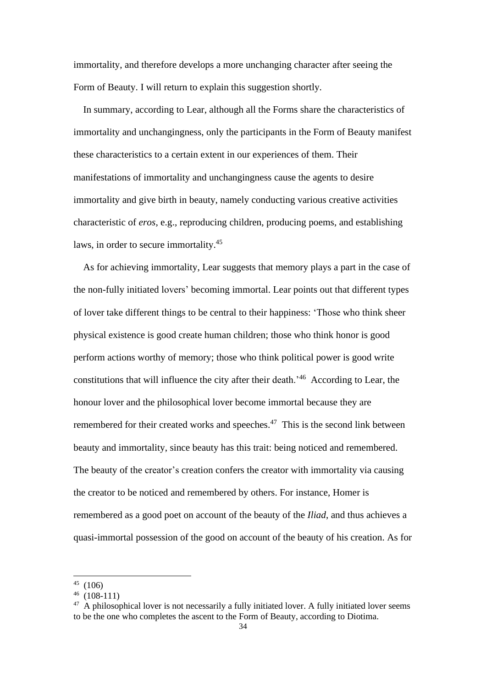immortality, and therefore develops a more unchanging character after seeing the Form of Beauty. I will return to explain this suggestion shortly.

 In summary, according to Lear, although all the Forms share the characteristics of immortality and unchangingness, only the participants in the Form of Beauty manifest these characteristics to a certain extent in our experiences of them. Their manifestations of immortality and unchangingness cause the agents to desire immortality and give birth in beauty, namely conducting various creative activities characteristic of *eros*, e.g., reproducing children, producing poems, and establishing laws, in order to secure immortality.<sup>45</sup>

 As for achieving immortality, Lear suggests that memory plays a part in the case of the non-fully initiated lovers' becoming immortal. Lear points out that different types of lover take different things to be central to their happiness: 'Those who think sheer physical existence is good create human children; those who think honor is good perform actions worthy of memory; those who think political power is good write constitutions that will influence the city after their death.'<sup>46</sup> According to Lear, the honour lover and the philosophical lover become immortal because they are remembered for their created works and speeches. $47$  This is the second link between beauty and immortality, since beauty has this trait: being noticed and remembered. The beauty of the creator's creation confers the creator with immortality via causing the creator to be noticed and remembered by others. For instance, Homer is remembered as a good poet on account of the beauty of the *Iliad*, and thus achieves a quasi-immortal possession of the good on account of the beauty of his creation. As for

<sup>45</sup> (106)

<sup>46</sup> (108-111)

<sup>&</sup>lt;sup>47</sup> A philosophical lover is not necessarily a fully initiated lover. A fully initiated lover seems to be the one who completes the ascent to the Form of Beauty, according to Diotima.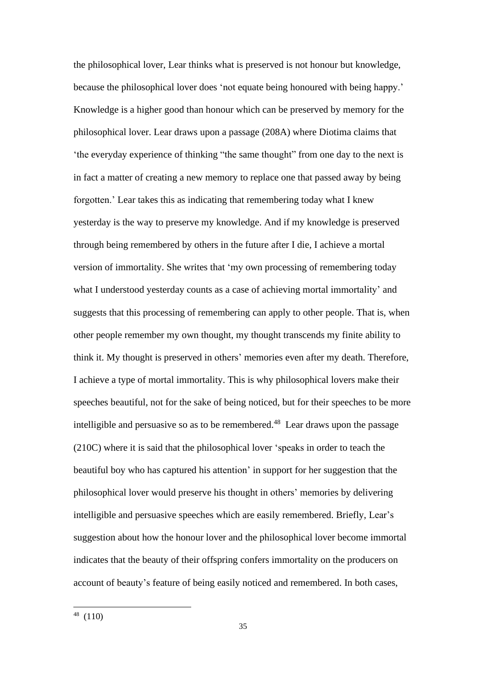the philosophical lover, Lear thinks what is preserved is not honour but knowledge, because the philosophical lover does 'not equate being honoured with being happy.' Knowledge is a higher good than honour which can be preserved by memory for the philosophical lover. Lear draws upon a passage (208A) where Diotima claims that 'the everyday experience of thinking "the same thought" from one day to the next is in fact a matter of creating a new memory to replace one that passed away by being forgotten.' Lear takes this as indicating that remembering today what I knew yesterday is the way to preserve my knowledge. And if my knowledge is preserved through being remembered by others in the future after I die, I achieve a mortal version of immortality. She writes that 'my own processing of remembering today what I understood yesterday counts as a case of achieving mortal immortality' and suggests that this processing of remembering can apply to other people. That is, when other people remember my own thought, my thought transcends my finite ability to think it. My thought is preserved in others' memories even after my death. Therefore, I achieve a type of mortal immortality. This is why philosophical lovers make their speeches beautiful, not for the sake of being noticed, but for their speeches to be more intelligible and persuasive so as to be remembered.<sup>48</sup> Lear draws upon the passage (210C) where it is said that the philosophical lover 'speaks in order to teach the beautiful boy who has captured his attention' in support for her suggestion that the philosophical lover would preserve his thought in others' memories by delivering intelligible and persuasive speeches which are easily remembered. Briefly, Lear's suggestion about how the honour lover and the philosophical lover become immortal indicates that the beauty of their offspring confers immortality on the producers on account of beauty's feature of being easily noticed and remembered. In both cases,

 $48(110)$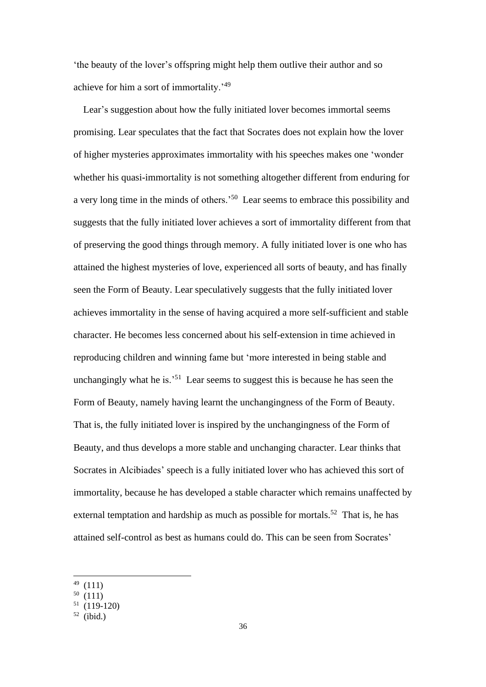'the beauty of the lover's offspring might help them outlive their author and so achieve for him a sort of immortality.'<sup>49</sup>

 Lear's suggestion about how the fully initiated lover becomes immortal seems promising. Lear speculates that the fact that Socrates does not explain how the lover of higher mysteries approximates immortality with his speeches makes one 'wonder whether his quasi-immortality is not something altogether different from enduring for a very long time in the minds of others.'<sup>50</sup> Lear seems to embrace this possibility and suggests that the fully initiated lover achieves a sort of immortality different from that of preserving the good things through memory. A fully initiated lover is one who has attained the highest mysteries of love, experienced all sorts of beauty, and has finally seen the Form of Beauty. Lear speculatively suggests that the fully initiated lover achieves immortality in the sense of having acquired a more self-sufficient and stable character. He becomes less concerned about his self-extension in time achieved in reproducing children and winning fame but 'more interested in being stable and unchangingly what he is.<sup>51</sup> Lear seems to suggest this is because he has seen the Form of Beauty, namely having learnt the unchangingness of the Form of Beauty. That is, the fully initiated lover is inspired by the unchangingness of the Form of Beauty, and thus develops a more stable and unchanging character. Lear thinks that Socrates in Alcibiades' speech is a fully initiated lover who has achieved this sort of immortality, because he has developed a stable character which remains unaffected by external temptation and hardship as much as possible for mortals.<sup>52</sup> That is, he has attained self-control as best as humans could do. This can be seen from Socrates'

<sup>49</sup> (111)

 $50(111)$ 

 $51(119-120)$ 

 $52$  (ibid.)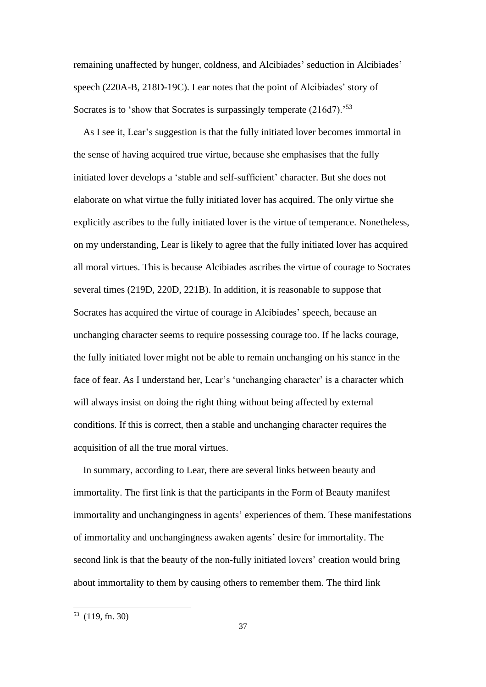remaining unaffected by hunger, coldness, and Alcibiades' seduction in Alcibiades' speech (220A-B, 218D-19C). Lear notes that the point of Alcibiades' story of Socrates is to 'show that Socrates is surpassingly temperate (216d7).<sup>53</sup>

As I see it, Lear's suggestion is that the fully initiated lover becomes immortal in the sense of having acquired true virtue, because she emphasises that the fully initiated lover develops a 'stable and self-sufficient' character. But she does not elaborate on what virtue the fully initiated lover has acquired. The only virtue she explicitly ascribes to the fully initiated lover is the virtue of temperance. Nonetheless, on my understanding, Lear is likely to agree that the fully initiated lover has acquired all moral virtues. This is because Alcibiades ascribes the virtue of courage to Socrates several times (219D, 220D, 221B). In addition, it is reasonable to suppose that Socrates has acquired the virtue of courage in Alcibiades' speech, because an unchanging character seems to require possessing courage too. If he lacks courage, the fully initiated lover might not be able to remain unchanging on his stance in the face of fear. As I understand her, Lear's 'unchanging character' is a character which will always insist on doing the right thing without being affected by external conditions. If this is correct, then a stable and unchanging character requires the acquisition of all the true moral virtues.

 In summary, according to Lear, there are several links between beauty and immortality. The first link is that the participants in the Form of Beauty manifest immortality and unchangingness in agents' experiences of them. These manifestations of immortality and unchangingness awaken agents' desire for immortality. The second link is that the beauty of the non-fully initiated lovers' creation would bring about immortality to them by causing others to remember them. The third link

 $53$  (119, fn. 30)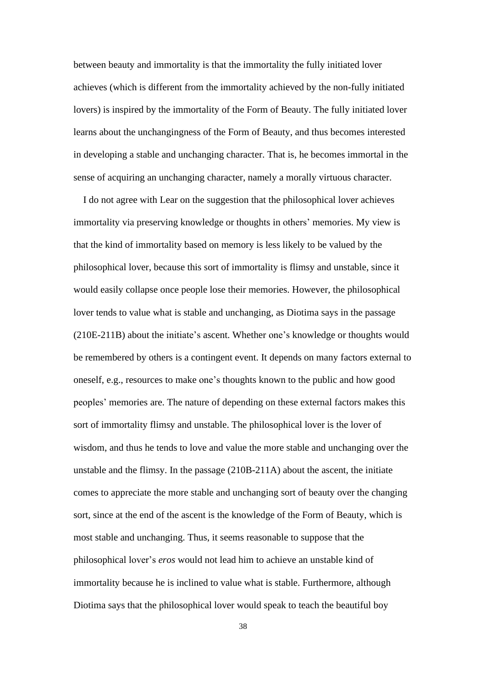between beauty and immortality is that the immortality the fully initiated lover achieves (which is different from the immortality achieved by the non-fully initiated lovers) is inspired by the immortality of the Form of Beauty. The fully initiated lover learns about the unchangingness of the Form of Beauty, and thus becomes interested in developing a stable and unchanging character. That is, he becomes immortal in the sense of acquiring an unchanging character, namely a morally virtuous character.

 I do not agree with Lear on the suggestion that the philosophical lover achieves immortality via preserving knowledge or thoughts in others' memories. My view is that the kind of immortality based on memory is less likely to be valued by the philosophical lover, because this sort of immortality is flimsy and unstable, since it would easily collapse once people lose their memories. However, the philosophical lover tends to value what is stable and unchanging, as Diotima says in the passage (210E-211B) about the initiate's ascent. Whether one's knowledge or thoughts would be remembered by others is a contingent event. It depends on many factors external to oneself, e.g., resources to make one's thoughts known to the public and how good peoples' memories are. The nature of depending on these external factors makes this sort of immortality flimsy and unstable. The philosophical lover is the lover of wisdom, and thus he tends to love and value the more stable and unchanging over the unstable and the flimsy. In the passage (210B-211A) about the ascent, the initiate comes to appreciate the more stable and unchanging sort of beauty over the changing sort, since at the end of the ascent is the knowledge of the Form of Beauty, which is most stable and unchanging. Thus, it seems reasonable to suppose that the philosophical lover's *eros* would not lead him to achieve an unstable kind of immortality because he is inclined to value what is stable. Furthermore, although Diotima says that the philosophical lover would speak to teach the beautiful boy

38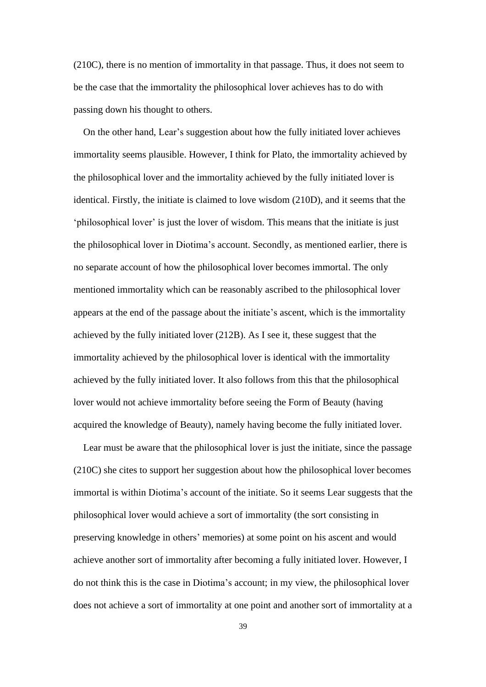(210C), there is no mention of immortality in that passage. Thus, it does not seem to be the case that the immortality the philosophical lover achieves has to do with passing down his thought to others.

 On the other hand, Lear's suggestion about how the fully initiated lover achieves immortality seems plausible. However, I think for Plato, the immortality achieved by the philosophical lover and the immortality achieved by the fully initiated lover is identical. Firstly, the initiate is claimed to love wisdom (210D), and it seems that the 'philosophical lover' is just the lover of wisdom. This means that the initiate is just the philosophical lover in Diotima's account. Secondly, as mentioned earlier, there is no separate account of how the philosophical lover becomes immortal. The only mentioned immortality which can be reasonably ascribed to the philosophical lover appears at the end of the passage about the initiate's ascent, which is the immortality achieved by the fully initiated lover (212B). As I see it, these suggest that the immortality achieved by the philosophical lover is identical with the immortality achieved by the fully initiated lover. It also follows from this that the philosophical lover would not achieve immortality before seeing the Form of Beauty (having acquired the knowledge of Beauty), namely having become the fully initiated lover.

Lear must be aware that the philosophical lover is just the initiate, since the passage (210C) she cites to support her suggestion about how the philosophical lover becomes immortal is within Diotima's account of the initiate. So it seems Lear suggests that the philosophical lover would achieve a sort of immortality (the sort consisting in preserving knowledge in others' memories) at some point on his ascent and would achieve another sort of immortality after becoming a fully initiated lover. However, I do not think this is the case in Diotima's account; in my view, the philosophical lover does not achieve a sort of immortality at one point and another sort of immortality at a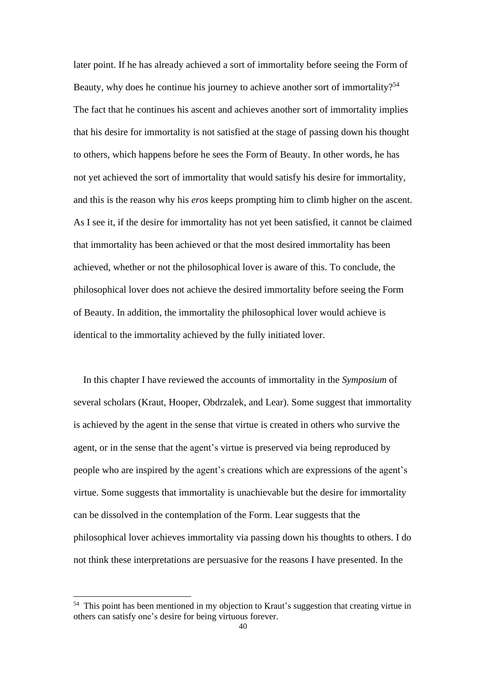later point. If he has already achieved a sort of immortality before seeing the Form of Beauty, why does he continue his journey to achieve another sort of immortality?<sup>54</sup> The fact that he continues his ascent and achieves another sort of immortality implies that his desire for immortality is not satisfied at the stage of passing down his thought to others, which happens before he sees the Form of Beauty. In other words, he has not yet achieved the sort of immortality that would satisfy his desire for immortality, and this is the reason why his *eros* keeps prompting him to climb higher on the ascent. As I see it, if the desire for immortality has not yet been satisfied, it cannot be claimed that immortality has been achieved or that the most desired immortality has been achieved, whether or not the philosophical lover is aware of this. To conclude, the philosophical lover does not achieve the desired immortality before seeing the Form of Beauty. In addition, the immortality the philosophical lover would achieve is identical to the immortality achieved by the fully initiated lover.

In this chapter I have reviewed the accounts of immortality in the *Symposium* of several scholars (Kraut, Hooper, Obdrzalek, and Lear). Some suggest that immortality is achieved by the agent in the sense that virtue is created in others who survive the agent, or in the sense that the agent's virtue is preserved via being reproduced by people who are inspired by the agent's creations which are expressions of the agent's virtue. Some suggests that immortality is unachievable but the desire for immortality can be dissolved in the contemplation of the Form. Lear suggests that the philosophical lover achieves immortality via passing down his thoughts to others. I do not think these interpretations are persuasive for the reasons I have presented. In the

 $54$  This point has been mentioned in my objection to Kraut's suggestion that creating virtue in others can satisfy one's desire for being virtuous forever.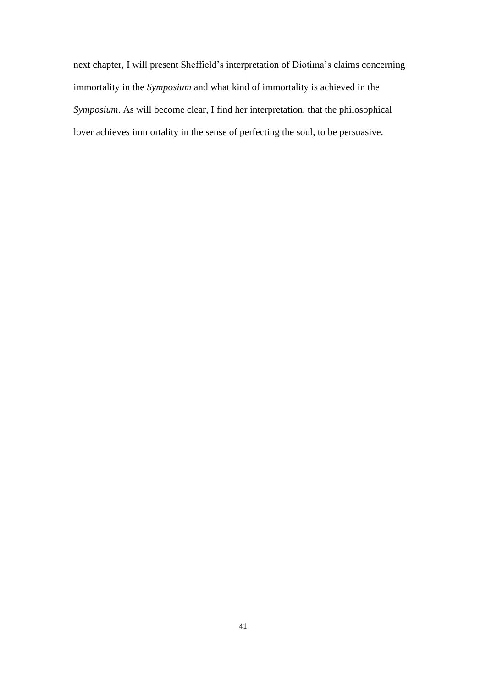next chapter, I will present Sheffield's interpretation of Diotima's claims concerning immortality in the *Symposium* and what kind of immortality is achieved in the *Symposium*. As will become clear, I find her interpretation, that the philosophical lover achieves immortality in the sense of perfecting the soul, to be persuasive.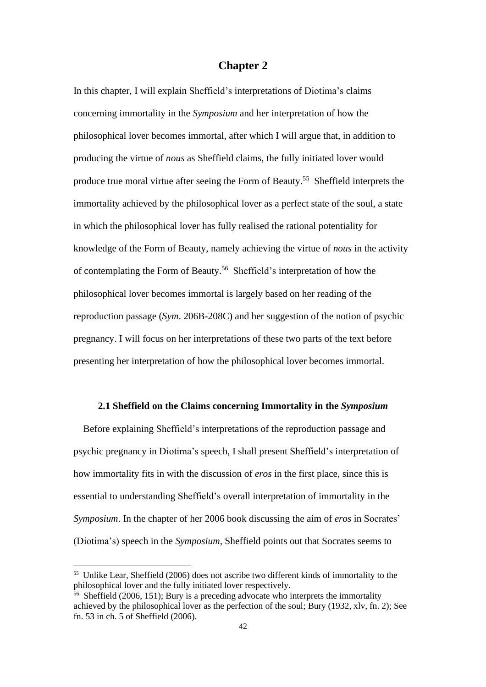# **Chapter 2**

In this chapter, I will explain Sheffield's interpretations of Diotima's claims concerning immortality in the *Symposium* and her interpretation of how the philosophical lover becomes immortal, after which I will argue that, in addition to producing the virtue of *nous* as Sheffield claims, the fully initiated lover would produce true moral virtue after seeing the Form of Beauty.<sup>55</sup> Sheffield interprets the immortality achieved by the philosophical lover as a perfect state of the soul, a state in which the philosophical lover has fully realised the rational potentiality for knowledge of the Form of Beauty, namely achieving the virtue of *nous* in the activity of contemplating the Form of Beauty.<sup>56</sup> Sheffield's interpretation of how the philosophical lover becomes immortal is largely based on her reading of the reproduction passage (*Sym*. 206B-208C) and her suggestion of the notion of psychic pregnancy. I will focus on her interpretations of these two parts of the text before presenting her interpretation of how the philosophical lover becomes immortal.

## **2.1 Sheffield on the Claims concerning Immortality in the** *Symposium*

 Before explaining Sheffield's interpretations of the reproduction passage and psychic pregnancy in Diotima's speech, I shall present Sheffield's interpretation of how immortality fits in with the discussion of *eros* in the first place, since this is essential to understanding Sheffield's overall interpretation of immortality in the *Symposium*. In the chapter of her 2006 book discussing the aim of *eros* in Socrates' (Diotima's) speech in the *Symposium*, Sheffield points out that Socrates seems to

<sup>55</sup> Unlike Lear, Sheffield (2006) does not ascribe two different kinds of immortality to the philosophical lover and the fully initiated lover respectively.

<sup>56</sup> Sheffield (2006, 151); Bury is a preceding advocate who interprets the immortality achieved by the philosophical lover as the perfection of the soul; Bury (1932, xlv, fn. 2); See fn. 53 in ch. 5 of Sheffield (2006).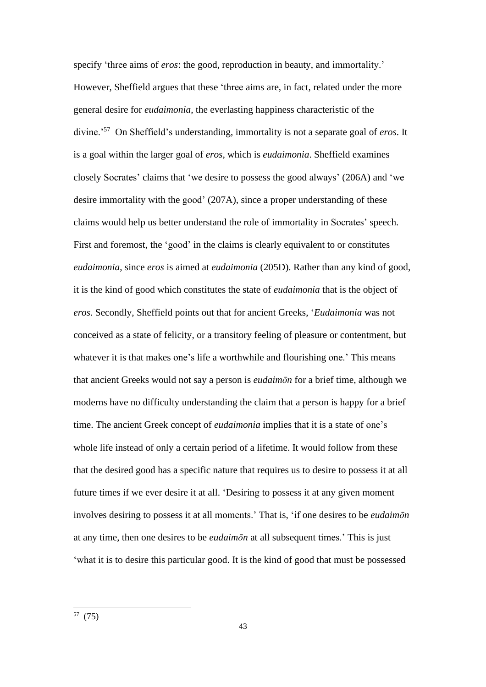specify 'three aims of *eros*: the good, reproduction in beauty, and immortality.' However, Sheffield argues that these 'three aims are, in fact, related under the more general desire for *eudaimonia*, the everlasting happiness characteristic of the divine.'<sup>57</sup> On Sheffield's understanding, immortality is not a separate goal of *eros*. It is a goal within the larger goal of *eros*, which is *eudaimonia*. Sheffield examines closely Socrates' claims that 'we desire to possess the good always' (206A) and 'we desire immortality with the good' (207A), since a proper understanding of these claims would help us better understand the role of immortality in Socrates' speech. First and foremost, the 'good' in the claims is clearly equivalent to or constitutes *eudaimonia*, since *eros* is aimed at *eudaimonia* (205D). Rather than any kind of good, it is the kind of good which constitutes the state of *eudaimonia* that is the object of *eros*. Secondly, Sheffield points out that for ancient Greeks, '*Eudaimonia* was not conceived as a state of felicity, or a transitory feeling of pleasure or contentment, but whatever it is that makes one's life a worthwhile and flourishing one.' This means that ancient Greeks would not say a person is *eudaimōn* for a brief time, although we moderns have no difficulty understanding the claim that a person is happy for a brief time. The ancient Greek concept of *eudaimonia* implies that it is a state of one's whole life instead of only a certain period of a lifetime. It would follow from these that the desired good has a specific nature that requires us to desire to possess it at all future times if we ever desire it at all. 'Desiring to possess it at any given moment involves desiring to possess it at all moments.' That is, 'if one desires to be *eudaimōn* at any time, then one desires to be *eudaimōn* at all subsequent times.' This is just 'what it is to desire this particular good. It is the kind of good that must be possessed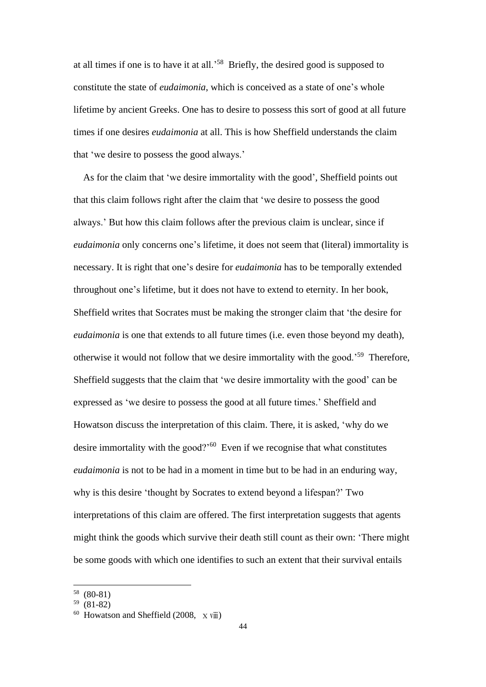at all times if one is to have it at all.'<sup>58</sup> Briefly, the desired good is supposed to constitute the state of *eudaimonia*, which is conceived as a state of one's whole lifetime by ancient Greeks. One has to desire to possess this sort of good at all future times if one desires *eudaimonia* at all. This is how Sheffield understands the claim that 'we desire to possess the good always.'

 As for the claim that 'we desire immortality with the good', Sheffield points out that this claim follows right after the claim that 'we desire to possess the good always.' But how this claim follows after the previous claim is unclear, since if *eudaimonia* only concerns one's lifetime, it does not seem that (literal) immortality is necessary. It is right that one's desire for *eudaimonia* has to be temporally extended throughout one's lifetime, but it does not have to extend to eternity. In her book, Sheffield writes that Socrates must be making the stronger claim that 'the desire for *eudaimonia* is one that extends to all future times (i.e. even those beyond my death), otherwise it would not follow that we desire immortality with the good.'<sup>59</sup> Therefore, Sheffield suggests that the claim that 'we desire immortality with the good' can be expressed as 'we desire to possess the good at all future times.' Sheffield and Howatson discuss the interpretation of this claim. There, it is asked, 'why do we desire immortality with the good?'<sup>60</sup> Even if we recognise that what constitutes *eudaimonia* is not to be had in a moment in time but to be had in an enduring way, why is this desire 'thought by Socrates to extend beyond a lifespan?' Two interpretations of this claim are offered. The first interpretation suggests that agents might think the goods which survive their death still count as their own: 'There might be some goods with which one identifies to such an extent that their survival entails

<sup>58</sup> (80-81)

<sup>59</sup> (81-82)

 $60$  Howatson and Sheffield (2008,  $\bar{x}$  viii)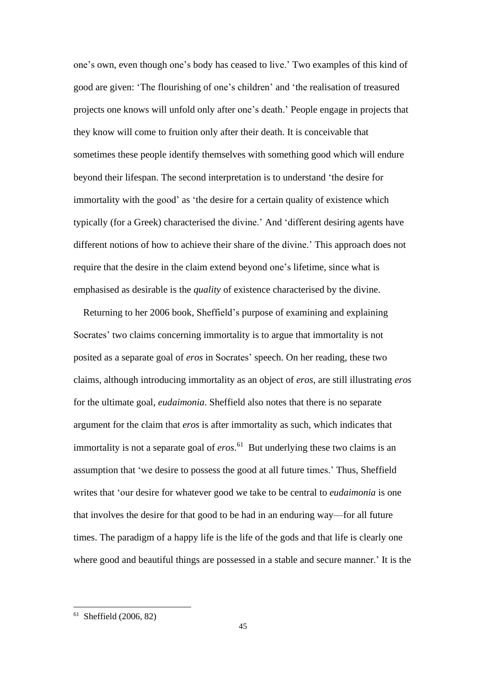one's own, even though one's body has ceased to live.' Two examples of this kind of good are given: 'The flourishing of one's children' and 'the realisation of treasured projects one knows will unfold only after one's death.' People engage in projects that they know will come to fruition only after their death. It is conceivable that sometimes these people identify themselves with something good which will endure beyond their lifespan. The second interpretation is to understand 'the desire for immortality with the good' as 'the desire for a certain quality of existence which typically (for a Greek) characterised the divine.' And 'different desiring agents have different notions of how to achieve their share of the divine.' This approach does not require that the desire in the claim extend beyond one's lifetime, since what is emphasised as desirable is the *quality* of existence characterised by the divine.

 Returning to her 2006 book, Sheffield's purpose of examining and explaining Socrates' two claims concerning immortality is to argue that immortality is not posited as a separate goal of *eros* in Socrates' speech. On her reading, these two claims, although introducing immortality as an object of *eros*, are still illustrating *eros* for the ultimate goal, *eudaimonia*. Sheffield also notes that there is no separate argument for the claim that *eros* is after immortality as such, which indicates that immortality is not a separate goal of *eros*. <sup>61</sup> But underlying these two claims is an assumption that 'we desire to possess the good at all future times.' Thus, Sheffield writes that 'our desire for whatever good we take to be central to *eudaimonia* is one that involves the desire for that good to be had in an enduring way—for all future times. The paradigm of a happy life is the life of the gods and that life is clearly one where good and beautiful things are possessed in a stable and secure manner.' It is the

 $61$  Sheffield (2006, 82)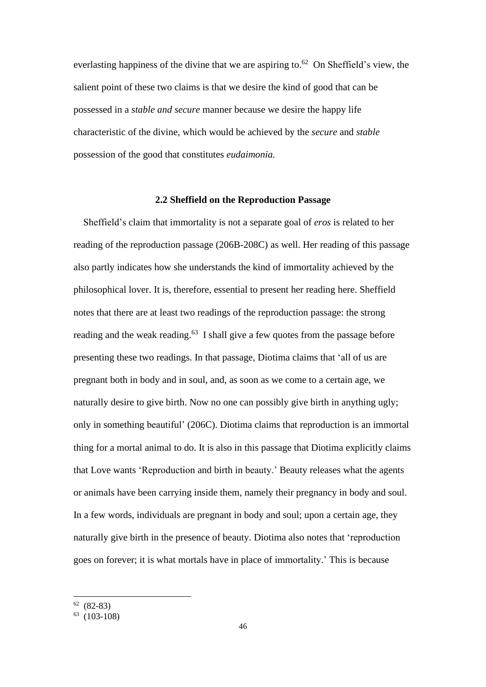everlasting happiness of the divine that we are aspiring to.<sup>62</sup> On Sheffield's view, the salient point of these two claims is that we desire the kind of good that can be possessed in a *stable and secure* manner because we desire the happy life characteristic of the divine, which would be achieved by the *secure* and *stable* possession of the good that constitutes *eudaimonia.*

### **2.2 Sheffield on the Reproduction Passage**

 Sheffield's claim that immortality is not a separate goal of *eros* is related to her reading of the reproduction passage (206B-208C) as well. Her reading of this passage also partly indicates how she understands the kind of immortality achieved by the philosophical lover. It is, therefore, essential to present her reading here. Sheffield notes that there are at least two readings of the reproduction passage: the strong reading and the weak reading.<sup>63</sup> I shall give a few quotes from the passage before presenting these two readings. In that passage, Diotima claims that 'all of us are pregnant both in body and in soul, and, as soon as we come to a certain age, we naturally desire to give birth. Now no one can possibly give birth in anything ugly; only in something beautiful' (206C). Diotima claims that reproduction is an immortal thing for a mortal animal to do. It is also in this passage that Diotima explicitly claims that Love wants 'Reproduction and birth in beauty.' Beauty releases what the agents or animals have been carrying inside them, namely their pregnancy in body and soul. In a few words, individuals are pregnant in body and soul; upon a certain age, they naturally give birth in the presence of beauty. Diotima also notes that 'reproduction goes on forever; it is what mortals have in place of immortality.' This is because

 $62 (82-83)$ 

 $^{63}$  (103-108)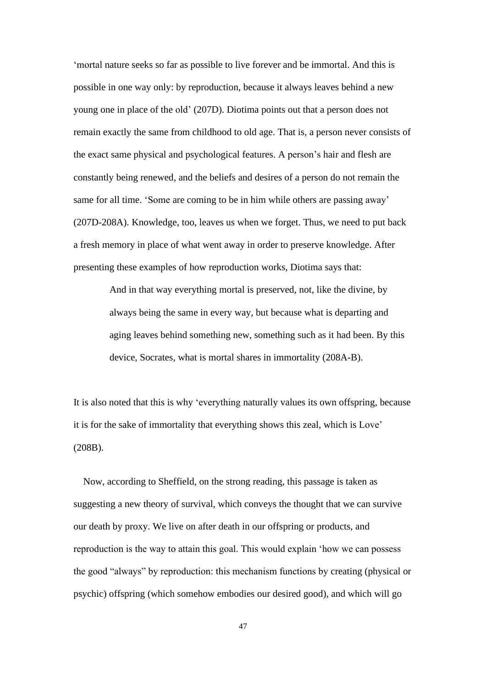'mortal nature seeks so far as possible to live forever and be immortal. And this is possible in one way only: by reproduction, because it always leaves behind a new young one in place of the old' (207D). Diotima points out that a person does not remain exactly the same from childhood to old age. That is, a person never consists of the exact same physical and psychological features. A person's hair and flesh are constantly being renewed, and the beliefs and desires of a person do not remain the same for all time. 'Some are coming to be in him while others are passing away' (207D-208A). Knowledge, too, leaves us when we forget. Thus, we need to put back a fresh memory in place of what went away in order to preserve knowledge. After presenting these examples of how reproduction works, Diotima says that:

> And in that way everything mortal is preserved, not, like the divine, by always being the same in every way, but because what is departing and aging leaves behind something new, something such as it had been. By this device, Socrates, what is mortal shares in immortality (208A-B).

It is also noted that this is why 'everything naturally values its own offspring, because it is for the sake of immortality that everything shows this zeal, which is Love' (208B).

 Now, according to Sheffield, on the strong reading, this passage is taken as suggesting a new theory of survival, which conveys the thought that we can survive our death by proxy. We live on after death in our offspring or products, and reproduction is the way to attain this goal. This would explain 'how we can possess the good "always" by reproduction: this mechanism functions by creating (physical or psychic) offspring (which somehow embodies our desired good), and which will go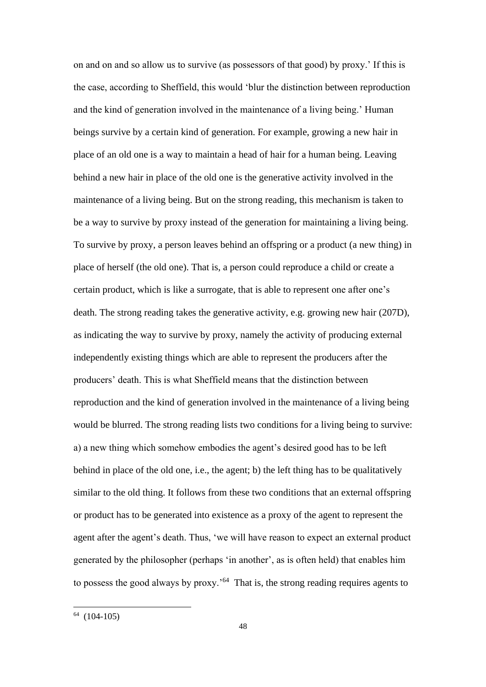on and on and so allow us to survive (as possessors of that good) by proxy.' If this is the case, according to Sheffield, this would 'blur the distinction between reproduction and the kind of generation involved in the maintenance of a living being.' Human beings survive by a certain kind of generation. For example, growing a new hair in place of an old one is a way to maintain a head of hair for a human being. Leaving behind a new hair in place of the old one is the generative activity involved in the maintenance of a living being. But on the strong reading, this mechanism is taken to be a way to survive by proxy instead of the generation for maintaining a living being. To survive by proxy, a person leaves behind an offspring or a product (a new thing) in place of herself (the old one). That is, a person could reproduce a child or create a certain product, which is like a surrogate, that is able to represent one after one's death. The strong reading takes the generative activity, e.g. growing new hair (207D), as indicating the way to survive by proxy, namely the activity of producing external independently existing things which are able to represent the producers after the producers' death. This is what Sheffield means that the distinction between reproduction and the kind of generation involved in the maintenance of a living being would be blurred. The strong reading lists two conditions for a living being to survive: a) a new thing which somehow embodies the agent's desired good has to be left behind in place of the old one, i.e., the agent; b) the left thing has to be qualitatively similar to the old thing. It follows from these two conditions that an external offspring or product has to be generated into existence as a proxy of the agent to represent the agent after the agent's death. Thus, 'we will have reason to expect an external product generated by the philosopher (perhaps 'in another', as is often held) that enables him to possess the good always by proxy.'<sup>64</sup> That is, the strong reading requires agents to

 $64(104-105)$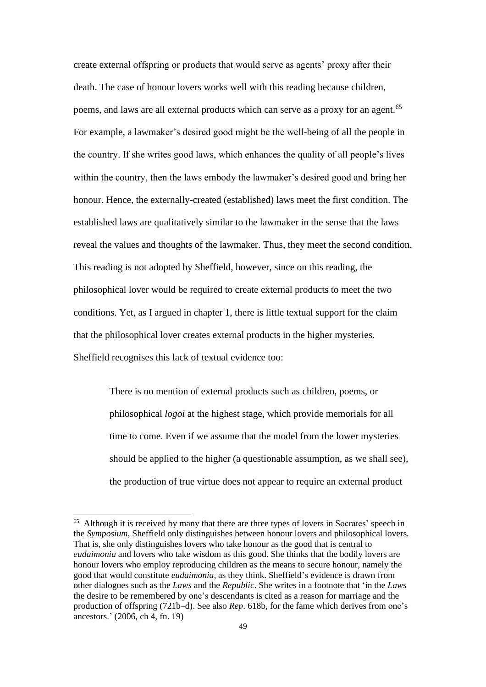create external offspring or products that would serve as agents' proxy after their death. The case of honour lovers works well with this reading because children, poems, and laws are all external products which can serve as a proxy for an agent.<sup>65</sup> For example, a lawmaker's desired good might be the well-being of all the people in the country. If she writes good laws, which enhances the quality of all people's lives within the country, then the laws embody the lawmaker's desired good and bring her honour. Hence, the externally-created (established) laws meet the first condition. The established laws are qualitatively similar to the lawmaker in the sense that the laws reveal the values and thoughts of the lawmaker. Thus, they meet the second condition. This reading is not adopted by Sheffield, however, since on this reading, the philosophical lover would be required to create external products to meet the two conditions. Yet, as I argued in chapter 1, there is little textual support for the claim that the philosophical lover creates external products in the higher mysteries. Sheffield recognises this lack of textual evidence too:

> There is no mention of external products such as children, poems, or philosophical *logoi* at the highest stage, which provide memorials for all time to come. Even if we assume that the model from the lower mysteries should be applied to the higher (a questionable assumption, as we shall see), the production of true virtue does not appear to require an external product

<sup>&</sup>lt;sup>65</sup> Although it is received by many that there are three types of lovers in Socrates' speech in the *Symposium*, Sheffield only distinguishes between honour lovers and philosophical lovers*.* That is, she only distinguishes lovers who take honour as the good that is central to *eudaimonia* and lovers who take wisdom as this good. She thinks that the bodily lovers are honour lovers who employ reproducing children as the means to secure honour, namely the good that would constitute *eudaimonia*, as they think. Sheffield's evidence is drawn from other dialogues such as the *Laws* and the *Republic*. She writes in a footnote that 'in the *Laws* the desire to be remembered by one's descendants is cited as a reason for marriage and the production of offspring (721b–d). See also *Rep*. 618b, for the fame which derives from one's ancestors.' (2006, ch 4, fn. 19)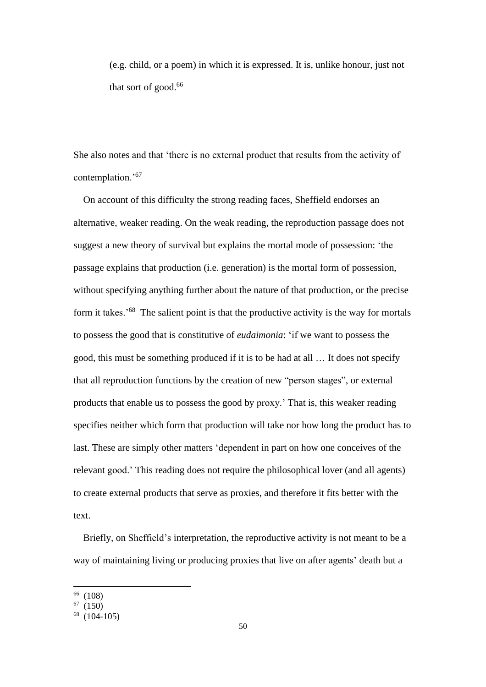(e.g. child, or a poem) in which it is expressed. It is, unlike honour, just not that sort of good. 66

She also notes and that 'there is no external product that results from the activity of contemplation.'<sup>67</sup>

 On account of this difficulty the strong reading faces, Sheffield endorses an alternative, weaker reading. On the weak reading, the reproduction passage does not suggest a new theory of survival but explains the mortal mode of possession: 'the passage explains that production (i.e. generation) is the mortal form of possession, without specifying anything further about the nature of that production, or the precise form it takes.<sup>'68</sup> The salient point is that the productive activity is the way for mortals to possess the good that is constitutive of *eudaimonia*: 'if we want to possess the good, this must be something produced if it is to be had at all … It does not specify that all reproduction functions by the creation of new "person stages", or external products that enable us to possess the good by proxy.' That is, this weaker reading specifies neither which form that production will take nor how long the product has to last. These are simply other matters 'dependent in part on how one conceives of the relevant good.' This reading does not require the philosophical lover (and all agents) to create external products that serve as proxies, and therefore it fits better with the text.

 Briefly, on Sheffield's interpretation, the reproductive activity is not meant to be a way of maintaining living or producing proxies that live on after agents' death but a

<sup>66</sup> (108)

 $67(150)$ 

 $68$  (104-105)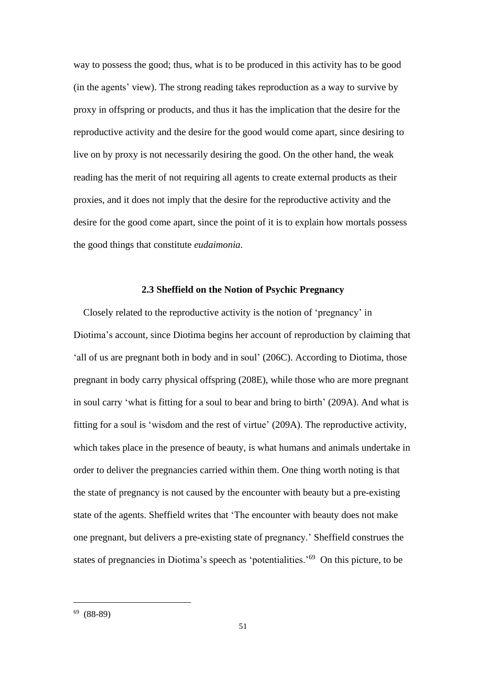way to possess the good; thus, what is to be produced in this activity has to be good (in the agents' view). The strong reading takes reproduction as a way to survive by proxy in offspring or products, and thus it has the implication that the desire for the reproductive activity and the desire for the good would come apart, since desiring to live on by proxy is not necessarily desiring the good. On the other hand, the weak reading has the merit of not requiring all agents to create external products as their proxies, and it does not imply that the desire for the reproductive activity and the desire for the good come apart, since the point of it is to explain how mortals possess the good things that constitute *eudaimonia*.

## **2.3 Sheffield on the Notion of Psychic Pregnancy**

Closely related to the reproductive activity is the notion of 'pregnancy' in Diotima's account, since Diotima begins her account of reproduction by claiming that 'all of us are pregnant both in body and in soul' (206C). According to Diotima, those pregnant in body carry physical offspring (208E), while those who are more pregnant in soul carry 'what is fitting for a soul to bear and bring to birth' (209A). And what is fitting for a soul is 'wisdom and the rest of virtue' (209A). The reproductive activity, which takes place in the presence of beauty, is what humans and animals undertake in order to deliver the pregnancies carried within them. One thing worth noting is that the state of pregnancy is not caused by the encounter with beauty but a pre-existing state of the agents. Sheffield writes that 'The encounter with beauty does not make one pregnant, but delivers a pre-existing state of pregnancy.' Sheffield construes the states of pregnancies in Diotima's speech as 'potentialities.<sup>'69</sup> On this picture, to be

 $69(88-89)$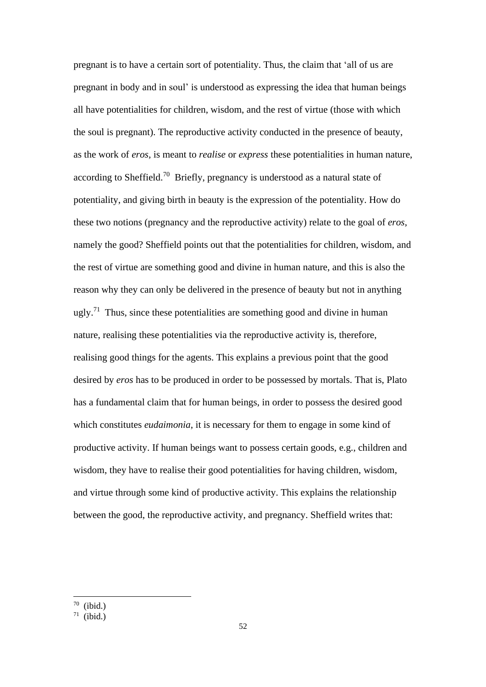pregnant is to have a certain sort of potentiality. Thus, the claim that 'all of us are pregnant in body and in soul' is understood as expressing the idea that human beings all have potentialities for children, wisdom, and the rest of virtue (those with which the soul is pregnant). The reproductive activity conducted in the presence of beauty, as the work of *eros,* is meant to *realise* or *express* these potentialities in human nature, according to Sheffield.<sup>70</sup> Briefly, pregnancy is understood as a natural state of potentiality, and giving birth in beauty is the expression of the potentiality. How do these two notions (pregnancy and the reproductive activity) relate to the goal of *eros*, namely the good? Sheffield points out that the potentialities for children, wisdom, and the rest of virtue are something good and divine in human nature, and this is also the reason why they can only be delivered in the presence of beauty but not in anything ugly.<sup>71</sup> Thus, since these potentialities are something good and divine in human nature, realising these potentialities via the reproductive activity is, therefore, realising good things for the agents. This explains a previous point that the good desired by *eros* has to be produced in order to be possessed by mortals. That is, Plato has a fundamental claim that for human beings, in order to possess the desired good which constitutes *eudaimonia*, it is necessary for them to engage in some kind of productive activity. If human beings want to possess certain goods, e.g., children and wisdom, they have to realise their good potentialities for having children, wisdom, and virtue through some kind of productive activity. This explains the relationship between the good, the reproductive activity, and pregnancy. Sheffield writes that:

 $70$  (ibid.)

 $71$  (ibid.)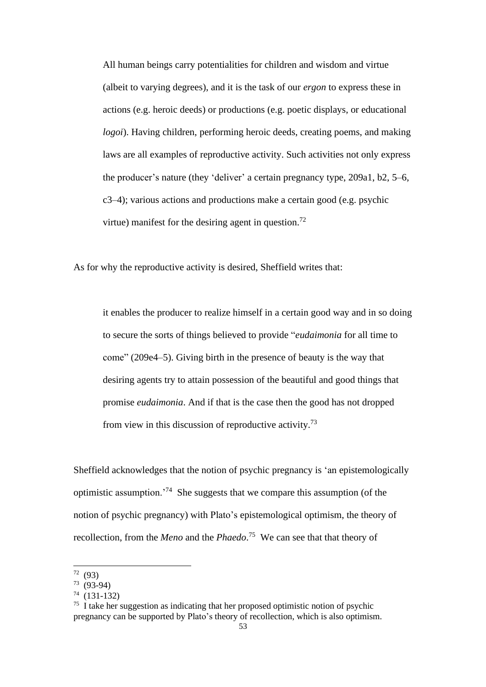All human beings carry potentialities for children and wisdom and virtue (albeit to varying degrees), and it is the task of our *ergon* to express these in actions (e.g. heroic deeds) or productions (e.g. poetic displays, or educational *logoi*). Having children, performing heroic deeds, creating poems, and making laws are all examples of reproductive activity. Such activities not only express the producer's nature (they 'deliver' a certain pregnancy type, 209a1, b2, 5–6, c3–4); various actions and productions make a certain good (e.g. psychic virtue) manifest for the desiring agent in question.<sup>72</sup>

As for why the reproductive activity is desired, Sheffield writes that:

it enables the producer to realize himself in a certain good way and in so doing to secure the sorts of things believed to provide "*eudaimonia* for all time to come" (209e4–5). Giving birth in the presence of beauty is the way that desiring agents try to attain possession of the beautiful and good things that promise *eudaimonia*. And if that is the case then the good has not dropped from view in this discussion of reproductive activity.<sup>73</sup>

Sheffield acknowledges that the notion of psychic pregnancy is 'an epistemologically optimistic assumption.'<sup>74</sup> She suggests that we compare this assumption (of the notion of psychic pregnancy) with Plato's epistemological optimism, the theory of recollection, from the *Meno* and the *Phaedo*. <sup>75</sup> We can see that that theory of

 $72(93)$ 

 $73(93-94)$ 

<sup>74</sup> (131-132)

<sup>75</sup> I take her suggestion as indicating that her proposed optimistic notion of psychic pregnancy can be supported by Plato's theory of recollection, which is also optimism.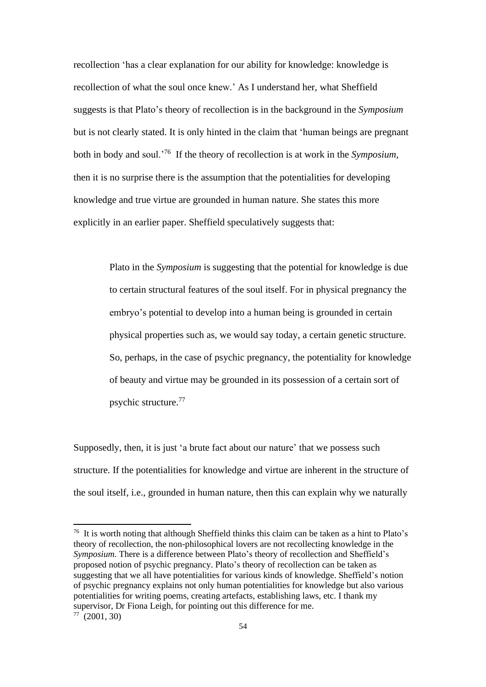recollection 'has a clear explanation for our ability for knowledge: knowledge is recollection of what the soul once knew.' As I understand her, what Sheffield suggests is that Plato's theory of recollection is in the background in the *Symposium* but is not clearly stated. It is only hinted in the claim that 'human beings are pregnant both in body and soul.'<sup>76</sup> If the theory of recollection is at work in the *Symposium*, then it is no surprise there is the assumption that the potentialities for developing knowledge and true virtue are grounded in human nature. She states this more explicitly in an earlier paper. Sheffield speculatively suggests that:

> Plato in the *Symposium* is suggesting that the potential for knowledge is due to certain structural features of the soul itself. For in physical pregnancy the embryo's potential to develop into a human being is grounded in certain physical properties such as, we would say today, a certain genetic structure. So, perhaps, in the case of psychic pregnancy, the potentiality for knowledge of beauty and virtue may be grounded in its possession of a certain sort of psychic structure.<sup>77</sup>

Supposedly, then, it is just 'a brute fact about our nature' that we possess such structure. If the potentialities for knowledge and virtue are inherent in the structure of the soul itself, i.e., grounded in human nature, then this can explain why we naturally

 $76$  It is worth noting that although Sheffield thinks this claim can be taken as a hint to Plato's theory of recollection, the non-philosophical lovers are not recollecting knowledge in the *Symposium*. There is a difference between Plato's theory of recollection and Sheffield's proposed notion of psychic pregnancy. Plato's theory of recollection can be taken as suggesting that we all have potentialities for various kinds of knowledge. Sheffield's notion of psychic pregnancy explains not only human potentialities for knowledge but also various potentialities for writing poems, creating artefacts, establishing laws, etc. I thank my supervisor, Dr Fiona Leigh, for pointing out this difference for me.  $77 \ (2001, 30)$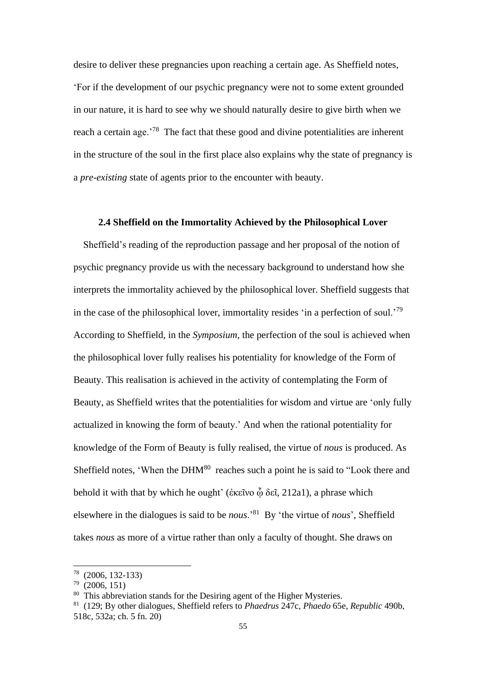desire to deliver these pregnancies upon reaching a certain age. As Sheffield notes, 'For if the development of our psychic pregnancy were not to some extent grounded in our nature, it is hard to see why we should naturally desire to give birth when we reach a certain age.<sup>78</sup> The fact that these good and divine potentialities are inherent in the structure of the soul in the first place also explains why the state of pregnancy is a *pre-existing* state of agents prior to the encounter with beauty.

## **2.4 Sheffield on the Immortality Achieved by the Philosophical Lover**

 Sheffield's reading of the reproduction passage and her proposal of the notion of psychic pregnancy provide us with the necessary background to understand how she interprets the immortality achieved by the philosophical lover. Sheffield suggests that in the case of the philosophical lover, immortality resides 'in a perfection of soul.'<sup>79</sup> According to Sheffield, in the *Symposium*, the perfection of the soul is achieved when the philosophical lover fully realises his potentiality for knowledge of the Form of Beauty. This realisation is achieved in the activity of contemplating the Form of Beauty, as Sheffield writes that the potentialities for wisdom and virtue are 'only fully actualized in knowing the form of beauty.' And when the rational potentiality for knowledge of the Form of Beauty is fully realised, the virtue of *nous* is produced. As Sheffield notes, 'When the DHM<sup>80</sup> reaches such a point he is said to "Look there and behold it with that by which he ought' (ἐκεῖνο φ δεῖ, 212a1), a phrase which elsewhere in the dialogues is said to be *nous*.'<sup>81</sup> By 'the virtue of *nous*', Sheffield takes *nous* as more of a virtue rather than only a faculty of thought. She draws on

<sup>78</sup> (2006, 132-133)

<sup>79</sup> (2006, 151)

<sup>&</sup>lt;sup>80</sup> This abbreviation stands for the Desiring agent of the Higher Mysteries.

<sup>81</sup> (129; By other dialogues, Sheffield refers to *Phaedrus* 247c, *Phaedo* 65e, *Republic* 490b, 518c, 532a; ch. 5 fn. 20)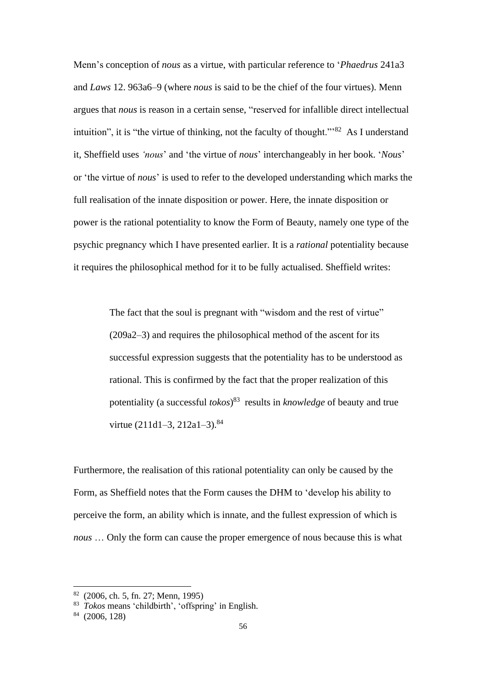Menn's conception of *nous* as a virtue, with particular reference to '*Phaedrus* 241a3 and *Laws* 12. 963a6–9 (where *nous* is said to be the chief of the four virtues). Menn argues that *nous* is reason in a certain sense, "reserved for infallible direct intellectual intuition", it is "the virtue of thinking, not the faculty of thought."<sup>82</sup> As I understand it, Sheffield uses *'nous*' and 'the virtue of *nous*' interchangeably in her book. '*Nous*' or 'the virtue of *nous*' is used to refer to the developed understanding which marks the full realisation of the innate disposition or power. Here, the innate disposition or power is the rational potentiality to know the Form of Beauty, namely one type of the psychic pregnancy which I have presented earlier. It is a *rational* potentiality because it requires the philosophical method for it to be fully actualised. Sheffield writes:

> The fact that the soul is pregnant with "wisdom and the rest of virtue" (209a2–3) and requires the philosophical method of the ascent for its successful expression suggests that the potentiality has to be understood as rational. This is confirmed by the fact that the proper realization of this potentiality (a successful *tokos*) <sup>83</sup> results in *knowledge* of beauty and true virtue (211d1–3, 212a1–3).<sup>84</sup>

Furthermore, the realisation of this rational potentiality can only be caused by the Form, as Sheffield notes that the Form causes the DHM to 'develop his ability to perceive the form, an ability which is innate, and the fullest expression of which is *nous* … Only the form can cause the proper emergence of nous because this is what

<sup>82</sup> (2006, ch. 5, fn. 27; Menn, 1995)

<sup>83</sup> *Tokos* means 'childbirth', 'offspring' in English.

 $84$  (2006, 128)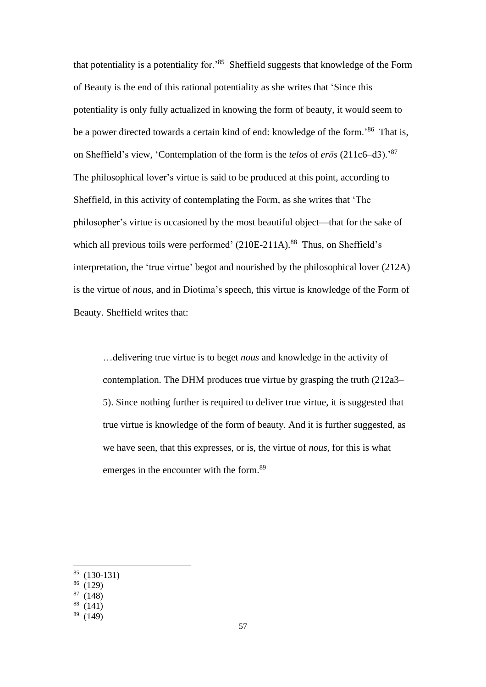that potentiality is a potentiality for.'<sup>85</sup> Sheffield suggests that knowledge of the Form of Beauty is the end of this rational potentiality as she writes that 'Since this potentiality is only fully actualized in knowing the form of beauty, it would seem to be a power directed towards a certain kind of end: knowledge of the form.<sup>86</sup> That is, on Sheffield's view, 'Contemplation of the form is the *telos* of *erōs* (211c6–d3).'<sup>87</sup> The philosophical lover's virtue is said to be produced at this point, according to Sheffield, in this activity of contemplating the Form, as she writes that 'The philosopher's virtue is occasioned by the most beautiful object—that for the sake of which all previous toils were performed'  $(210E-211A)$ .<sup>88</sup> Thus, on Sheffield's interpretation, the 'true virtue' begot and nourished by the philosophical lover (212A) is the virtue of *nous*, and in Diotima's speech, this virtue is knowledge of the Form of Beauty. Sheffield writes that:

…delivering true virtue is to beget *nous* and knowledge in the activity of contemplation. The DHM produces true virtue by grasping the truth (212a3– 5). Since nothing further is required to deliver true virtue, it is suggested that true virtue is knowledge of the form of beauty. And it is further suggested, as we have seen, that this expresses, or is, the virtue of *nous*, for this is what emerges in the encounter with the form.<sup>89</sup>

 $85$  (130-131)

 $(129)$ 

 $87(148)$ 

 $(141)$ 

 $89(149)$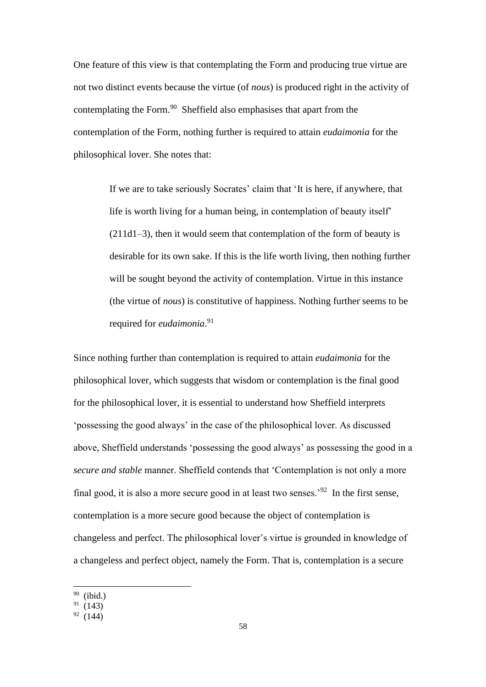One feature of this view is that contemplating the Form and producing true virtue are not two distinct events because the virtue (of *nous*) is produced right in the activity of contemplating the Form.<sup>90</sup> Sheffield also emphasises that apart from the contemplation of the Form, nothing further is required to attain *eudaimonia* for the philosophical lover. She notes that:

> If we are to take seriously Socrates' claim that 'It is here, if anywhere, that life is worth living for a human being, in contemplation of beauty itself' (211d1–3), then it would seem that contemplation of the form of beauty is desirable for its own sake. If this is the life worth living, then nothing further will be sought beyond the activity of contemplation. Virtue in this instance (the virtue of *nous*) is constitutive of happiness. Nothing further seems to be required for *eudaimonia*. 91

Since nothing further than contemplation is required to attain *eudaimonia* for the philosophical lover, which suggests that wisdom or contemplation is the final good for the philosophical lover, it is essential to understand how Sheffield interprets 'possessing the good always' in the case of the philosophical lover. As discussed above, Sheffield understands 'possessing the good always' as possessing the good in a *secure and stable* manner. Sheffield contends that 'Contemplation is not only a more final good, it is also a more secure good in at least two senses.<sup>92</sup> In the first sense, contemplation is a more secure good because the object of contemplation is changeless and perfect. The philosophical lover's virtue is grounded in knowledge of a changeless and perfect object, namely the Form. That is, contemplation is a secure

<sup>90</sup> (ibid.)

 $91(143)$ 

 $92(144)$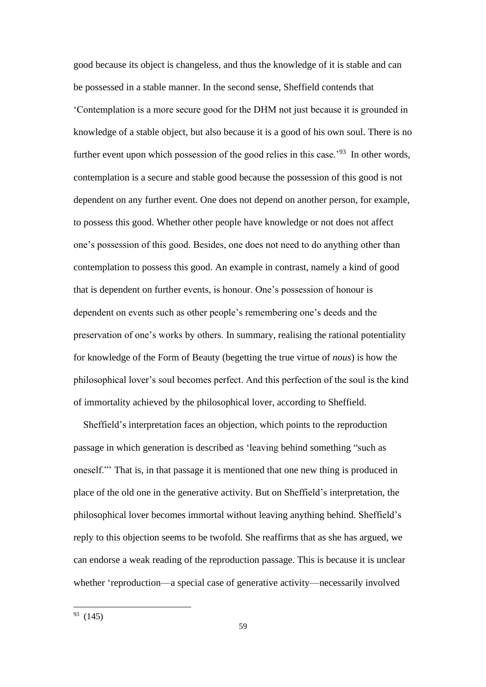good because its object is changeless, and thus the knowledge of it is stable and can be possessed in a stable manner. In the second sense, Sheffield contends that 'Contemplation is a more secure good for the DHM not just because it is grounded in knowledge of a stable object, but also because it is a good of his own soul. There is no further event upon which possession of the good relies in this case.<sup>'93</sup> In other words, contemplation is a secure and stable good because the possession of this good is not dependent on any further event. One does not depend on another person, for example, to possess this good. Whether other people have knowledge or not does not affect one's possession of this good. Besides, one does not need to do anything other than contemplation to possess this good. An example in contrast, namely a kind of good that is dependent on further events, is honour. One's possession of honour is dependent on events such as other people's remembering one's deeds and the preservation of one's works by others. In summary, realising the rational potentiality for knowledge of the Form of Beauty (begetting the true virtue of *nous*) is how the philosophical lover's soul becomes perfect. And this perfection of the soul is the kind of immortality achieved by the philosophical lover, according to Sheffield.

 Sheffield's interpretation faces an objection, which points to the reproduction passage in which generation is described as 'leaving behind something "such as oneself."' That is, in that passage it is mentioned that one new thing is produced in place of the old one in the generative activity. But on Sheffield's interpretation, the philosophical lover becomes immortal without leaving anything behind. Sheffield's reply to this objection seems to be twofold. She reaffirms that as she has argued, we can endorse a weak reading of the reproduction passage. This is because it is unclear whether 'reproduction—a special case of generative activity—necessarily involved

 $93(145)$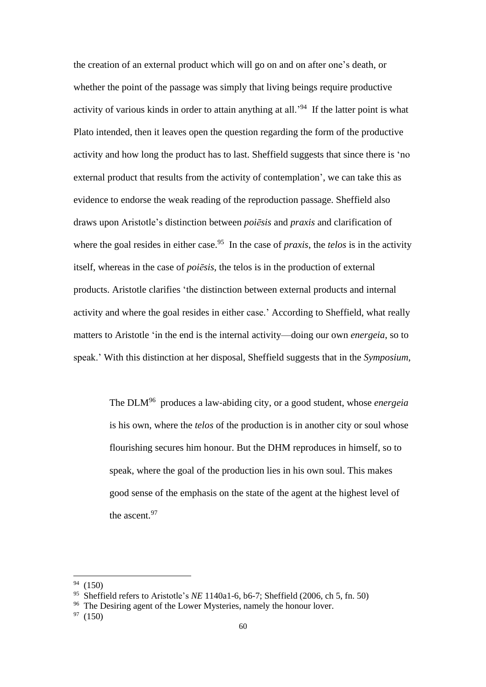the creation of an external product which will go on and on after one's death, or whether the point of the passage was simply that living beings require productive activity of various kinds in order to attain anything at all.'<sup>94</sup> If the latter point is what Plato intended, then it leaves open the question regarding the form of the productive activity and how long the product has to last. Sheffield suggests that since there is 'no external product that results from the activity of contemplation', we can take this as evidence to endorse the weak reading of the reproduction passage. Sheffield also draws upon Aristotle's distinction between *poiēsis* and *praxis* and clarification of where the goal resides in either case.<sup>95</sup> In the case of *praxis*, the *telos* is in the activity itself, whereas in the case of *poiēsis*, the telos is in the production of external products. Aristotle clarifies 'the distinction between external products and internal activity and where the goal resides in either case.' According to Sheffield, what really matters to Aristotle 'in the end is the internal activity—doing our own *energeia*, so to speak.' With this distinction at her disposal, Sheffield suggests that in the *Symposium*,

> The DLM<sup>96</sup> produces a law-abiding city, or a good student, whose *energeia* is his own, where the *telos* of the production is in another city or soul whose flourishing secures him honour. But the DHM reproduces in himself, so to speak, where the goal of the production lies in his own soul. This makes good sense of the emphasis on the state of the agent at the highest level of the ascent.<sup>97</sup>

 $(150)$ 

<sup>95</sup> Sheffield refers to Aristotle's *NE* 1140a1-6, b6-7; Sheffield (2006, ch 5, fn. 50)

<sup>&</sup>lt;sup>96</sup> The Desiring agent of the Lower Mysteries, namely the honour lover.

 $97(150)$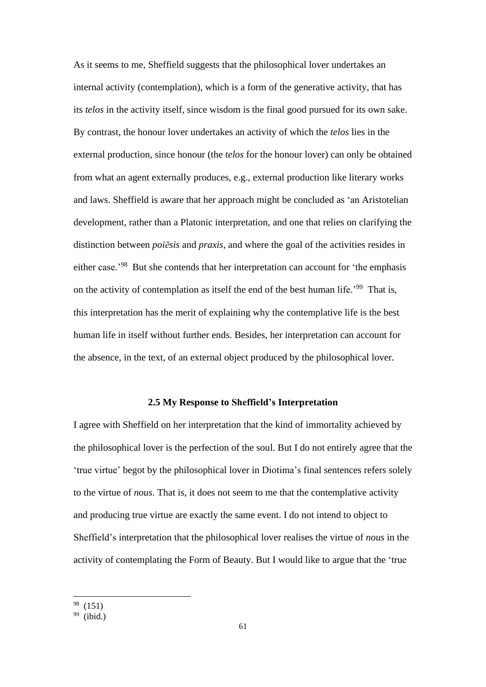As it seems to me, Sheffield suggests that the philosophical lover undertakes an internal activity (contemplation), which is a form of the generative activity, that has its *telos* in the activity itself, since wisdom is the final good pursued for its own sake. By contrast, the honour lover undertakes an activity of which the *telos* lies in the external production, since honour (the *telos* for the honour lover) can only be obtained from what an agent externally produces, e.g., external production like literary works and laws. Sheffield is aware that her approach might be concluded as 'an Aristotelian development, rather than a Platonic interpretation, and one that relies on clarifying the distinction between *poiēsis* and *praxis*, and where the goal of the activities resides in either case.'<sup>98</sup> But she contends that her interpretation can account for 'the emphasis on the activity of contemplation as itself the end of the best human life.'<sup>99</sup> That is, this interpretation has the merit of explaining why the contemplative life is the best human life in itself without further ends. Besides, her interpretation can account for the absence, in the text, of an external object produced by the philosophical lover.

#### **2.5 My Response to Sheffield's Interpretation**

I agree with Sheffield on her interpretation that the kind of immortality achieved by the philosophical lover is the perfection of the soul. But I do not entirely agree that the 'true virtue' begot by the philosophical lover in Diotima's final sentences refers solely to the virtue of *nous*. That is, it does not seem to me that the contemplative activity and producing true virtue are exactly the same event. I do not intend to object to Sheffield's interpretation that the philosophical lover realises the virtue of *nous* in the activity of contemplating the Form of Beauty. But I would like to argue that the 'true

 $98(151)$ 

 $99$  (ibid.)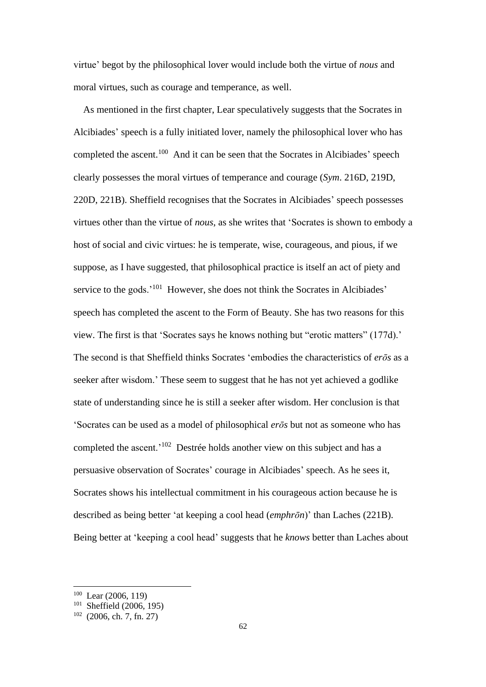virtue' begot by the philosophical lover would include both the virtue of *nous* and moral virtues, such as courage and temperance, as well.

 As mentioned in the first chapter, Lear speculatively suggests that the Socrates in Alcibiades' speech is a fully initiated lover, namely the philosophical lover who has completed the ascent.<sup>100</sup> And it can be seen that the Socrates in Alcibiades' speech clearly possesses the moral virtues of temperance and courage (*Sym*. 216D, 219D, 220D, 221B). Sheffield recognises that the Socrates in Alcibiades' speech possesses virtues other than the virtue of *nous*, as she writes that 'Socrates is shown to embody a host of social and civic virtues: he is temperate, wise, courageous, and pious, if we suppose, as I have suggested, that philosophical practice is itself an act of piety and service to the gods.'<sup>101</sup> However, she does not think the Socrates in Alcibiades' speech has completed the ascent to the Form of Beauty. She has two reasons for this view. The first is that 'Socrates says he knows nothing but "erotic matters" (177d).' The second is that Sheffield thinks Socrates 'embodies the characteristics of *erōs* as a seeker after wisdom.' These seem to suggest that he has not yet achieved a godlike state of understanding since he is still a seeker after wisdom. Her conclusion is that 'Socrates can be used as a model of philosophical *erōs* but not as someone who has completed the ascent.'<sup>102</sup> Destrée holds another view on this subject and has a persuasive observation of Socrates' courage in Alcibiades' speech. As he sees it, Socrates shows his intellectual commitment in his courageous action because he is described as being better 'at keeping a cool head (*emphrōn*)' than Laches (221B). Being better at 'keeping a cool head' suggests that he *knows* better than Laches about

<sup>100</sup> Lear (2006, 119)

 $101$  Sheffield (2006, 195)

 $102$  (2006, ch. 7, fn. 27)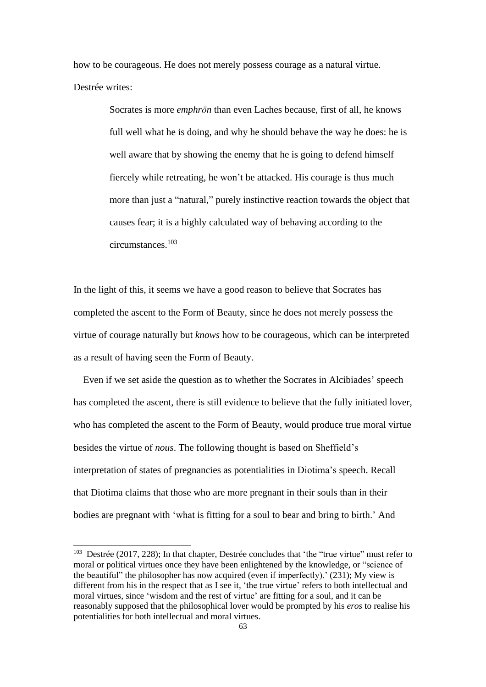how to be courageous. He does not merely possess courage as a natural virtue. Destrée writes:

> Socrates is more *emphrōn* than even Laches because, first of all, he knows full well what he is doing, and why he should behave the way he does: he is well aware that by showing the enemy that he is going to defend himself fiercely while retreating, he won't be attacked. His courage is thus much more than just a "natural," purely instinctive reaction towards the object that causes fear; it is a highly calculated way of behaving according to the circumstances.<sup>103</sup>

In the light of this, it seems we have a good reason to believe that Socrates has completed the ascent to the Form of Beauty, since he does not merely possess the virtue of courage naturally but *knows* how to be courageous, which can be interpreted as a result of having seen the Form of Beauty.

 Even if we set aside the question as to whether the Socrates in Alcibiades' speech has completed the ascent, there is still evidence to believe that the fully initiated lover, who has completed the ascent to the Form of Beauty, would produce true moral virtue besides the virtue of *nous*. The following thought is based on Sheffield's interpretation of states of pregnancies as potentialities in Diotima's speech. Recall that Diotima claims that those who are more pregnant in their souls than in their bodies are pregnant with 'what is fitting for a soul to bear and bring to birth.' And

<sup>&</sup>lt;sup>103</sup> Destrée (2017, 228); In that chapter, Destrée concludes that 'the "true virtue" must refer to moral or political virtues once they have been enlightened by the knowledge, or "science of the beautiful" the philosopher has now acquired (even if imperfectly).' (231); My view is different from his in the respect that as I see it, 'the true virtue' refers to both intellectual and moral virtues, since 'wisdom and the rest of virtue' are fitting for a soul, and it can be reasonably supposed that the philosophical lover would be prompted by his *eros* to realise his potentialities for both intellectual and moral virtues.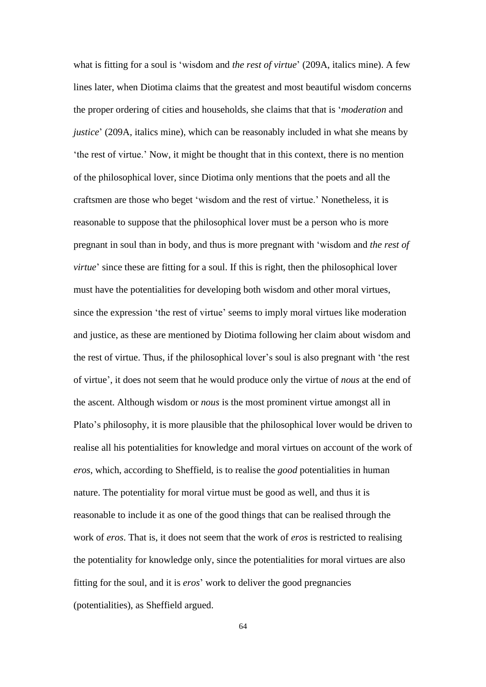what is fitting for a soul is 'wisdom and *the rest of virtue*' (209A, italics mine). A few lines later, when Diotima claims that the greatest and most beautiful wisdom concerns the proper ordering of cities and households, she claims that that is '*moderation* and *justice*' (209A, italics mine), which can be reasonably included in what she means by 'the rest of virtue.' Now, it might be thought that in this context, there is no mention of the philosophical lover, since Diotima only mentions that the poets and all the craftsmen are those who beget 'wisdom and the rest of virtue.' Nonetheless, it is reasonable to suppose that the philosophical lover must be a person who is more pregnant in soul than in body, and thus is more pregnant with 'wisdom and *the rest of virtue*' since these are fitting for a soul. If this is right, then the philosophical lover must have the potentialities for developing both wisdom and other moral virtues, since the expression 'the rest of virtue' seems to imply moral virtues like moderation and justice, as these are mentioned by Diotima following her claim about wisdom and the rest of virtue. Thus, if the philosophical lover's soul is also pregnant with 'the rest of virtue', it does not seem that he would produce only the virtue of *nous* at the end of the ascent. Although wisdom or *nous* is the most prominent virtue amongst all in Plato's philosophy, it is more plausible that the philosophical lover would be driven to realise all his potentialities for knowledge and moral virtues on account of the work of *eros*, which, according to Sheffield, is to realise the *good* potentialities in human nature. The potentiality for moral virtue must be good as well, and thus it is reasonable to include it as one of the good things that can be realised through the work of *eros*. That is, it does not seem that the work of *eros* is restricted to realising the potentiality for knowledge only, since the potentialities for moral virtues are also fitting for the soul, and it is *eros*' work to deliver the good pregnancies (potentialities), as Sheffield argued.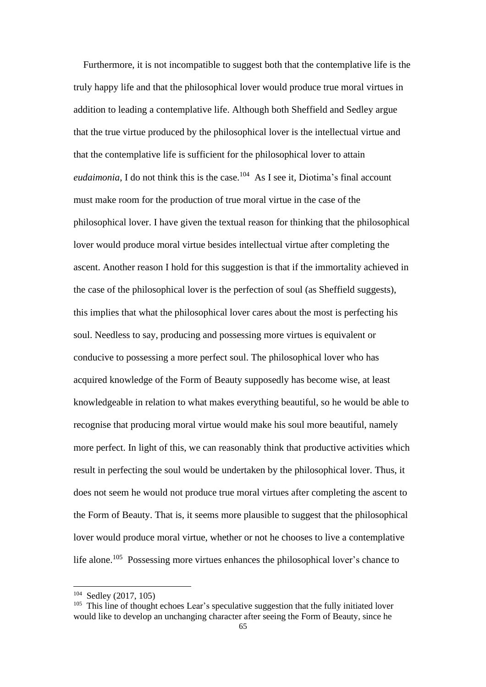Furthermore, it is not incompatible to suggest both that the contemplative life is the truly happy life and that the philosophical lover would produce true moral virtues in addition to leading a contemplative life. Although both Sheffield and Sedley argue that the true virtue produced by the philosophical lover is the intellectual virtue and that the contemplative life is sufficient for the philosophical lover to attain *eudaimonia*, I do not think this is the case.<sup>104</sup> As I see it, Diotima's final account must make room for the production of true moral virtue in the case of the philosophical lover. I have given the textual reason for thinking that the philosophical lover would produce moral virtue besides intellectual virtue after completing the ascent. Another reason I hold for this suggestion is that if the immortality achieved in the case of the philosophical lover is the perfection of soul (as Sheffield suggests), this implies that what the philosophical lover cares about the most is perfecting his soul. Needless to say, producing and possessing more virtues is equivalent or conducive to possessing a more perfect soul. The philosophical lover who has acquired knowledge of the Form of Beauty supposedly has become wise, at least knowledgeable in relation to what makes everything beautiful, so he would be able to recognise that producing moral virtue would make his soul more beautiful, namely more perfect. In light of this, we can reasonably think that productive activities which result in perfecting the soul would be undertaken by the philosophical lover. Thus, it does not seem he would not produce true moral virtues after completing the ascent to the Form of Beauty. That is, it seems more plausible to suggest that the philosophical lover would produce moral virtue, whether or not he chooses to live a contemplative life alone.<sup>105</sup> Possessing more virtues enhances the philosophical lover's chance to

<sup>104</sup> Sedley (2017, 105)

 $105$  This line of thought echoes Lear's speculative suggestion that the fully initiated lover would like to develop an unchanging character after seeing the Form of Beauty, since he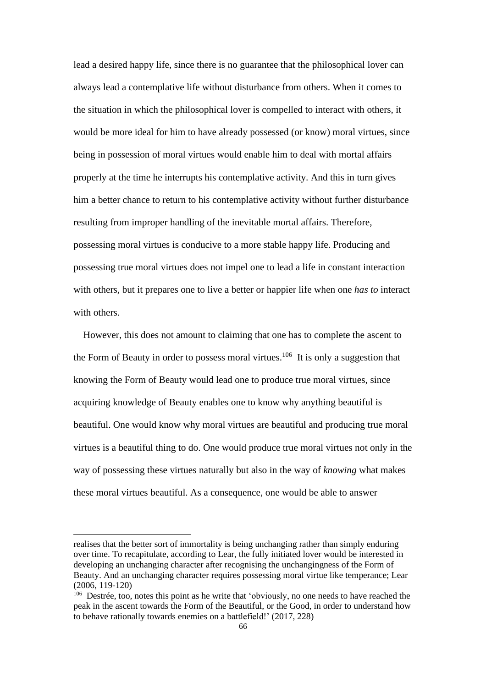lead a desired happy life, since there is no guarantee that the philosophical lover can always lead a contemplative life without disturbance from others. When it comes to the situation in which the philosophical lover is compelled to interact with others, it would be more ideal for him to have already possessed (or know) moral virtues, since being in possession of moral virtues would enable him to deal with mortal affairs properly at the time he interrupts his contemplative activity. And this in turn gives him a better chance to return to his contemplative activity without further disturbance resulting from improper handling of the inevitable mortal affairs. Therefore, possessing moral virtues is conducive to a more stable happy life. Producing and possessing true moral virtues does not impel one to lead a life in constant interaction with others, but it prepares one to live a better or happier life when one *has to* interact with others.

 However, this does not amount to claiming that one has to complete the ascent to the Form of Beauty in order to possess moral virtues.<sup>106</sup> It is only a suggestion that knowing the Form of Beauty would lead one to produce true moral virtues, since acquiring knowledge of Beauty enables one to know why anything beautiful is beautiful. One would know why moral virtues are beautiful and producing true moral virtues is a beautiful thing to do. One would produce true moral virtues not only in the way of possessing these virtues naturally but also in the way of *knowing* what makes these moral virtues beautiful. As a consequence, one would be able to answer

realises that the better sort of immortality is being unchanging rather than simply enduring over time. To recapitulate, according to Lear, the fully initiated lover would be interested in developing an unchanging character after recognising the unchangingness of the Form of Beauty. And an unchanging character requires possessing moral virtue like temperance; Lear (2006, 119-120)

<sup>&</sup>lt;sup>106</sup> Destrée, too, notes this point as he write that 'obviously, no one needs to have reached the peak in the ascent towards the Form of the Beautiful, or the Good, in order to understand how to behave rationally towards enemies on a battlefield!' (2017, 228)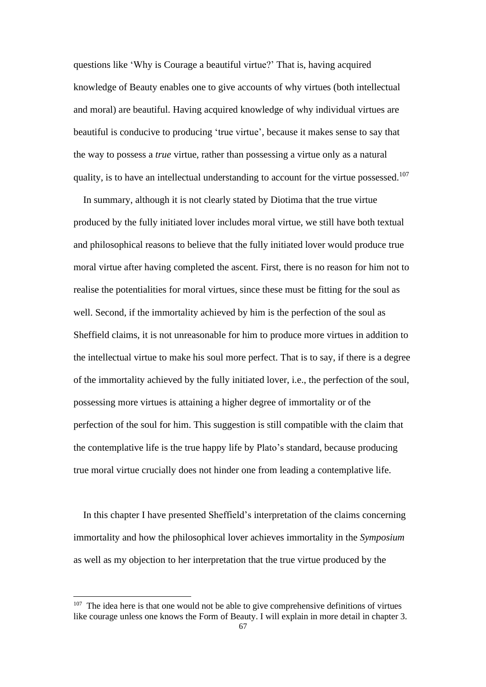questions like 'Why is Courage a beautiful virtue?' That is, having acquired knowledge of Beauty enables one to give accounts of why virtues (both intellectual and moral) are beautiful. Having acquired knowledge of why individual virtues are beautiful is conducive to producing 'true virtue', because it makes sense to say that the way to possess a *true* virtue, rather than possessing a virtue only as a natural quality, is to have an intellectual understanding to account for the virtue possessed.<sup>107</sup>

 In summary, although it is not clearly stated by Diotima that the true virtue produced by the fully initiated lover includes moral virtue, we still have both textual and philosophical reasons to believe that the fully initiated lover would produce true moral virtue after having completed the ascent. First, there is no reason for him not to realise the potentialities for moral virtues, since these must be fitting for the soul as well. Second, if the immortality achieved by him is the perfection of the soul as Sheffield claims, it is not unreasonable for him to produce more virtues in addition to the intellectual virtue to make his soul more perfect. That is to say, if there is a degree of the immortality achieved by the fully initiated lover, i.e., the perfection of the soul, possessing more virtues is attaining a higher degree of immortality or of the perfection of the soul for him. This suggestion is still compatible with the claim that the contemplative life is the true happy life by Plato's standard, because producing true moral virtue crucially does not hinder one from leading a contemplative life.

In this chapter I have presented Sheffield's interpretation of the claims concerning immortality and how the philosophical lover achieves immortality in the *Symposium* as well as my objection to her interpretation that the true virtue produced by the

 $107$  The idea here is that one would not be able to give comprehensive definitions of virtues like courage unless one knows the Form of Beauty. I will explain in more detail in chapter 3.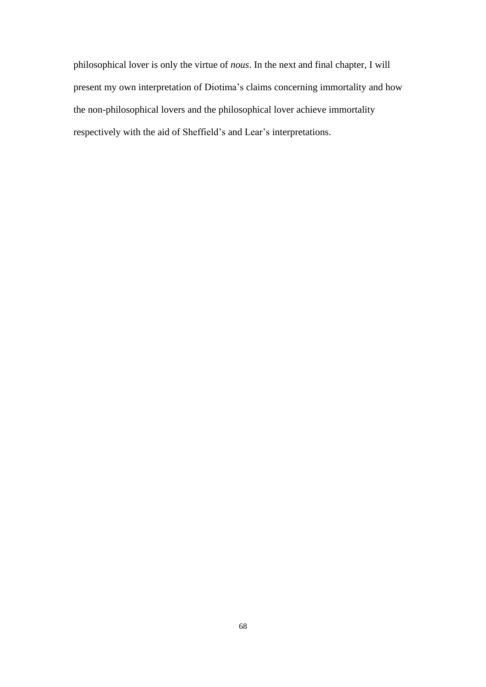philosophical lover is only the virtue of *nous*. In the next and final chapter, I will present my own interpretation of Diotima's claims concerning immortality and how the non-philosophical lovers and the philosophical lover achieve immortality respectively with the aid of Sheffield's and Lear's interpretations.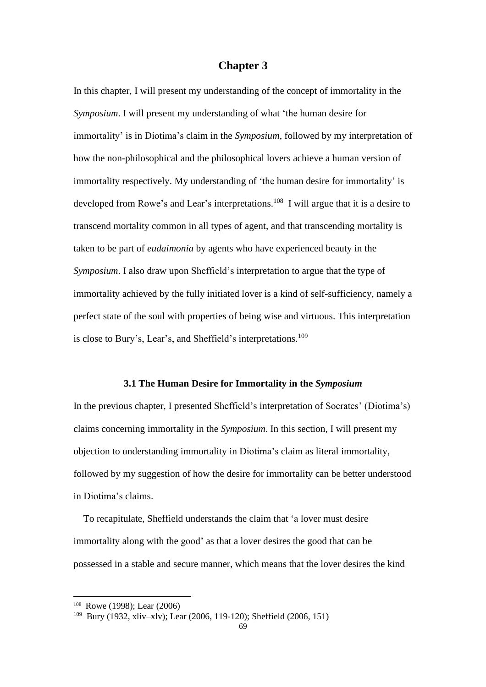# **Chapter 3**

In this chapter, I will present my understanding of the concept of immortality in the *Symposium*. I will present my understanding of what 'the human desire for immortality' is in Diotima's claim in the *Symposium*, followed by my interpretation of how the non-philosophical and the philosophical lovers achieve a human version of immortality respectively. My understanding of 'the human desire for immortality' is developed from Rowe's and Lear's interpretations.<sup>108</sup> I will argue that it is a desire to transcend mortality common in all types of agent, and that transcending mortality is taken to be part of *eudaimonia* by agents who have experienced beauty in the *Symposium*. I also draw upon Sheffield's interpretation to argue that the type of immortality achieved by the fully initiated lover is a kind of self-sufficiency, namely a perfect state of the soul with properties of being wise and virtuous. This interpretation is close to Bury's, Lear's, and Sheffield's interpretations.<sup>109</sup>

#### **3.1 The Human Desire for Immortality in the** *Symposium*

In the previous chapter, I presented Sheffield's interpretation of Socrates' (Diotima's) claims concerning immortality in the *Symposium*. In this section, I will present my objection to understanding immortality in Diotima's claim as literal immortality, followed by my suggestion of how the desire for immortality can be better understood in Diotima's claims.

To recapitulate, Sheffield understands the claim that 'a lover must desire immortality along with the good' as that a lover desires the good that can be possessed in a stable and secure manner, which means that the lover desires the kind

<sup>108</sup> Rowe (1998); Lear (2006)

<sup>109</sup> Bury (1932, xliv–xlv); Lear (2006, 119-120); Sheffield (2006, 151)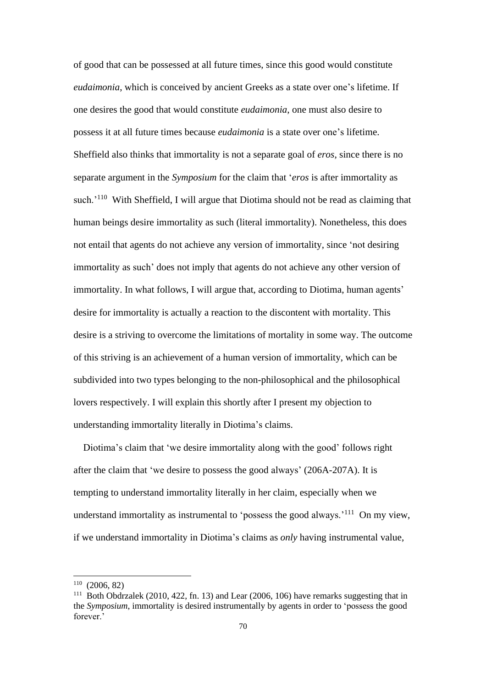of good that can be possessed at all future times, since this good would constitute *eudaimonia*, which is conceived by ancient Greeks as a state over one's lifetime. If one desires the good that would constitute *eudaimonia*, one must also desire to possess it at all future times because *eudaimonia* is a state over one's lifetime. Sheffield also thinks that immortality is not a separate goal of *eros*, since there is no separate argument in the *Symposium* for the claim that '*eros* is after immortality as such.<sup>'110</sup> With Sheffield, I will argue that Diotima should not be read as claiming that human beings desire immortality as such (literal immortality). Nonetheless, this does not entail that agents do not achieve any version of immortality, since 'not desiring immortality as such' does not imply that agents do not achieve any other version of immortality. In what follows, I will argue that, according to Diotima, human agents' desire for immortality is actually a reaction to the discontent with mortality. This desire is a striving to overcome the limitations of mortality in some way. The outcome of this striving is an achievement of a human version of immortality, which can be subdivided into two types belonging to the non-philosophical and the philosophical lovers respectively. I will explain this shortly after I present my objection to understanding immortality literally in Diotima's claims.

 Diotima's claim that 'we desire immortality along with the good' follows right after the claim that 'we desire to possess the good always' (206A-207A). It is tempting to understand immortality literally in her claim, especially when we understand immortality as instrumental to 'possess the good always.'<sup>111</sup> On my view, if we understand immortality in Diotima's claims as *only* having instrumental value,

<sup>110</sup> (2006, 82)

<sup>111</sup> Both Obdrzalek (2010, 422, fn. 13) and Lear (2006, 106) have remarks suggesting that in the *Symposium*, immortality is desired instrumentally by agents in order to 'possess the good forever.'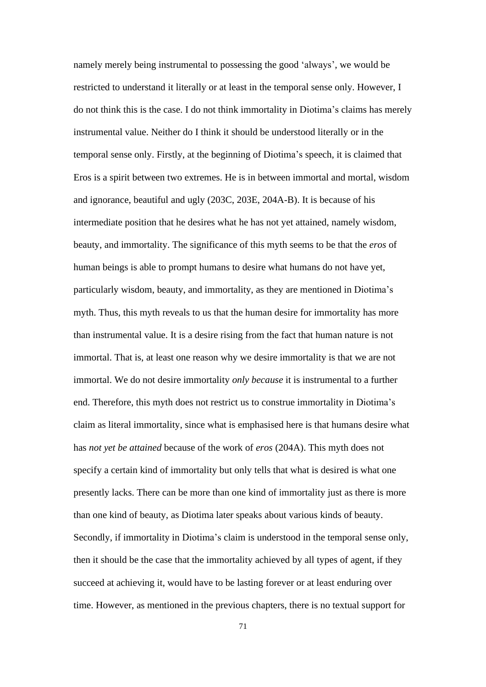namely merely being instrumental to possessing the good 'always', we would be restricted to understand it literally or at least in the temporal sense only. However, I do not think this is the case. I do not think immortality in Diotima's claims has merely instrumental value. Neither do I think it should be understood literally or in the temporal sense only. Firstly, at the beginning of Diotima's speech, it is claimed that Eros is a spirit between two extremes. He is in between immortal and mortal, wisdom and ignorance, beautiful and ugly (203C, 203E, 204A-B). It is because of his intermediate position that he desires what he has not yet attained, namely wisdom, beauty, and immortality. The significance of this myth seems to be that the *eros* of human beings is able to prompt humans to desire what humans do not have yet, particularly wisdom, beauty, and immortality, as they are mentioned in Diotima's myth. Thus, this myth reveals to us that the human desire for immortality has more than instrumental value. It is a desire rising from the fact that human nature is not immortal. That is, at least one reason why we desire immortality is that we are not immortal. We do not desire immortality *only because* it is instrumental to a further end. Therefore, this myth does not restrict us to construe immortality in Diotima's claim as literal immortality, since what is emphasised here is that humans desire what has *not yet be attained* because of the work of *eros* (204A). This myth does not specify a certain kind of immortality but only tells that what is desired is what one presently lacks. There can be more than one kind of immortality just as there is more than one kind of beauty, as Diotima later speaks about various kinds of beauty. Secondly, if immortality in Diotima's claim is understood in the temporal sense only, then it should be the case that the immortality achieved by all types of agent, if they succeed at achieving it, would have to be lasting forever or at least enduring over time. However, as mentioned in the previous chapters, there is no textual support for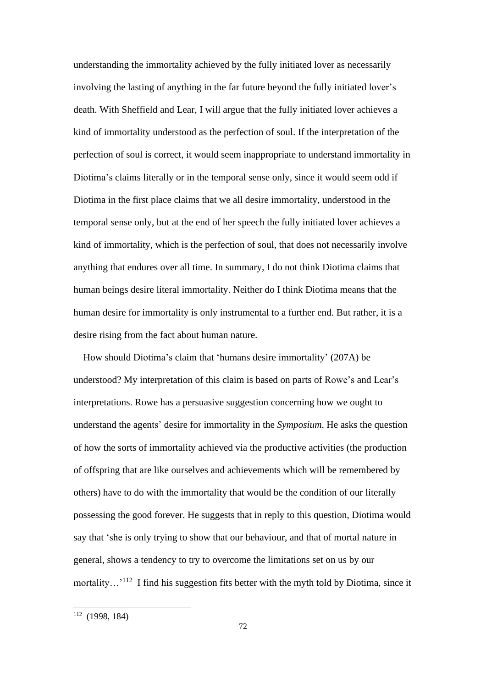understanding the immortality achieved by the fully initiated lover as necessarily involving the lasting of anything in the far future beyond the fully initiated lover's death. With Sheffield and Lear, I will argue that the fully initiated lover achieves a kind of immortality understood as the perfection of soul. If the interpretation of the perfection of soul is correct, it would seem inappropriate to understand immortality in Diotima's claims literally or in the temporal sense only, since it would seem odd if Diotima in the first place claims that we all desire immortality, understood in the temporal sense only, but at the end of her speech the fully initiated lover achieves a kind of immortality, which is the perfection of soul, that does not necessarily involve anything that endures over all time. In summary, I do not think Diotima claims that human beings desire literal immortality. Neither do I think Diotima means that the human desire for immortality is only instrumental to a further end. But rather, it is a desire rising from the fact about human nature.

How should Diotima's claim that 'humans desire immortality' (207A) be understood? My interpretation of this claim is based on parts of Rowe's and Lear's interpretations. Rowe has a persuasive suggestion concerning how we ought to understand the agents' desire for immortality in the *Symposium*. He asks the question of how the sorts of immortality achieved via the productive activities (the production of offspring that are like ourselves and achievements which will be remembered by others) have to do with the immortality that would be the condition of our literally possessing the good forever. He suggests that in reply to this question, Diotima would say that 'she is only trying to show that our behaviour, and that of mortal nature in general, shows a tendency to try to overcome the limitations set on us by our mortality...<sup>'112</sup> I find his suggestion fits better with the myth told by Diotima, since it

<sup>112</sup> (1998, 184)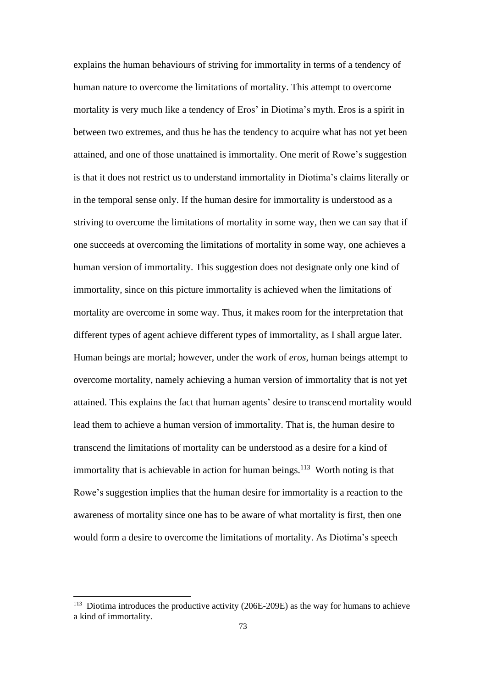explains the human behaviours of striving for immortality in terms of a tendency of human nature to overcome the limitations of mortality. This attempt to overcome mortality is very much like a tendency of Eros' in Diotima's myth. Eros is a spirit in between two extremes, and thus he has the tendency to acquire what has not yet been attained, and one of those unattained is immortality. One merit of Rowe's suggestion is that it does not restrict us to understand immortality in Diotima's claims literally or in the temporal sense only. If the human desire for immortality is understood as a striving to overcome the limitations of mortality in some way, then we can say that if one succeeds at overcoming the limitations of mortality in some way, one achieves a human version of immortality. This suggestion does not designate only one kind of immortality, since on this picture immortality is achieved when the limitations of mortality are overcome in some way. Thus, it makes room for the interpretation that different types of agent achieve different types of immortality, as I shall argue later. Human beings are mortal; however, under the work of *eros*, human beings attempt to overcome mortality, namely achieving a human version of immortality that is not yet attained. This explains the fact that human agents' desire to transcend mortality would lead them to achieve a human version of immortality. That is, the human desire to transcend the limitations of mortality can be understood as a desire for a kind of immortality that is achievable in action for human beings. $113$  Worth noting is that Rowe's suggestion implies that the human desire for immortality is a reaction to the awareness of mortality since one has to be aware of what mortality is first, then one would form a desire to overcome the limitations of mortality. As Diotima's speech

 $113$  Diotima introduces the productive activity (206E-209E) as the way for humans to achieve a kind of immortality.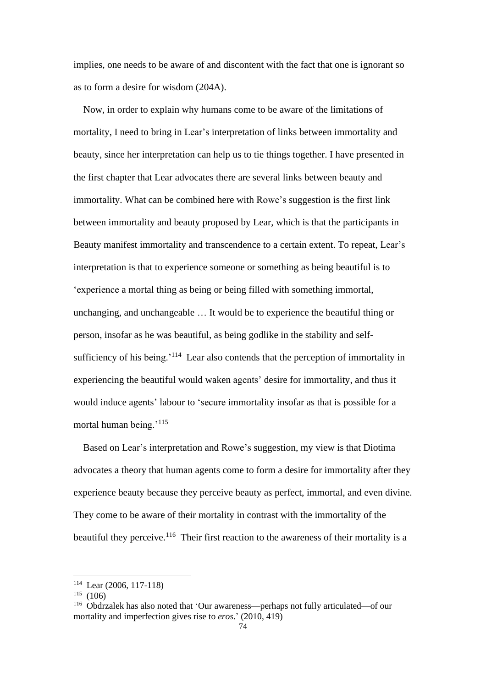implies, one needs to be aware of and discontent with the fact that one is ignorant so as to form a desire for wisdom (204A).

Now, in order to explain why humans come to be aware of the limitations of mortality, I need to bring in Lear's interpretation of links between immortality and beauty, since her interpretation can help us to tie things together. I have presented in the first chapter that Lear advocates there are several links between beauty and immortality. What can be combined here with Rowe's suggestion is the first link between immortality and beauty proposed by Lear, which is that the participants in Beauty manifest immortality and transcendence to a certain extent. To repeat, Lear's interpretation is that to experience someone or something as being beautiful is to 'experience a mortal thing as being or being filled with something immortal, unchanging, and unchangeable … It would be to experience the beautiful thing or person, insofar as he was beautiful, as being godlike in the stability and selfsufficiency of his being.<sup>'114</sup> Lear also contends that the perception of immortality in experiencing the beautiful would waken agents' desire for immortality, and thus it would induce agents' labour to 'secure immortality insofar as that is possible for a mortal human being.<sup>'115</sup>

Based on Lear's interpretation and Rowe's suggestion, my view is that Diotima advocates a theory that human agents come to form a desire for immortality after they experience beauty because they perceive beauty as perfect, immortal, and even divine. They come to be aware of their mortality in contrast with the immortality of the beautiful they perceive.<sup>116</sup> Their first reaction to the awareness of their mortality is a

<sup>114</sup> Lear (2006, 117-118)

 $115$  (106)

<sup>116</sup> Obdrzalek has also noted that 'Our awareness—perhaps not fully articulated—of our mortality and imperfection gives rise to *eros*.' (2010, 419)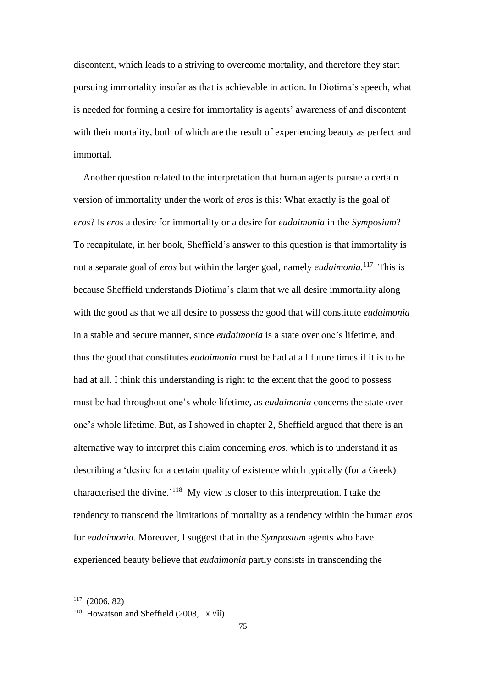discontent, which leads to a striving to overcome mortality, and therefore they start pursuing immortality insofar as that is achievable in action. In Diotima's speech, what is needed for forming a desire for immortality is agents' awareness of and discontent with their mortality, both of which are the result of experiencing beauty as perfect and immortal.

Another question related to the interpretation that human agents pursue a certain version of immortality under the work of *eros* is this: What exactly is the goal of *eros*? Is *eros* a desire for immortality or a desire for *eudaimonia* in the *Symposium*? To recapitulate, in her book, Sheffield's answer to this question is that immortality is not a separate goal of *eros* but within the larger goal, namely *eudaimonia.*<sup>117</sup> This is because Sheffield understands Diotima's claim that we all desire immortality along with the good as that we all desire to possess the good that will constitute *eudaimonia* in a stable and secure manner, since *eudaimonia* is a state over one's lifetime, and thus the good that constitutes *eudaimonia* must be had at all future times if it is to be had at all. I think this understanding is right to the extent that the good to possess must be had throughout one's whole lifetime, as *eudaimonia* concerns the state over one's whole lifetime. But, as I showed in chapter 2, Sheffield argued that there is an alternative way to interpret this claim concerning *eros*, which is to understand it as describing a 'desire for a certain quality of existence which typically (for a Greek) characterised the divine.'<sup>118</sup> My view is closer to this interpretation. I take the tendency to transcend the limitations of mortality as a tendency within the human *eros* for *eudaimonia*. Moreover, I suggest that in the *Symposium* agents who have experienced beauty believe that *eudaimonia* partly consists in transcending the

<sup>117</sup> (2006, 82)

<sup>&</sup>lt;sup>118</sup> Howatson and Sheffield (2008, x viii)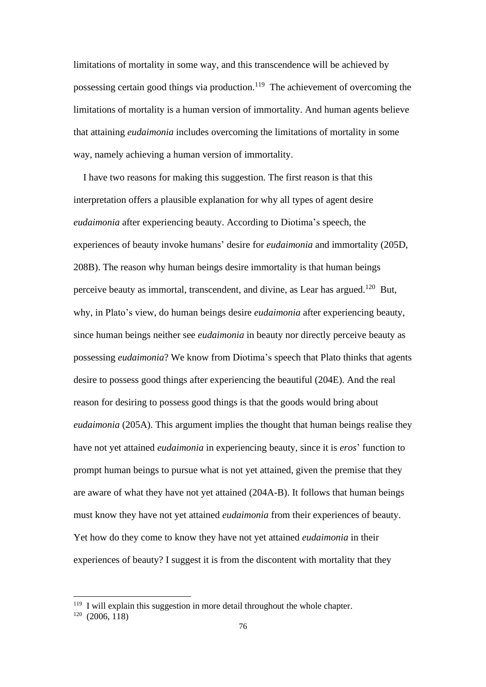limitations of mortality in some way, and this transcendence will be achieved by possessing certain good things via production.<sup>119</sup> The achievement of overcoming the limitations of mortality is a human version of immortality. And human agents believe that attaining *eudaimonia* includes overcoming the limitations of mortality in some way, namely achieving a human version of immortality.

I have two reasons for making this suggestion. The first reason is that this interpretation offers a plausible explanation for why all types of agent desire *eudaimonia* after experiencing beauty. According to Diotima's speech, the experiences of beauty invoke humans' desire for *eudaimonia* and immortality (205D, 208B). The reason why human beings desire immortality is that human beings perceive beauty as immortal, transcendent, and divine, as Lear has argued.<sup>120</sup> But, why, in Plato's view, do human beings desire *eudaimonia* after experiencing beauty, since human beings neither see *eudaimonia* in beauty nor directly perceive beauty as possessing *eudaimonia*? We know from Diotima's speech that Plato thinks that agents desire to possess good things after experiencing the beautiful (204E). And the real reason for desiring to possess good things is that the goods would bring about *eudaimonia* (205A). This argument implies the thought that human beings realise they have not yet attained *eudaimonia* in experiencing beauty, since it is *eros*' function to prompt human beings to pursue what is not yet attained, given the premise that they are aware of what they have not yet attained (204A-B). It follows that human beings must know they have not yet attained *eudaimonia* from their experiences of beauty. Yet how do they come to know they have not yet attained *eudaimonia* in their experiences of beauty? I suggest it is from the discontent with mortality that they

 $119$  I will explain this suggestion in more detail throughout the whole chapter.

 $120(2006, 118)$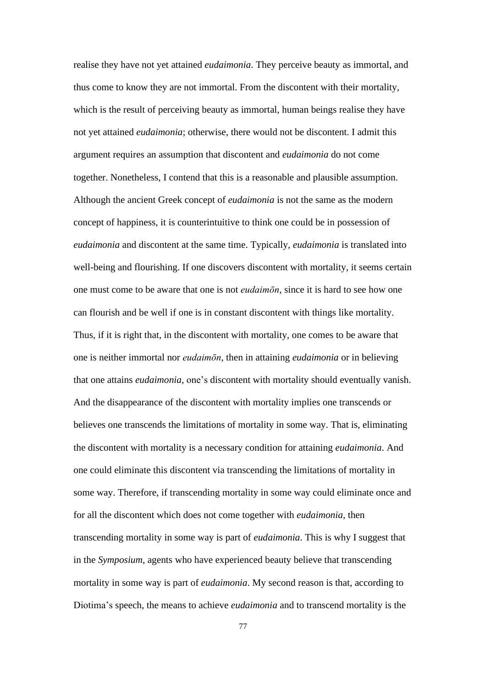realise they have not yet attained *eudaimonia*. They perceive beauty as immortal, and thus come to know they are not immortal. From the discontent with their mortality, which is the result of perceiving beauty as immortal, human beings realise they have not yet attained *eudaimonia*; otherwise, there would not be discontent. I admit this argument requires an assumption that discontent and *eudaimonia* do not come together. Nonetheless, I contend that this is a reasonable and plausible assumption. Although the ancient Greek concept of *eudaimonia* is not the same as the modern concept of happiness, it is counterintuitive to think one could be in possession of *eudaimonia* and discontent at the same time. Typically, *eudaimonia* is translated into well-being and flourishing. If one discovers discontent with mortality, it seems certain one must come to be aware that one is not *eudaimōn*, since it is hard to see how one can flourish and be well if one is in constant discontent with things like mortality. Thus, if it is right that, in the discontent with mortality, one comes to be aware that one is neither immortal nor *eudaimōn*, then in attaining *eudaimonia* or in believing that one attains *eudaimonia*, one's discontent with mortality should eventually vanish. And the disappearance of the discontent with mortality implies one transcends or believes one transcends the limitations of mortality in some way. That is, eliminating the discontent with mortality is a necessary condition for attaining *eudaimonia*. And one could eliminate this discontent via transcending the limitations of mortality in some way. Therefore, if transcending mortality in some way could eliminate once and for all the discontent which does not come together with *eudaimonia*, then transcending mortality in some way is part of *eudaimonia*. This is why I suggest that in the *Symposium*, agents who have experienced beauty believe that transcending mortality in some way is part of *eudaimonia*. My second reason is that, according to Diotima's speech, the means to achieve *eudaimonia* and to transcend mortality is the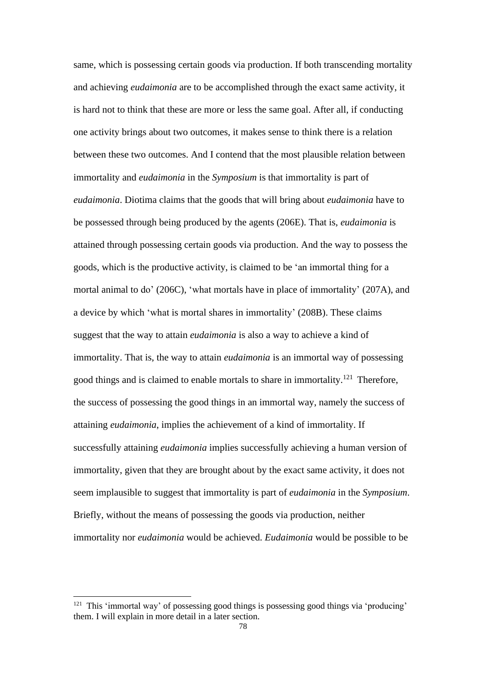same, which is possessing certain goods via production. If both transcending mortality and achieving *eudaimonia* are to be accomplished through the exact same activity, it is hard not to think that these are more or less the same goal. After all, if conducting one activity brings about two outcomes, it makes sense to think there is a relation between these two outcomes. And I contend that the most plausible relation between immortality and *eudaimonia* in the *Symposium* is that immortality is part of *eudaimonia*. Diotima claims that the goods that will bring about *eudaimonia* have to be possessed through being produced by the agents (206E). That is, *eudaimonia* is attained through possessing certain goods via production. And the way to possess the goods, which is the productive activity, is claimed to be 'an immortal thing for a mortal animal to do' (206C), 'what mortals have in place of immortality' (207A), and a device by which 'what is mortal shares in immortality' (208B). These claims suggest that the way to attain *eudaimonia* is also a way to achieve a kind of immortality. That is, the way to attain *eudaimonia* is an immortal way of possessing good things and is claimed to enable mortals to share in immortality.<sup>121</sup> Therefore, the success of possessing the good things in an immortal way, namely the success of attaining *eudaimonia*, implies the achievement of a kind of immortality. If successfully attaining *eudaimonia* implies successfully achieving a human version of immortality, given that they are brought about by the exact same activity, it does not seem implausible to suggest that immortality is part of *eudaimonia* in the *Symposium*. Briefly, without the means of possessing the goods via production, neither immortality nor *eudaimonia* would be achieved. *Eudaimonia* would be possible to be

<sup>&</sup>lt;sup>121</sup> This 'immortal way' of possessing good things is possessing good things via 'producing' them. I will explain in more detail in a later section.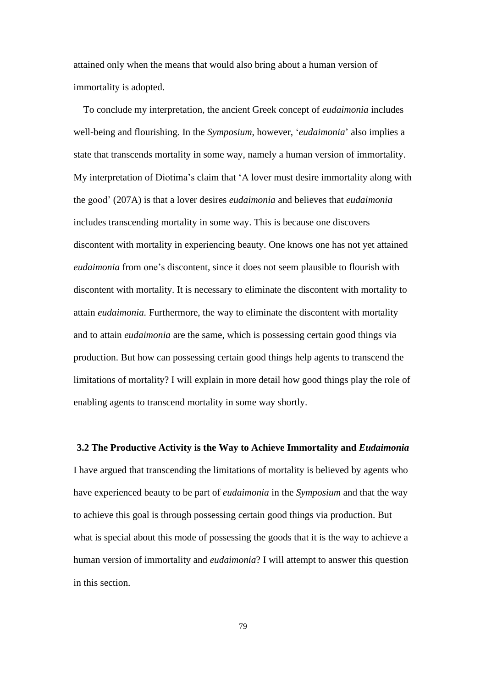attained only when the means that would also bring about a human version of immortality is adopted.

To conclude my interpretation, the ancient Greek concept of *eudaimonia* includes well-being and flourishing. In the *Symposium*, however, '*eudaimonia*' also implies a state that transcends mortality in some way, namely a human version of immortality. My interpretation of Diotima's claim that 'A lover must desire immortality along with the good' (207A) is that a lover desires *eudaimonia* and believes that *eudaimonia* includes transcending mortality in some way. This is because one discovers discontent with mortality in experiencing beauty. One knows one has not yet attained *eudaimonia* from one's discontent, since it does not seem plausible to flourish with discontent with mortality. It is necessary to eliminate the discontent with mortality to attain *eudaimonia.* Furthermore, the way to eliminate the discontent with mortality and to attain *eudaimonia* are the same, which is possessing certain good things via production. But how can possessing certain good things help agents to transcend the limitations of mortality? I will explain in more detail how good things play the role of enabling agents to transcend mortality in some way shortly.

#### **3.2 The Productive Activity is the Way to Achieve Immortality and** *Eudaimonia*

I have argued that transcending the limitations of mortality is believed by agents who have experienced beauty to be part of *eudaimonia* in the *Symposium* and that the way to achieve this goal is through possessing certain good things via production. But what is special about this mode of possessing the goods that it is the way to achieve a human version of immortality and *eudaimonia*? I will attempt to answer this question in this section.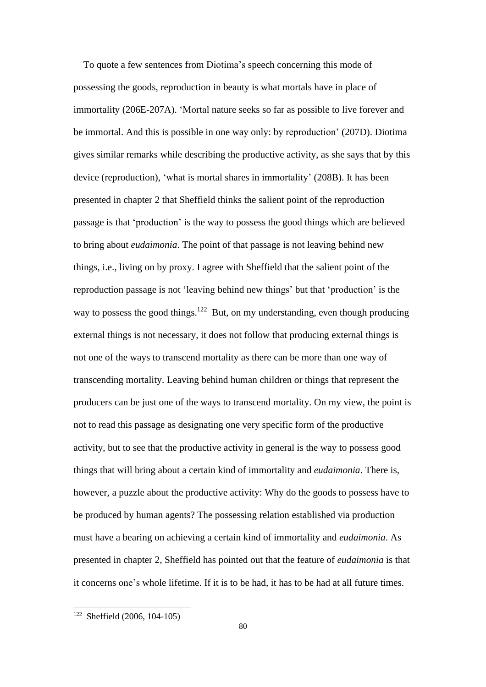To quote a few sentences from Diotima's speech concerning this mode of possessing the goods, reproduction in beauty is what mortals have in place of immortality (206E-207A). 'Mortal nature seeks so far as possible to live forever and be immortal. And this is possible in one way only: by reproduction' (207D). Diotima gives similar remarks while describing the productive activity, as she says that by this device (reproduction), 'what is mortal shares in immortality' (208B). It has been presented in chapter 2 that Sheffield thinks the salient point of the reproduction passage is that 'production' is the way to possess the good things which are believed to bring about *eudaimonia*. The point of that passage is not leaving behind new things, i.e., living on by proxy. I agree with Sheffield that the salient point of the reproduction passage is not 'leaving behind new things' but that 'production' is the way to possess the good things.<sup>122</sup> But, on my understanding, even though producing external things is not necessary, it does not follow that producing external things is not one of the ways to transcend mortality as there can be more than one way of transcending mortality. Leaving behind human children or things that represent the producers can be just one of the ways to transcend mortality. On my view, the point is not to read this passage as designating one very specific form of the productive activity, but to see that the productive activity in general is the way to possess good things that will bring about a certain kind of immortality and *eudaimonia*. There is, however, a puzzle about the productive activity: Why do the goods to possess have to be produced by human agents? The possessing relation established via production must have a bearing on achieving a certain kind of immortality and *eudaimonia*. As presented in chapter 2, Sheffield has pointed out that the feature of *eudaimonia* is that it concerns one's whole lifetime. If it is to be had, it has to be had at all future times.

<sup>122</sup> Sheffield (2006, 104-105)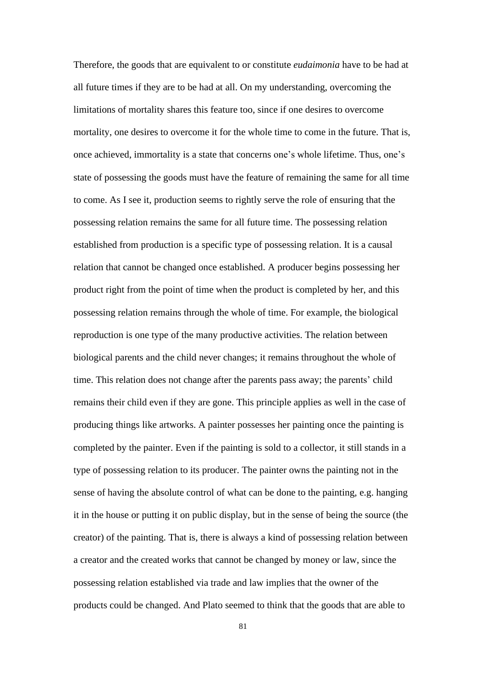Therefore, the goods that are equivalent to or constitute *eudaimonia* have to be had at all future times if they are to be had at all. On my understanding, overcoming the limitations of mortality shares this feature too, since if one desires to overcome mortality, one desires to overcome it for the whole time to come in the future. That is, once achieved, immortality is a state that concerns one's whole lifetime. Thus, one's state of possessing the goods must have the feature of remaining the same for all time to come. As I see it, production seems to rightly serve the role of ensuring that the possessing relation remains the same for all future time. The possessing relation established from production is a specific type of possessing relation. It is a causal relation that cannot be changed once established. A producer begins possessing her product right from the point of time when the product is completed by her, and this possessing relation remains through the whole of time. For example, the biological reproduction is one type of the many productive activities. The relation between biological parents and the child never changes; it remains throughout the whole of time. This relation does not change after the parents pass away; the parents' child remains their child even if they are gone. This principle applies as well in the case of producing things like artworks. A painter possesses her painting once the painting is completed by the painter. Even if the painting is sold to a collector, it still stands in a type of possessing relation to its producer. The painter owns the painting not in the sense of having the absolute control of what can be done to the painting, e.g. hanging it in the house or putting it on public display, but in the sense of being the source (the creator) of the painting. That is, there is always a kind of possessing relation between a creator and the created works that cannot be changed by money or law, since the possessing relation established via trade and law implies that the owner of the products could be changed. And Plato seemed to think that the goods that are able to

81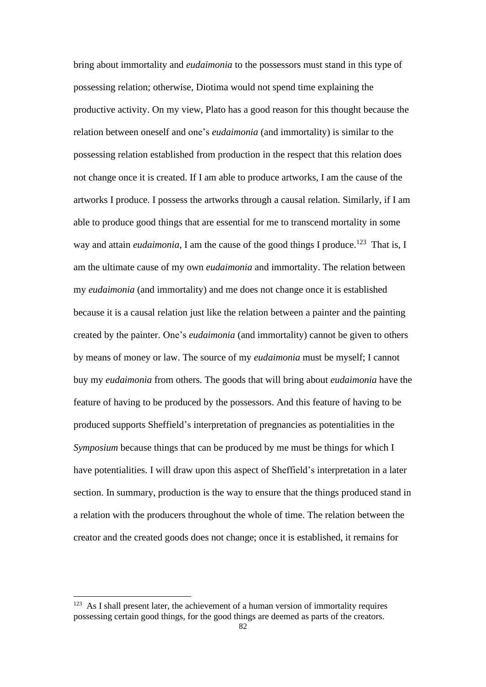bring about immortality and *eudaimonia* to the possessors must stand in this type of possessing relation; otherwise, Diotima would not spend time explaining the productive activity. On my view, Plato has a good reason for this thought because the relation between oneself and one's *eudaimonia* (and immortality) is similar to the possessing relation established from production in the respect that this relation does not change once it is created. If I am able to produce artworks, I am the cause of the artworks I produce. I possess the artworks through a causal relation. Similarly, if I am able to produce good things that are essential for me to transcend mortality in some way and attain *eudaimonia*, I am the cause of the good things I produce.<sup>123</sup> That is, I am the ultimate cause of my own *eudaimonia* and immortality. The relation between my *eudaimonia* (and immortality) and me does not change once it is established because it is a causal relation just like the relation between a painter and the painting created by the painter. One's *eudaimonia* (and immortality) cannot be given to others by means of money or law. The source of my *eudaimonia* must be myself; I cannot buy my *eudaimonia* from others. The goods that will bring about *eudaimonia* have the feature of having to be produced by the possessors. And this feature of having to be produced supports Sheffield's interpretation of pregnancies as potentialities in the *Symposium* because things that can be produced by me must be things for which I have potentialities. I will draw upon this aspect of Sheffield's interpretation in a later section. In summary, production is the way to ensure that the things produced stand in a relation with the producers throughout the whole of time. The relation between the creator and the created goods does not change; once it is established, it remains for

 $123$  As I shall present later, the achievement of a human version of immortality requires possessing certain good things, for the good things are deemed as parts of the creators.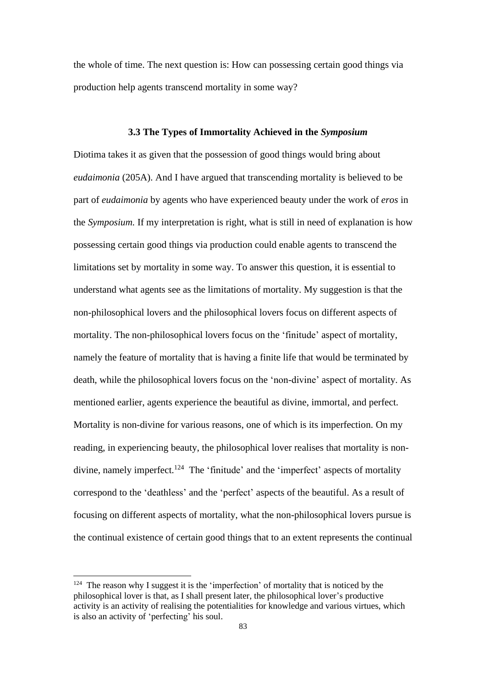the whole of time. The next question is: How can possessing certain good things via production help agents transcend mortality in some way?

#### **3.3 The Types of Immortality Achieved in the** *Symposium*

Diotima takes it as given that the possession of good things would bring about *eudaimonia* (205A). And I have argued that transcending mortality is believed to be part of *eudaimonia* by agents who have experienced beauty under the work of *eros* in the *Symposium.* If my interpretation is right, what is still in need of explanation is how possessing certain good things via production could enable agents to transcend the limitations set by mortality in some way. To answer this question, it is essential to understand what agents see as the limitations of mortality. My suggestion is that the non-philosophical lovers and the philosophical lovers focus on different aspects of mortality. The non-philosophical lovers focus on the 'finitude' aspect of mortality, namely the feature of mortality that is having a finite life that would be terminated by death, while the philosophical lovers focus on the 'non-divine' aspect of mortality. As mentioned earlier, agents experience the beautiful as divine, immortal, and perfect. Mortality is non-divine for various reasons, one of which is its imperfection. On my reading, in experiencing beauty, the philosophical lover realises that mortality is nondivine, namely imperfect.<sup>124</sup> The 'finitude' and the 'imperfect' aspects of mortality correspond to the 'deathless' and the 'perfect' aspects of the beautiful. As a result of focusing on different aspects of mortality, what the non-philosophical lovers pursue is the continual existence of certain good things that to an extent represents the continual

<sup>&</sup>lt;sup>124</sup> The reason why I suggest it is the 'imperfection' of mortality that is noticed by the philosophical lover is that, as I shall present later, the philosophical lover's productive activity is an activity of realising the potentialities for knowledge and various virtues, which is also an activity of 'perfecting' his soul.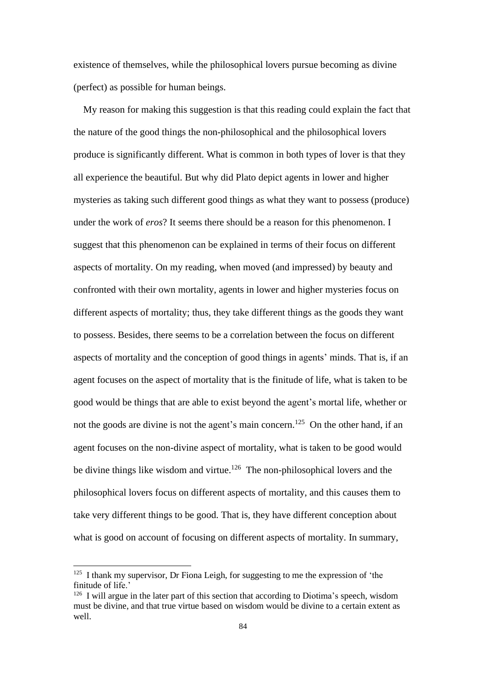existence of themselves, while the philosophical lovers pursue becoming as divine (perfect) as possible for human beings.

My reason for making this suggestion is that this reading could explain the fact that the nature of the good things the non-philosophical and the philosophical lovers produce is significantly different. What is common in both types of lover is that they all experience the beautiful. But why did Plato depict agents in lower and higher mysteries as taking such different good things as what they want to possess (produce) under the work of *eros*? It seems there should be a reason for this phenomenon. I suggest that this phenomenon can be explained in terms of their focus on different aspects of mortality. On my reading, when moved (and impressed) by beauty and confronted with their own mortality, agents in lower and higher mysteries focus on different aspects of mortality; thus, they take different things as the goods they want to possess. Besides, there seems to be a correlation between the focus on different aspects of mortality and the conception of good things in agents' minds. That is, if an agent focuses on the aspect of mortality that is the finitude of life, what is taken to be good would be things that are able to exist beyond the agent's mortal life, whether or not the goods are divine is not the agent's main concern.<sup>125</sup> On the other hand, if an agent focuses on the non-divine aspect of mortality, what is taken to be good would be divine things like wisdom and virtue.<sup>126</sup> The non-philosophical lovers and the philosophical lovers focus on different aspects of mortality, and this causes them to take very different things to be good. That is, they have different conception about what is good on account of focusing on different aspects of mortality. In summary,

 $125$  I thank my supervisor, Dr Fiona Leigh, for suggesting to me the expression of 'the finitude of life.'

<sup>&</sup>lt;sup>126</sup> I will argue in the later part of this section that according to Diotima's speech, wisdom must be divine, and that true virtue based on wisdom would be divine to a certain extent as well.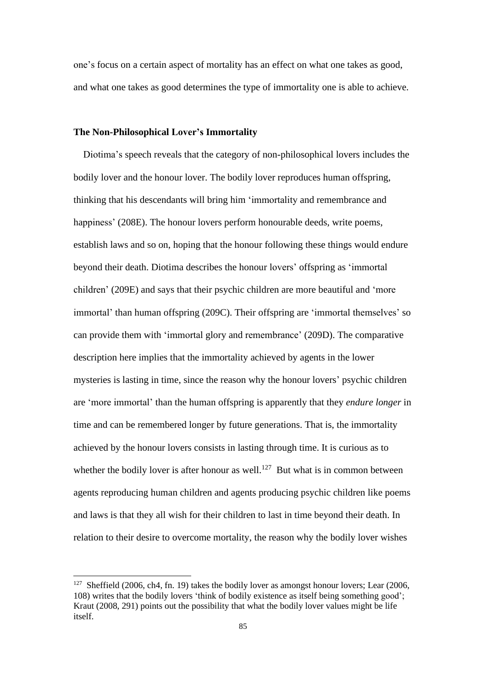one's focus on a certain aspect of mortality has an effect on what one takes as good, and what one takes as good determines the type of immortality one is able to achieve.

## **The Non-Philosophical Lover's Immortality**

Diotima's speech reveals that the category of non-philosophical lovers includes the bodily lover and the honour lover. The bodily lover reproduces human offspring, thinking that his descendants will bring him 'immortality and remembrance and happiness' (208E). The honour lovers perform honourable deeds, write poems, establish laws and so on, hoping that the honour following these things would endure beyond their death. Diotima describes the honour lovers' offspring as 'immortal children' (209E) and says that their psychic children are more beautiful and 'more immortal' than human offspring (209C). Their offspring are 'immortal themselves' so can provide them with 'immortal glory and remembrance' (209D). The comparative description here implies that the immortality achieved by agents in the lower mysteries is lasting in time, since the reason why the honour lovers' psychic children are 'more immortal' than the human offspring is apparently that they *endure longer* in time and can be remembered longer by future generations. That is, the immortality achieved by the honour lovers consists in lasting through time. It is curious as to whether the bodily lover is after honour as well.<sup>127</sup> But what is in common between agents reproducing human children and agents producing psychic children like poems and laws is that they all wish for their children to last in time beyond their death. In relation to their desire to overcome mortality, the reason why the bodily lover wishes

<sup>&</sup>lt;sup>127</sup> Sheffield (2006, ch4, fn. 19) takes the bodily lover as amongst honour lovers; Lear (2006, 108) writes that the bodily lovers 'think of bodily existence as itself being something good'; Kraut (2008, 291) points out the possibility that what the bodily lover values might be life itself.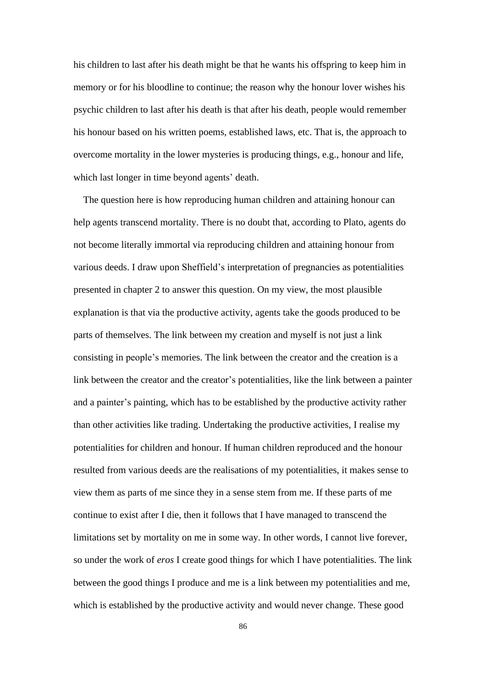his children to last after his death might be that he wants his offspring to keep him in memory or for his bloodline to continue; the reason why the honour lover wishes his psychic children to last after his death is that after his death, people would remember his honour based on his written poems, established laws, etc. That is, the approach to overcome mortality in the lower mysteries is producing things, e.g., honour and life, which last longer in time beyond agents' death.

The question here is how reproducing human children and attaining honour can help agents transcend mortality. There is no doubt that, according to Plato, agents do not become literally immortal via reproducing children and attaining honour from various deeds. I draw upon Sheffield's interpretation of pregnancies as potentialities presented in chapter 2 to answer this question. On my view, the most plausible explanation is that via the productive activity, agents take the goods produced to be parts of themselves. The link between my creation and myself is not just a link consisting in people's memories. The link between the creator and the creation is a link between the creator and the creator's potentialities, like the link between a painter and a painter's painting, which has to be established by the productive activity rather than other activities like trading. Undertaking the productive activities, I realise my potentialities for children and honour. If human children reproduced and the honour resulted from various deeds are the realisations of my potentialities, it makes sense to view them as parts of me since they in a sense stem from me. If these parts of me continue to exist after I die, then it follows that I have managed to transcend the limitations set by mortality on me in some way. In other words, I cannot live forever, so under the work of *eros* I create good things for which I have potentialities. The link between the good things I produce and me is a link between my potentialities and me, which is established by the productive activity and would never change. These good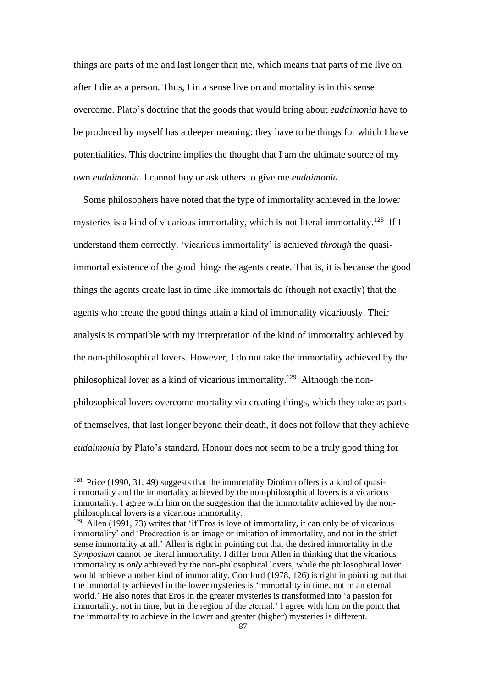things are parts of me and last longer than me, which means that parts of me live on after I die as a person. Thus, I in a sense live on and mortality is in this sense overcome. Plato's doctrine that the goods that would bring about *eudaimonia* have to be produced by myself has a deeper meaning: they have to be things for which I have potentialities. This doctrine implies the thought that I am the ultimate source of my own *eudaimonia*. I cannot buy or ask others to give me *eudaimonia.*

Some philosophers have noted that the type of immortality achieved in the lower mysteries is a kind of vicarious immortality, which is not literal immortality.<sup>128</sup> If I understand them correctly, 'vicarious immortality' is achieved *through* the quasiimmortal existence of the good things the agents create. That is, it is because the good things the agents create last in time like immortals do (though not exactly) that the agents who create the good things attain a kind of immortality vicariously. Their analysis is compatible with my interpretation of the kind of immortality achieved by the non-philosophical lovers. However, I do not take the immortality achieved by the philosophical lover as a kind of vicarious immortality.<sup>129</sup> Although the nonphilosophical lovers overcome mortality via creating things, which they take as parts of themselves, that last longer beyond their death, it does not follow that they achieve *eudaimonia* by Plato's standard. Honour does not seem to be a truly good thing for

 $128$  Price (1990, 31, 49) suggests that the immortality Diotima offers is a kind of quasiimmortality and the immortality achieved by the non-philosophical lovers is a vicarious immortality. I agree with him on the suggestion that the immortality achieved by the nonphilosophical lovers is a vicarious immortality.

 $129$  Allen (1991, 73) writes that 'if Eros is love of immortality, it can only be of vicarious immortality' and 'Procreation is an image or imitation of immortality, and not in the strict sense immortality at all.' Allen is right in pointing out that the desired immortality in the *Symposium* cannot be literal immortality. I differ from Allen in thinking that the vicarious immortality is *only* achieved by the non-philosophical lovers, while the philosophical lover would achieve another kind of immortality. Cornford (1978, 126) is right in pointing out that the immortality achieved in the lower mysteries is 'immortality in time, not in an eternal world.' He also notes that Eros in the greater mysteries is transformed into 'a passion for immortality, not in time, but in the region of the eternal.' I agree with him on the point that the immortality to achieve in the lower and greater (higher) mysteries is different.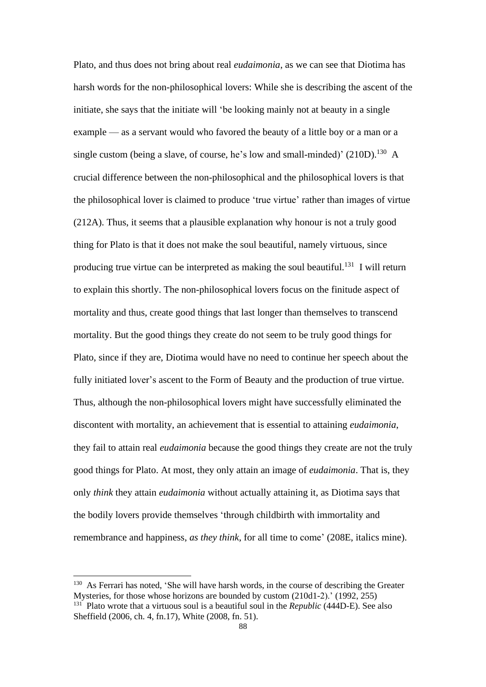Plato, and thus does not bring about real *eudaimonia*, as we can see that Diotima has harsh words for the non-philosophical lovers: While she is describing the ascent of the initiate, she says that the initiate will 'be looking mainly not at beauty in a single example — as a servant would who favored the beauty of a little boy or a man or a single custom (being a slave, of course, he's low and small-minded)'  $(210D)$ .<sup>130</sup> A crucial difference between the non-philosophical and the philosophical lovers is that the philosophical lover is claimed to produce 'true virtue' rather than images of virtue (212A). Thus, it seems that a plausible explanation why honour is not a truly good thing for Plato is that it does not make the soul beautiful, namely virtuous, since producing true virtue can be interpreted as making the soul beautiful.<sup>131</sup> I will return to explain this shortly. The non-philosophical lovers focus on the finitude aspect of mortality and thus, create good things that last longer than themselves to transcend mortality. But the good things they create do not seem to be truly good things for Plato, since if they are, Diotima would have no need to continue her speech about the fully initiated lover's ascent to the Form of Beauty and the production of true virtue. Thus, although the non-philosophical lovers might have successfully eliminated the discontent with mortality, an achievement that is essential to attaining *eudaimonia*, they fail to attain real *eudaimonia* because the good things they create are not the truly good things for Plato. At most, they only attain an image of *eudaimonia*. That is, they only *think* they attain *eudaimonia* without actually attaining it, as Diotima says that the bodily lovers provide themselves 'through childbirth with immortality and remembrance and happiness, *as they think*, for all time to come' (208E, italics mine).

<sup>&</sup>lt;sup>130</sup> As Ferrari has noted, 'She will have harsh words, in the course of describing the Greater Mysteries, for those whose horizons are bounded by custom (210d1-2).' (1992, 255) <sup>131</sup> Plato wrote that a virtuous soul is a beautiful soul in the *Republic* (444D-E). See also Sheffield (2006, ch. 4, fn.17), White (2008, fn. 51).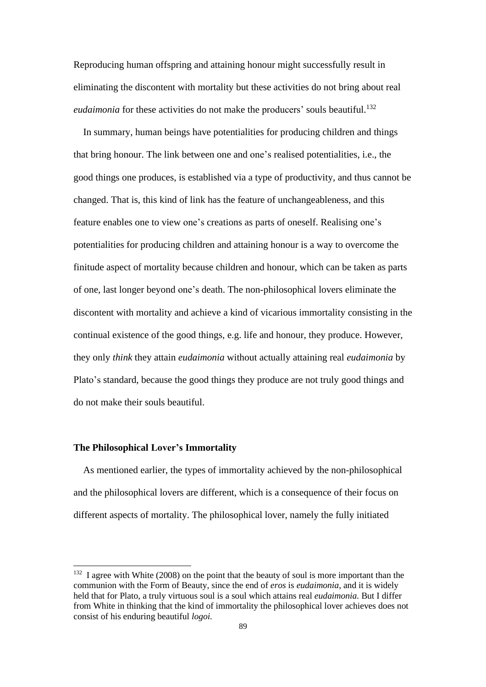Reproducing human offspring and attaining honour might successfully result in eliminating the discontent with mortality but these activities do not bring about real *eudaimonia* for these activities do not make the producers' souls beautiful.<sup>132</sup>

 In summary, human beings have potentialities for producing children and things that bring honour. The link between one and one's realised potentialities, i.e., the good things one produces, is established via a type of productivity, and thus cannot be changed. That is, this kind of link has the feature of unchangeableness, and this feature enables one to view one's creations as parts of oneself. Realising one's potentialities for producing children and attaining honour is a way to overcome the finitude aspect of mortality because children and honour, which can be taken as parts of one, last longer beyond one's death. The non-philosophical lovers eliminate the discontent with mortality and achieve a kind of vicarious immortality consisting in the continual existence of the good things, e.g. life and honour, they produce. However, they only *think* they attain *eudaimonia* without actually attaining real *eudaimonia* by Plato's standard, because the good things they produce are not truly good things and do not make their souls beautiful.

## **The Philosophical Lover's Immortality**

As mentioned earlier, the types of immortality achieved by the non-philosophical and the philosophical lovers are different, which is a consequence of their focus on different aspects of mortality. The philosophical lover, namely the fully initiated

 $132$  I agree with White (2008) on the point that the beauty of soul is more important than the communion with the Form of Beauty, since the end of *eros* is *eudaimonia*, and it is widely held that for Plato, a truly virtuous soul is a soul which attains real *eudaimonia.* But I differ from White in thinking that the kind of immortality the philosophical lover achieves does not consist of his enduring beautiful *logoi.*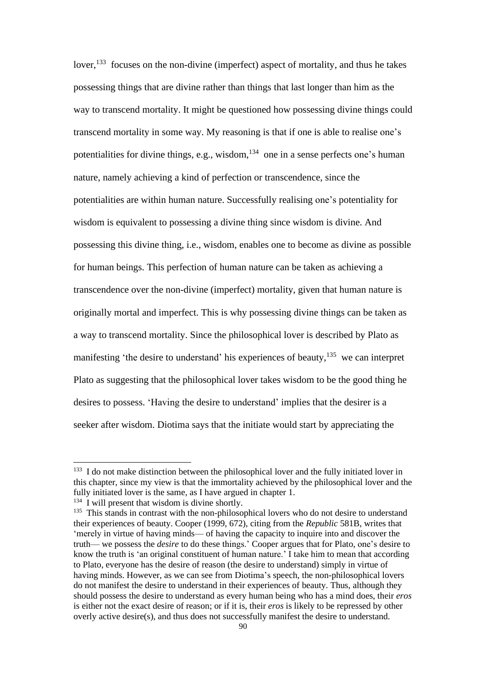lover,<sup>133</sup> focuses on the non-divine (imperfect) aspect of mortality, and thus he takes possessing things that are divine rather than things that last longer than him as the way to transcend mortality. It might be questioned how possessing divine things could transcend mortality in some way. My reasoning is that if one is able to realise one's potentialities for divine things, e.g., wisdom, $134$  one in a sense perfects one's human nature, namely achieving a kind of perfection or transcendence, since the potentialities are within human nature. Successfully realising one's potentiality for wisdom is equivalent to possessing a divine thing since wisdom is divine. And possessing this divine thing, i.e., wisdom, enables one to become as divine as possible for human beings. This perfection of human nature can be taken as achieving a transcendence over the non-divine (imperfect) mortality, given that human nature is originally mortal and imperfect. This is why possessing divine things can be taken as a way to transcend mortality. Since the philosophical lover is described by Plato as manifesting 'the desire to understand' his experiences of beauty,<sup>135</sup> we can interpret Plato as suggesting that the philosophical lover takes wisdom to be the good thing he desires to possess. 'Having the desire to understand' implies that the desirer is a seeker after wisdom. Diotima says that the initiate would start by appreciating the

<sup>&</sup>lt;sup>133</sup> I do not make distinction between the philosophical lover and the fully initiated lover in this chapter, since my view is that the immortality achieved by the philosophical lover and the fully initiated lover is the same, as I have argued in chapter 1.

<sup>&</sup>lt;sup>134</sup> I will present that wisdom is divine shortly.

<sup>&</sup>lt;sup>135</sup> This stands in contrast with the non-philosophical lovers who do not desire to understand their experiences of beauty. Cooper (1999, 672), citing from the *Republic* 581B, writes that 'merely in virtue of having minds— of having the capacity to inquire into and discover the truth— we possess the *desire* to do these things.' Cooper argues that for Plato, one's desire to know the truth is 'an original constituent of human nature.' I take him to mean that according to Plato, everyone has the desire of reason (the desire to understand) simply in virtue of having minds. However, as we can see from Diotima's speech, the non-philosophical lovers do not manifest the desire to understand in their experiences of beauty. Thus, although they should possess the desire to understand as every human being who has a mind does, their *eros* is either not the exact desire of reason; or if it is, their *eros* is likely to be repressed by other overly active desire(s), and thus does not successfully manifest the desire to understand.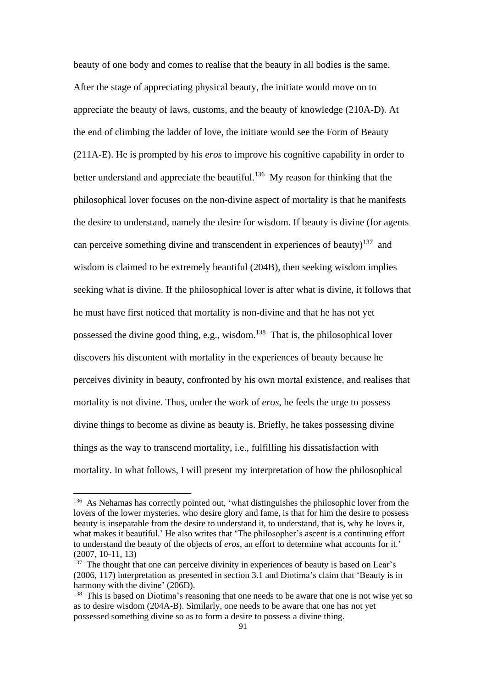beauty of one body and comes to realise that the beauty in all bodies is the same. After the stage of appreciating physical beauty, the initiate would move on to appreciate the beauty of laws, customs, and the beauty of knowledge (210A-D). At the end of climbing the ladder of love, the initiate would see the Form of Beauty (211A-E). He is prompted by his *eros* to improve his cognitive capability in order to better understand and appreciate the beautiful.<sup>136</sup> My reason for thinking that the philosophical lover focuses on the non-divine aspect of mortality is that he manifests the desire to understand, namely the desire for wisdom. If beauty is divine (for agents can perceive something divine and transcendent in experiences of beauty)<sup>137</sup> and wisdom is claimed to be extremely beautiful (204B), then seeking wisdom implies seeking what is divine. If the philosophical lover is after what is divine, it follows that he must have first noticed that mortality is non-divine and that he has not yet possessed the divine good thing, e.g., wisdom.<sup>138</sup> That is, the philosophical lover discovers his discontent with mortality in the experiences of beauty because he perceives divinity in beauty, confronted by his own mortal existence, and realises that mortality is not divine. Thus, under the work of *eros*, he feels the urge to possess divine things to become as divine as beauty is. Briefly, he takes possessing divine things as the way to transcend mortality, i.e., fulfilling his dissatisfaction with mortality. In what follows, I will present my interpretation of how the philosophical

<sup>&</sup>lt;sup>136</sup> As Nehamas has correctly pointed out, 'what distinguishes the philosophic lover from the lovers of the lower mysteries, who desire glory and fame, is that for him the desire to possess beauty is inseparable from the desire to understand it, to understand, that is, why he loves it, what makes it beautiful.' He also writes that 'The philosopher's ascent is a continuing effort to understand the beauty of the objects of *eros*, an effort to determine what accounts for it.' (2007, 10-11, 13)

<sup>&</sup>lt;sup>137</sup> The thought that one can perceive divinity in experiences of beauty is based on Lear's (2006, 117) interpretation as presented in section 3.1 and Diotima's claim that 'Beauty is in harmony with the divine' (206D).

<sup>&</sup>lt;sup>138</sup> This is based on Diotima's reasoning that one needs to be aware that one is not wise yet so as to desire wisdom (204A-B). Similarly, one needs to be aware that one has not yet possessed something divine so as to form a desire to possess a divine thing.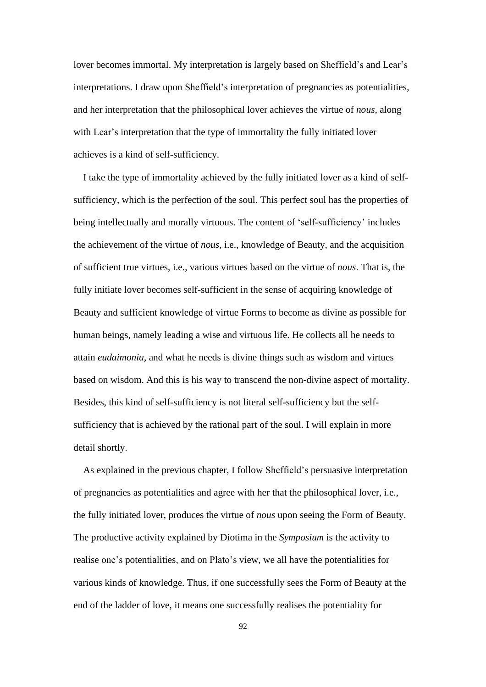lover becomes immortal. My interpretation is largely based on Sheffield's and Lear's interpretations. I draw upon Sheffield's interpretation of pregnancies as potentialities, and her interpretation that the philosophical lover achieves the virtue of *nous*, along with Lear's interpretation that the type of immortality the fully initiated lover achieves is a kind of self-sufficiency.

I take the type of immortality achieved by the fully initiated lover as a kind of selfsufficiency, which is the perfection of the soul. This perfect soul has the properties of being intellectually and morally virtuous. The content of 'self-sufficiency' includes the achievement of the virtue of *nous,* i.e., knowledge of Beauty, and the acquisition of sufficient true virtues, i.e., various virtues based on the virtue of *nous*. That is, the fully initiate lover becomes self-sufficient in the sense of acquiring knowledge of Beauty and sufficient knowledge of virtue Forms to become as divine as possible for human beings, namely leading a wise and virtuous life. He collects all he needs to attain *eudaimonia*, and what he needs is divine things such as wisdom and virtues based on wisdom. And this is his way to transcend the non-divine aspect of mortality. Besides, this kind of self-sufficiency is not literal self-sufficiency but the selfsufficiency that is achieved by the rational part of the soul. I will explain in more detail shortly.

 As explained in the previous chapter, I follow Sheffield's persuasive interpretation of pregnancies as potentialities and agree with her that the philosophical lover, i.e., the fully initiated lover, produces the virtue of *nous* upon seeing the Form of Beauty. The productive activity explained by Diotima in the *Symposium* is the activity to realise one's potentialities, and on Plato's view, we all have the potentialities for various kinds of knowledge. Thus, if one successfully sees the Form of Beauty at the end of the ladder of love, it means one successfully realises the potentiality for

92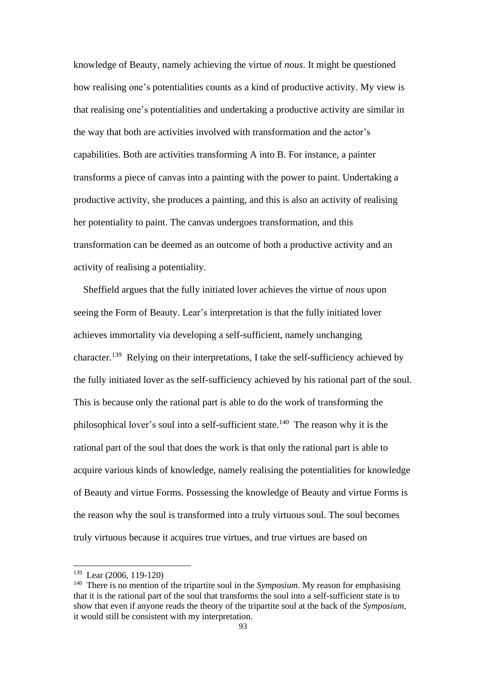knowledge of Beauty, namely achieving the virtue of *nous*. It might be questioned how realising one's potentialities counts as a kind of productive activity. My view is that realising one's potentialities and undertaking a productive activity are similar in the way that both are activities involved with transformation and the actor's capabilities. Both are activities transforming A into B. For instance, a painter transforms a piece of canvas into a painting with the power to paint. Undertaking a productive activity, she produces a painting, and this is also an activity of realising her potentiality to paint. The canvas undergoes transformation, and this transformation can be deemed as an outcome of both a productive activity and an activity of realising a potentiality.

Sheffield argues that the fully initiated lover achieves the virtue of *nous* upon seeing the Form of Beauty. Lear's interpretation is that the fully initiated lover achieves immortality via developing a self-sufficient, namely unchanging character.<sup>139</sup> Relying on their interpretations, I take the self-sufficiency achieved by the fully initiated lover as the self-sufficiency achieved by his rational part of the soul. This is because only the rational part is able to do the work of transforming the philosophical lover's soul into a self-sufficient state.<sup>140</sup> The reason why it is the rational part of the soul that does the work is that only the rational part is able to acquire various kinds of knowledge, namely realising the potentialities for knowledge of Beauty and virtue Forms. Possessing the knowledge of Beauty and virtue Forms is the reason why the soul is transformed into a truly virtuous soul. The soul becomes truly virtuous because it acquires true virtues, and true virtues are based on

 $139$  Lear (2006, 119-120)

<sup>140</sup> There is no mention of the tripartite soul in the *Symposium*. My reason for emphasising that it is the rational part of the soul that transforms the soul into a self-sufficient state is to show that even if anyone reads the theory of the tripartite soul at the back of the *Symposium*, it would still be consistent with my interpretation.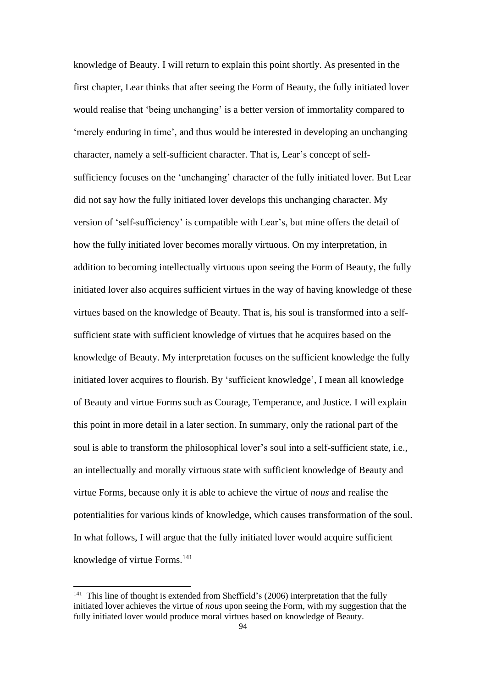knowledge of Beauty. I will return to explain this point shortly. As presented in the first chapter, Lear thinks that after seeing the Form of Beauty, the fully initiated lover would realise that 'being unchanging' is a better version of immortality compared to 'merely enduring in time', and thus would be interested in developing an unchanging character, namely a self-sufficient character. That is, Lear's concept of selfsufficiency focuses on the 'unchanging' character of the fully initiated lover. But Lear did not say how the fully initiated lover develops this unchanging character. My version of 'self-sufficiency' is compatible with Lear's, but mine offers the detail of how the fully initiated lover becomes morally virtuous. On my interpretation, in addition to becoming intellectually virtuous upon seeing the Form of Beauty, the fully initiated lover also acquires sufficient virtues in the way of having knowledge of these virtues based on the knowledge of Beauty. That is, his soul is transformed into a selfsufficient state with sufficient knowledge of virtues that he acquires based on the knowledge of Beauty. My interpretation focuses on the sufficient knowledge the fully initiated lover acquires to flourish. By 'sufficient knowledge', I mean all knowledge of Beauty and virtue Forms such as Courage, Temperance, and Justice. I will explain this point in more detail in a later section. In summary, only the rational part of the soul is able to transform the philosophical lover's soul into a self-sufficient state, i.e., an intellectually and morally virtuous state with sufficient knowledge of Beauty and virtue Forms, because only it is able to achieve the virtue of *nous* and realise the potentialities for various kinds of knowledge, which causes transformation of the soul. In what follows, I will argue that the fully initiated lover would acquire sufficient knowledge of virtue Forms.<sup>141</sup>

<sup>&</sup>lt;sup>141</sup> This line of thought is extended from Sheffield's (2006) interpretation that the fully initiated lover achieves the virtue of *nous* upon seeing the Form, with my suggestion that the fully initiated lover would produce moral virtues based on knowledge of Beauty.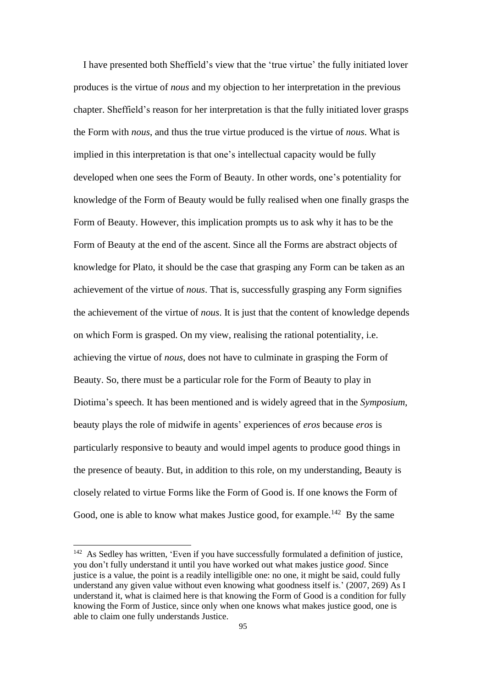I have presented both Sheffield's view that the 'true virtue' the fully initiated lover produces is the virtue of *nous* and my objection to her interpretation in the previous chapter. Sheffield's reason for her interpretation is that the fully initiated lover grasps the Form with *nous*, and thus the true virtue produced is the virtue of *nous*. What is implied in this interpretation is that one's intellectual capacity would be fully developed when one sees the Form of Beauty. In other words, one's potentiality for knowledge of the Form of Beauty would be fully realised when one finally grasps the Form of Beauty. However, this implication prompts us to ask why it has to be the Form of Beauty at the end of the ascent. Since all the Forms are abstract objects of knowledge for Plato, it should be the case that grasping any Form can be taken as an achievement of the virtue of *nous*. That is, successfully grasping any Form signifies the achievement of the virtue of *nous*. It is just that the content of knowledge depends on which Form is grasped. On my view, realising the rational potentiality, i.e. achieving the virtue of *nous*, does not have to culminate in grasping the Form of Beauty. So, there must be a particular role for the Form of Beauty to play in Diotima's speech. It has been mentioned and is widely agreed that in the *Symposium*, beauty plays the role of midwife in agents' experiences of *eros* because *eros* is particularly responsive to beauty and would impel agents to produce good things in the presence of beauty. But, in addition to this role, on my understanding, Beauty is closely related to virtue Forms like the Form of Good is. If one knows the Form of Good, one is able to know what makes Justice good, for example.<sup>142</sup> By the same

<sup>&</sup>lt;sup>142</sup> As Sedley has written, 'Even if you have successfully formulated a definition of justice, you don't fully understand it until you have worked out what makes justice *good*. Since justice is a value, the point is a readily intelligible one: no one, it might be said, could fully understand any given value without even knowing what goodness itself is.' (2007, 269) As I understand it, what is claimed here is that knowing the Form of Good is a condition for fully knowing the Form of Justice, since only when one knows what makes justice good, one is able to claim one fully understands Justice.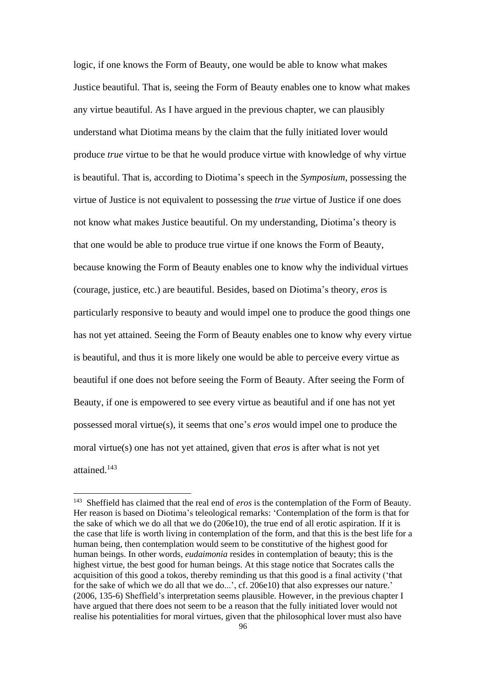logic, if one knows the Form of Beauty, one would be able to know what makes Justice beautiful. That is, seeing the Form of Beauty enables one to know what makes any virtue beautiful. As I have argued in the previous chapter, we can plausibly understand what Diotima means by the claim that the fully initiated lover would produce *true* virtue to be that he would produce virtue with knowledge of why virtue is beautiful. That is, according to Diotima's speech in the *Symposium*, possessing the virtue of Justice is not equivalent to possessing the *true* virtue of Justice if one does not know what makes Justice beautiful. On my understanding, Diotima's theory is that one would be able to produce true virtue if one knows the Form of Beauty, because knowing the Form of Beauty enables one to know why the individual virtues (courage, justice, etc.) are beautiful. Besides, based on Diotima's theory, *eros* is particularly responsive to beauty and would impel one to produce the good things one has not yet attained. Seeing the Form of Beauty enables one to know why every virtue is beautiful, and thus it is more likely one would be able to perceive every virtue as beautiful if one does not before seeing the Form of Beauty. After seeing the Form of Beauty, if one is empowered to see every virtue as beautiful and if one has not yet possessed moral virtue(s), it seems that one's *eros* would impel one to produce the moral virtue(s) one has not yet attained, given that *eros* is after what is not yet attained.<sup>143</sup>

<sup>&</sup>lt;sup>143</sup> Sheffield has claimed that the real end of *eros* is the contemplation of the Form of Beauty. Her reason is based on Diotima's teleological remarks: 'Contemplation of the form is that for the sake of which we do all that we do (206e10), the true end of all erotic aspiration. If it is the case that life is worth living in contemplation of the form, and that this is the best life for a human being, then contemplation would seem to be constitutive of the highest good for human beings. In other words, *eudaimonia* resides in contemplation of beauty; this is the highest virtue, the best good for human beings. At this stage notice that Socrates calls the acquisition of this good a tokos, thereby reminding us that this good is a final activity ('that for the sake of which we do all that we do...', cf. 206e10) that also expresses our nature.' (2006, 135-6) Sheffield's interpretation seems plausible. However, in the previous chapter I have argued that there does not seem to be a reason that the fully initiated lover would not realise his potentialities for moral virtues, given that the philosophical lover must also have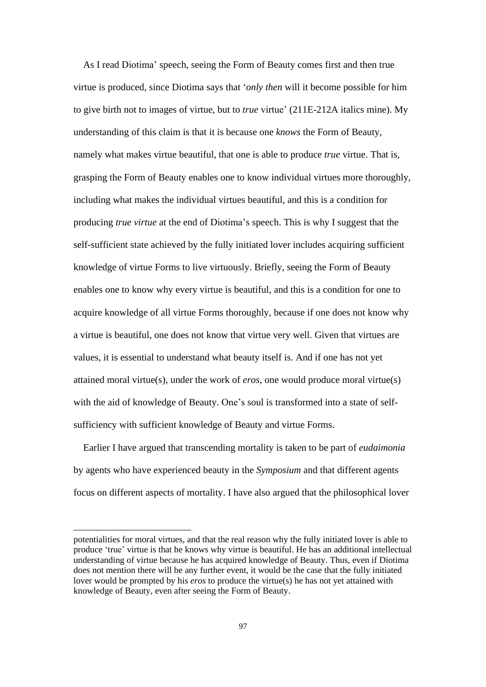As I read Diotima' speech, seeing the Form of Beauty comes first and then true virtue is produced, since Diotima says that '*only then* will it become possible for him to give birth not to images of virtue, but to *true* virtue' (211E-212A italics mine). My understanding of this claim is that it is because one *knows* the Form of Beauty, namely what makes virtue beautiful, that one is able to produce *true* virtue. That is, grasping the Form of Beauty enables one to know individual virtues more thoroughly, including what makes the individual virtues beautiful, and this is a condition for producing *true virtue* at the end of Diotima's speech. This is why I suggest that the self-sufficient state achieved by the fully initiated lover includes acquiring sufficient knowledge of virtue Forms to live virtuously. Briefly, seeing the Form of Beauty enables one to know why every virtue is beautiful, and this is a condition for one to acquire knowledge of all virtue Forms thoroughly, because if one does not know why a virtue is beautiful, one does not know that virtue very well. Given that virtues are values, it is essential to understand what beauty itself is. And if one has not yet attained moral virtue(s), under the work of *eros*, one would produce moral virtue(s) with the aid of knowledge of Beauty. One's soul is transformed into a state of selfsufficiency with sufficient knowledge of Beauty and virtue Forms.

Earlier I have argued that transcending mortality is taken to be part of *eudaimonia* by agents who have experienced beauty in the *Symposium* and that different agents focus on different aspects of mortality. I have also argued that the philosophical lover

potentialities for moral virtues, and that the real reason why the fully initiated lover is able to produce 'true' virtue is that he knows why virtue is beautiful. He has an additional intellectual understanding of virtue because he has acquired knowledge of Beauty. Thus, even if Diotima does not mention there will be any further event, it would be the case that the fully initiated lover would be prompted by his *eros* to produce the virtue(s) he has not yet attained with knowledge of Beauty, even after seeing the Form of Beauty.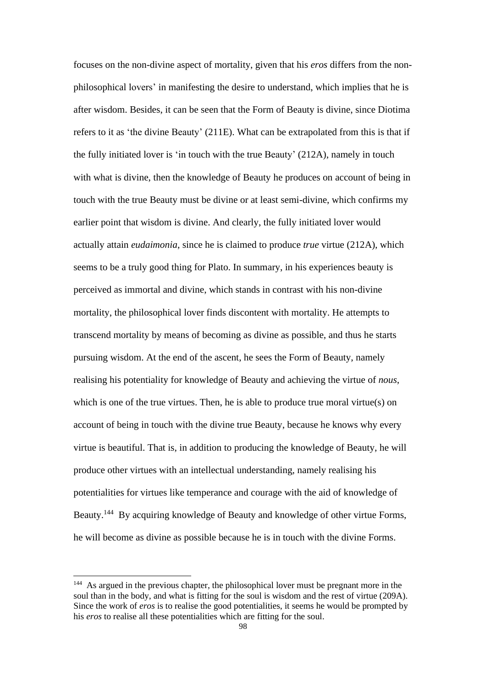focuses on the non-divine aspect of mortality, given that his *eros* differs from the nonphilosophical lovers' in manifesting the desire to understand, which implies that he is after wisdom. Besides, it can be seen that the Form of Beauty is divine, since Diotima refers to it as 'the divine Beauty' (211E). What can be extrapolated from this is that if the fully initiated lover is 'in touch with the true Beauty' (212A), namely in touch with what is divine, then the knowledge of Beauty he produces on account of being in touch with the true Beauty must be divine or at least semi-divine, which confirms my earlier point that wisdom is divine. And clearly, the fully initiated lover would actually attain *eudaimonia*, since he is claimed to produce *true* virtue (212A), which seems to be a truly good thing for Plato. In summary, in his experiences beauty is perceived as immortal and divine, which stands in contrast with his non-divine mortality, the philosophical lover finds discontent with mortality. He attempts to transcend mortality by means of becoming as divine as possible, and thus he starts pursuing wisdom. At the end of the ascent, he sees the Form of Beauty, namely realising his potentiality for knowledge of Beauty and achieving the virtue of *nous*, which is one of the true virtues. Then, he is able to produce true moral virtue(s) on account of being in touch with the divine true Beauty, because he knows why every virtue is beautiful. That is, in addition to producing the knowledge of Beauty, he will produce other virtues with an intellectual understanding, namely realising his potentialities for virtues like temperance and courage with the aid of knowledge of Beauty.<sup>144</sup> By acquiring knowledge of Beauty and knowledge of other virtue Forms, he will become as divine as possible because he is in touch with the divine Forms.

<sup>&</sup>lt;sup>144</sup> As argued in the previous chapter, the philosophical lover must be pregnant more in the soul than in the body, and what is fitting for the soul is wisdom and the rest of virtue (209A). Since the work of *eros* is to realise the good potentialities, it seems he would be prompted by his *eros* to realise all these potentialities which are fitting for the soul.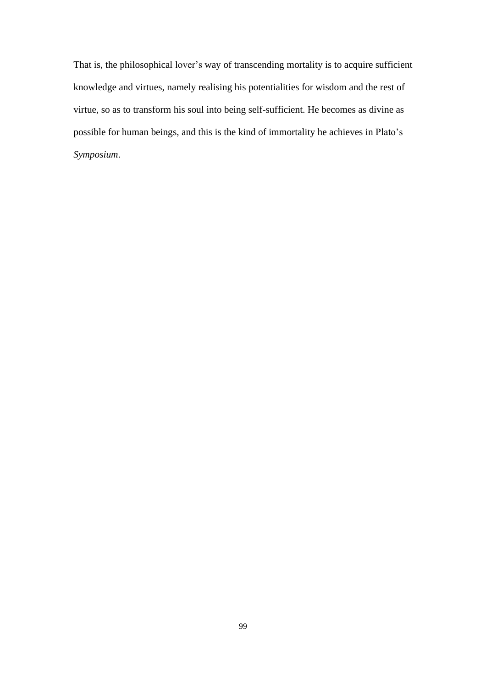That is, the philosophical lover's way of transcending mortality is to acquire sufficient knowledge and virtues, namely realising his potentialities for wisdom and the rest of virtue, so as to transform his soul into being self-sufficient. He becomes as divine as possible for human beings, and this is the kind of immortality he achieves in Plato's *Symposium*.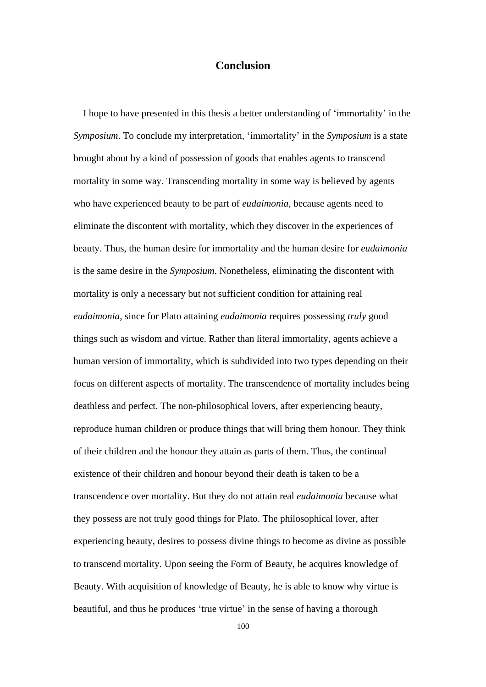# **Conclusion**

 I hope to have presented in this thesis a better understanding of 'immortality' in the *Symposium*. To conclude my interpretation, 'immortality' in the *Symposium* is a state brought about by a kind of possession of goods that enables agents to transcend mortality in some way. Transcending mortality in some way is believed by agents who have experienced beauty to be part of *eudaimonia*, because agents need to eliminate the discontent with mortality, which they discover in the experiences of beauty. Thus, the human desire for immortality and the human desire for *eudaimonia* is the same desire in the *Symposium*. Nonetheless, eliminating the discontent with mortality is only a necessary but not sufficient condition for attaining real *eudaimonia*, since for Plato attaining *eudaimonia* requires possessing *truly* good things such as wisdom and virtue. Rather than literal immortality, agents achieve a human version of immortality, which is subdivided into two types depending on their focus on different aspects of mortality. The transcendence of mortality includes being deathless and perfect. The non-philosophical lovers, after experiencing beauty, reproduce human children or produce things that will bring them honour. They think of their children and the honour they attain as parts of them. Thus, the continual existence of their children and honour beyond their death is taken to be a transcendence over mortality. But they do not attain real *eudaimonia* because what they possess are not truly good things for Plato. The philosophical lover, after experiencing beauty, desires to possess divine things to become as divine as possible to transcend mortality. Upon seeing the Form of Beauty, he acquires knowledge of Beauty. With acquisition of knowledge of Beauty, he is able to know why virtue is beautiful, and thus he produces 'true virtue' in the sense of having a thorough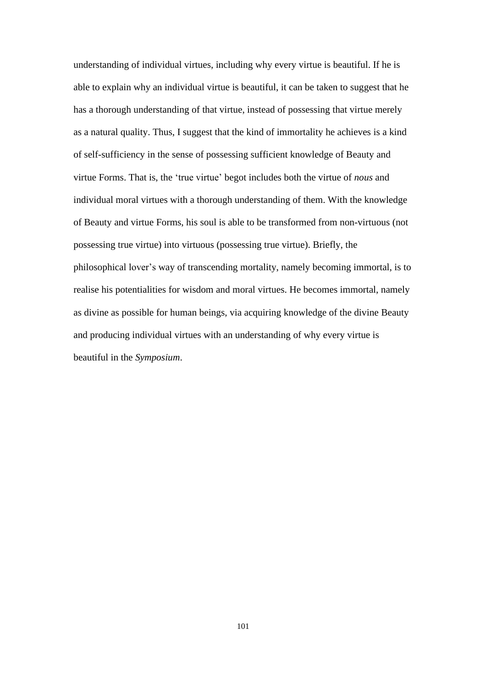understanding of individual virtues, including why every virtue is beautiful. If he is able to explain why an individual virtue is beautiful, it can be taken to suggest that he has a thorough understanding of that virtue, instead of possessing that virtue merely as a natural quality. Thus, I suggest that the kind of immortality he achieves is a kind of self-sufficiency in the sense of possessing sufficient knowledge of Beauty and virtue Forms. That is, the 'true virtue' begot includes both the virtue of *nous* and individual moral virtues with a thorough understanding of them. With the knowledge of Beauty and virtue Forms, his soul is able to be transformed from non-virtuous (not possessing true virtue) into virtuous (possessing true virtue). Briefly, the philosophical lover's way of transcending mortality, namely becoming immortal, is to realise his potentialities for wisdom and moral virtues. He becomes immortal, namely as divine as possible for human beings, via acquiring knowledge of the divine Beauty and producing individual virtues with an understanding of why every virtue is beautiful in the *Symposium*.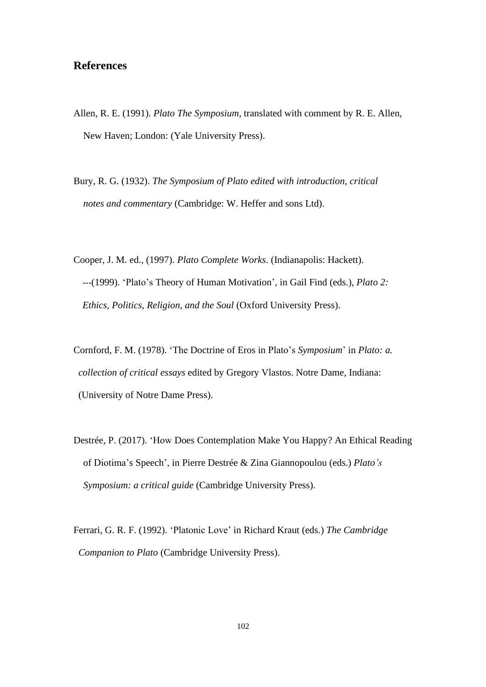# **References**

- Allen, R. E. (1991). *Plato The Symposium*, translated with comment by R. E. Allen, New Haven; London: (Yale University Press).
- Bury, R. G. (1932). *The Symposium of Plato edited with introduction, critical notes and commentary* (Cambridge: W. Heffer and sons Ltd).
- Cooper, J. M. ed., (1997). *Plato Complete Works*. (Indianapolis: Hackett). ---(1999). 'Plato's Theory of Human Motivation', in Gail Find (eds.), *Plato 2: Ethics, Politics, Religion, and the Soul* (Oxford University Press).
- Cornford, F. M. (1978). 'The Doctrine of Eros in Plato's *Symposium*' in *Plato: a. collection of critical essays* edited by Gregory Vlastos. Notre Dame, Indiana: (University of Notre Dame Press).
- Destrée, P. (2017). 'How Does Contemplation Make You Happy? An Ethical Reading of Diotima's Speech', in Pierre Destrée & Zina Giannopoulou (eds.) *Plato's Symposium: a critical guide* (Cambridge University Press).
- Ferrari, G. R. F. (1992). 'Platonic Love' in Richard Kraut (eds.) *The Cambridge Companion to Plato* (Cambridge University Press).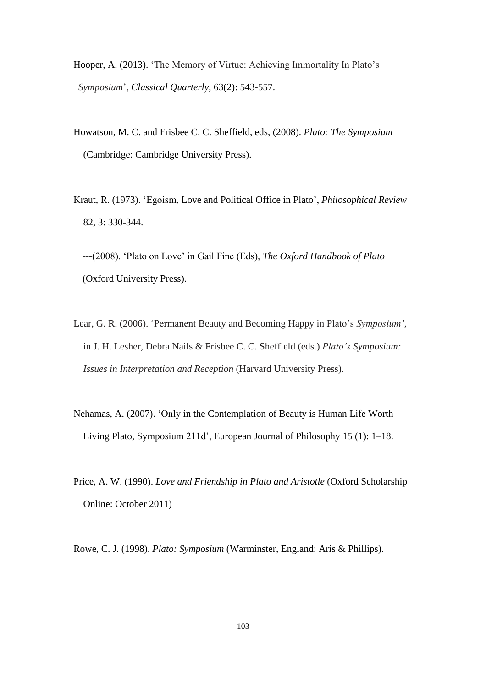- Hooper, A. (2013). 'The Memory of Virtue: Achieving Immortality In Plato's *Symposium*', *Classical Quarterly*, 63(2): 543-557.
- Howatson, M. C. and Frisbee C. C. Sheffield, eds, (2008). *Plato: The Symposium* (Cambridge: Cambridge University Press).
- Kraut, R. (1973). 'Egoism, Love and Political Office in Plato', *Philosophical Review* 82, 3: 330-344.

---(2008). 'Plato on Love' in Gail Fine (Eds), *The Oxford Handbook of Plato* (Oxford University Press).

- Lear, G. R. (2006). 'Permanent Beauty and Becoming Happy in Plato's *Symposium'*, in J. H. Lesher, Debra Nails & Frisbee C. C. Sheffield (eds.) *Plato's Symposium: Issues in Interpretation and Reception* (Harvard University Press).
- Nehamas, A. (2007). 'Only in the Contemplation of Beauty is Human Life Worth Living Plato, Symposium 211d', European Journal of Philosophy 15 (1): 1–18.
- Price, A. W. (1990). *Love and Friendship in Plato and Aristotle* (Oxford Scholarship Online: October 2011)

Rowe, C. J. (1998). *Plato: Symposium* (Warminster, England: Aris & Phillips).